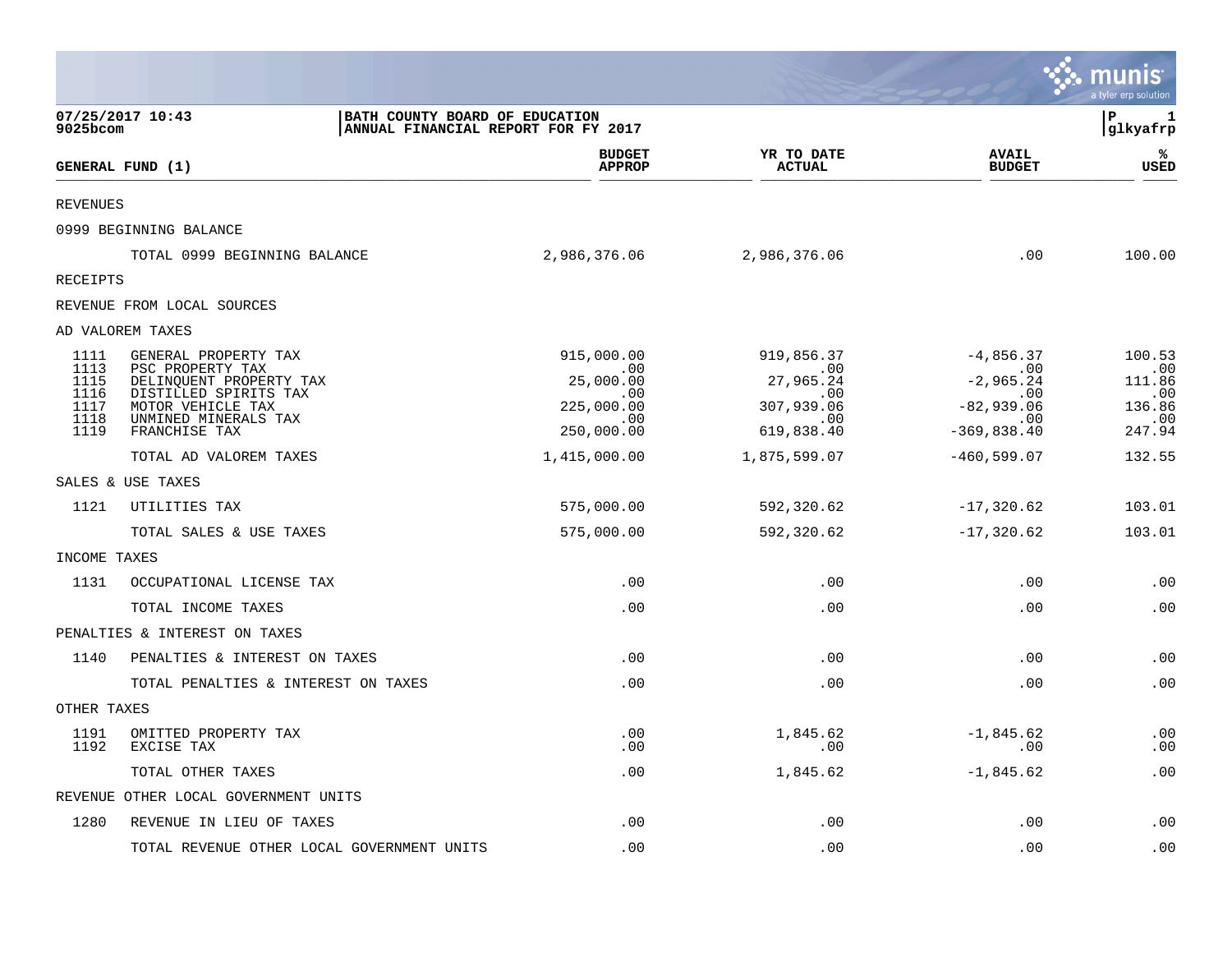|                 |                                                  |                                                                       |                             |                                | munis<br>a tyler erp solution |
|-----------------|--------------------------------------------------|-----------------------------------------------------------------------|-----------------------------|--------------------------------|-------------------------------|
| 9025bcom        | 07/25/2017 10:43                                 | BATH COUNTY BOARD OF EDUCATION<br>ANNUAL FINANCIAL REPORT FOR FY 2017 |                             |                                | ΙP<br>1<br> glkyafrp          |
|                 | GENERAL FUND (1)                                 | <b>BUDGET</b><br><b>APPROP</b>                                        | YR TO DATE<br><b>ACTUAL</b> | <b>AVAIL</b><br><b>BUDGET</b>  | ℁<br>USED                     |
| <b>REVENUES</b> |                                                  |                                                                       |                             |                                |                               |
|                 | 0999 BEGINNING BALANCE                           |                                                                       |                             |                                |                               |
|                 | TOTAL 0999 BEGINNING BALANCE                     | 2,986,376.06                                                          | 2,986,376.06                | .00                            | 100.00                        |
| <b>RECEIPTS</b> |                                                  |                                                                       |                             |                                |                               |
|                 | REVENUE FROM LOCAL SOURCES                       |                                                                       |                             |                                |                               |
|                 | AD VALOREM TAXES                                 |                                                                       |                             |                                |                               |
| 1111<br>1113    | GENERAL PROPERTY TAX<br>PSC PROPERTY TAX         | 915,000.00<br>.00                                                     | 919,856.37<br>.00           | $-4,856.37$<br>.00             | 100.53<br>.00                 |
| 1115<br>1116    | DELINQUENT PROPERTY TAX<br>DISTILLED SPIRITS TAX | 25,000.00<br>.00                                                      | 27,965.24<br>.00            | $-2,965.24$<br>.00             | 111.86<br>.00                 |
| 1117<br>1118    | MOTOR VEHICLE TAX                                | 225,000.00<br>.00                                                     | 307,939.06                  | $-82,939.06$<br>.00<br>.00     | 136.86                        |
| 1119            | UNMINED MINERALS TAX<br>FRANCHISE TAX            | 250,000.00                                                            | 619,838.40                  | $-369, 838.40$                 | .00<br>247.94                 |
|                 | TOTAL AD VALOREM TAXES                           | 1,415,000.00                                                          | 1,875,599.07                | $-460, 599.07$                 | 132.55                        |
|                 | SALES & USE TAXES                                |                                                                       |                             |                                |                               |
| 1121            | UTILITIES TAX                                    | 575,000.00                                                            | 592,320.62                  | $-17,320.62$                   | 103.01                        |
|                 | TOTAL SALES & USE TAXES                          | 575,000.00                                                            | 592,320.62                  | $-17,320.62$                   | 103.01                        |
| INCOME TAXES    |                                                  |                                                                       |                             |                                |                               |
| 1131            | OCCUPATIONAL LICENSE TAX                         | .00                                                                   |                             | .00<br>.00                     | .00                           |
|                 | TOTAL INCOME TAXES                               | .00                                                                   |                             | .00<br>.00                     | .00                           |
|                 | PENALTIES & INTEREST ON TAXES                    |                                                                       |                             |                                |                               |
| 1140            | PENALTIES & INTEREST ON TAXES                    | .00                                                                   |                             | .00<br>.00                     | .00                           |
|                 | TOTAL PENALTIES & INTEREST ON TAXES              | .00                                                                   |                             | .00<br>.00                     | .00                           |
| OTHER TAXES     |                                                  |                                                                       |                             |                                |                               |
| 1191<br>1192    | OMITTED PROPERTY TAX<br>EXCISE TAX               | .00<br>.00                                                            | 1,845.62                    | $-1,845.62$<br>.00<br>$.00 \,$ | .00<br>.00                    |
|                 | TOTAL OTHER TAXES                                | .00                                                                   | 1,845.62                    | $-1,845.62$                    | .00                           |
|                 | REVENUE OTHER LOCAL GOVERNMENT UNITS             |                                                                       |                             |                                |                               |
| 1280            | REVENUE IN LIEU OF TAXES                         | .00                                                                   |                             | .00<br>.00                     | .00                           |
|                 | TOTAL REVENUE OTHER LOCAL GOVERNMENT UNITS       | .00                                                                   |                             | .00<br>.00                     | .00                           |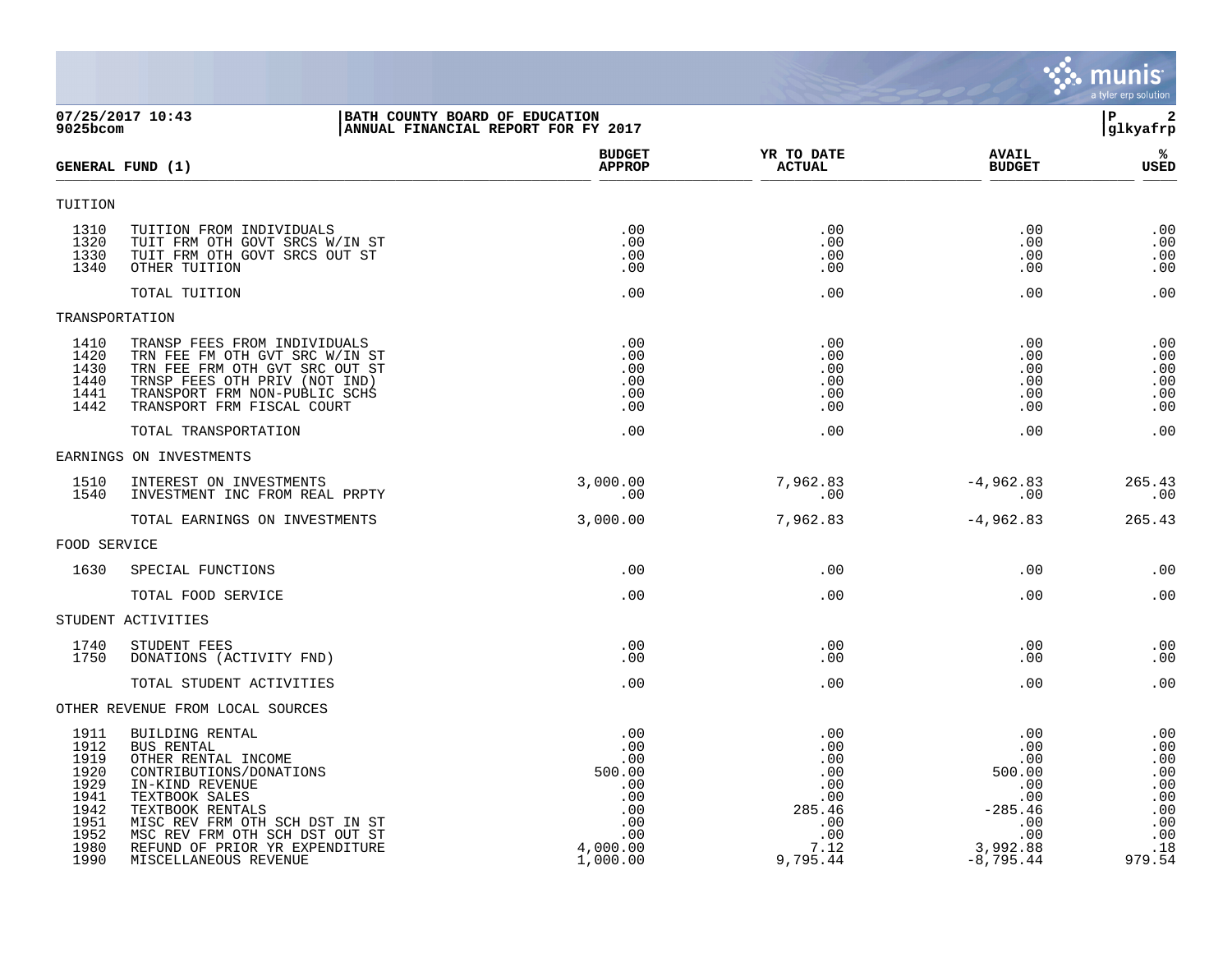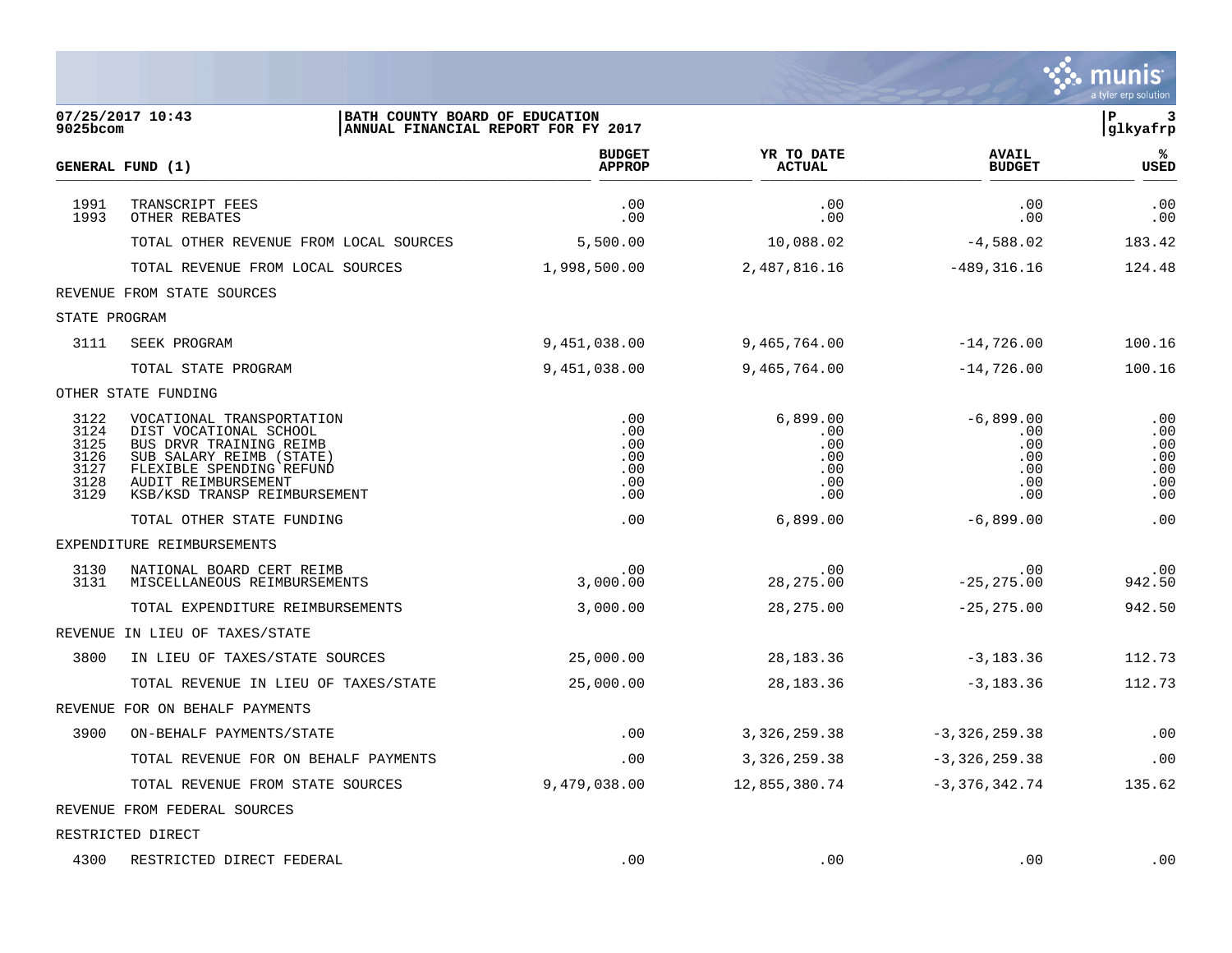|                                                      |                                                                                                                                                                                               |                                               |                                                    |                                                       | a tyler erp solution                          |
|------------------------------------------------------|-----------------------------------------------------------------------------------------------------------------------------------------------------------------------------------------------|-----------------------------------------------|----------------------------------------------------|-------------------------------------------------------|-----------------------------------------------|
| 9025bcom                                             | 07/25/2017 10:43<br>BATH COUNTY BOARD OF EDUCATION<br>ANNUAL FINANCIAL REPORT FOR FY 2017                                                                                                     |                                               |                                                    |                                                       | lР<br>3<br>glkyafrp                           |
|                                                      | GENERAL FUND (1)                                                                                                                                                                              | <b>BUDGET</b><br><b>APPROP</b>                | YR TO DATE<br><b>ACTUAL</b>                        | <b>AVAIL</b><br><b>BUDGET</b>                         | %ะ<br><b>USED</b>                             |
| 1991<br>1993                                         | TRANSCRIPT FEES<br>OTHER REBATES                                                                                                                                                              | .00<br>.00                                    | .00<br>.00                                         | .00<br>.00                                            | .00<br>.00                                    |
|                                                      | TOTAL OTHER REVENUE FROM LOCAL SOURCES                                                                                                                                                        | 5,500.00                                      | 10,088.02                                          | $-4,588.02$                                           | 183.42                                        |
|                                                      | TOTAL REVENUE FROM LOCAL SOURCES                                                                                                                                                              | 1,998,500.00                                  | 2,487,816.16                                       | $-489, 316.16$                                        | 124.48                                        |
|                                                      | REVENUE FROM STATE SOURCES                                                                                                                                                                    |                                               |                                                    |                                                       |                                               |
| STATE PROGRAM                                        |                                                                                                                                                                                               |                                               |                                                    |                                                       |                                               |
| 3111                                                 | SEEK PROGRAM                                                                                                                                                                                  | 9,451,038.00                                  | 9,465,764.00                                       | $-14,726.00$                                          | 100.16                                        |
|                                                      | TOTAL STATE PROGRAM                                                                                                                                                                           | 9,451,038.00                                  | 9,465,764.00                                       | $-14,726.00$                                          | 100.16                                        |
|                                                      | OTHER STATE FUNDING                                                                                                                                                                           |                                               |                                                    |                                                       |                                               |
| 3122<br>3124<br>3125<br>3126<br>3127<br>3128<br>3129 | VOCATIONAL TRANSPORTATION<br>DIST VOCATIONAL SCHOOL<br>BUS DRVR TRAINING REIMB<br>SUB SALARY REIMB (STATE)<br>FLEXIBLE SPENDING REFUND<br>AUDIT REIMBURSEMENT<br>KSB/KSD TRANSP REIMBURSEMENT | .00<br>.00<br>.00<br>.00<br>.00<br>.00<br>.00 | 6,899.00<br>.00<br>.00<br>.00<br>.00<br>.00<br>.00 | $-6,899.00$<br>.00<br>.00<br>.00<br>.00<br>.00<br>.00 | .00<br>.00<br>.00<br>.00<br>.00<br>.00<br>.00 |
|                                                      | TOTAL OTHER STATE FUNDING                                                                                                                                                                     | .00                                           | 6,899.00                                           | $-6,899.00$                                           | .00                                           |
|                                                      | EXPENDITURE REIMBURSEMENTS                                                                                                                                                                    |                                               |                                                    |                                                       |                                               |
| 3130<br>3131                                         | NATIONAL BOARD CERT REIMB<br>MISCELLANEOUS REIMBURSEMENTS                                                                                                                                     | .00<br>3,000.00                               | .00<br>28, 275.00                                  | .00<br>$-25, 275.00$                                  | .00<br>942.50                                 |
|                                                      | TOTAL EXPENDITURE REIMBURSEMENTS                                                                                                                                                              | 3,000.00                                      | 28, 275.00                                         | $-25, 275.00$                                         | 942.50                                        |
|                                                      | REVENUE IN LIEU OF TAXES/STATE                                                                                                                                                                |                                               |                                                    |                                                       |                                               |
| 3800                                                 | IN LIEU OF TAXES/STATE SOURCES                                                                                                                                                                | 25,000.00                                     | 28, 183. 36                                        | $-3,183.36$                                           | 112.73                                        |
|                                                      | TOTAL REVENUE IN LIEU OF TAXES/STATE                                                                                                                                                          | 25,000.00                                     | 28, 183. 36                                        | $-3,183.36$                                           | 112.73                                        |
|                                                      | REVENUE FOR ON BEHALF PAYMENTS                                                                                                                                                                |                                               |                                                    |                                                       |                                               |
| 3900                                                 | ON-BEHALF PAYMENTS/STATE                                                                                                                                                                      | .00                                           | 3, 326, 259. 38                                    | $-3,326,259.38$                                       | .00                                           |
|                                                      | TOTAL REVENUE FOR ON BEHALF PAYMENTS                                                                                                                                                          | .00                                           | 3,326,259.38                                       | $-3,326,259.38$                                       | .00                                           |
|                                                      | TOTAL REVENUE FROM STATE SOURCES                                                                                                                                                              | 9,479,038.00                                  | 12,855,380.74                                      | $-3,376,342.74$                                       | 135.62                                        |
|                                                      | REVENUE FROM FEDERAL SOURCES                                                                                                                                                                  |                                               |                                                    |                                                       |                                               |
|                                                      | RESTRICTED DIRECT                                                                                                                                                                             |                                               |                                                    |                                                       |                                               |
| 4300                                                 | RESTRICTED DIRECT FEDERAL                                                                                                                                                                     | .00                                           | .00                                                | .00                                                   | .00                                           |

 $\therefore$  munis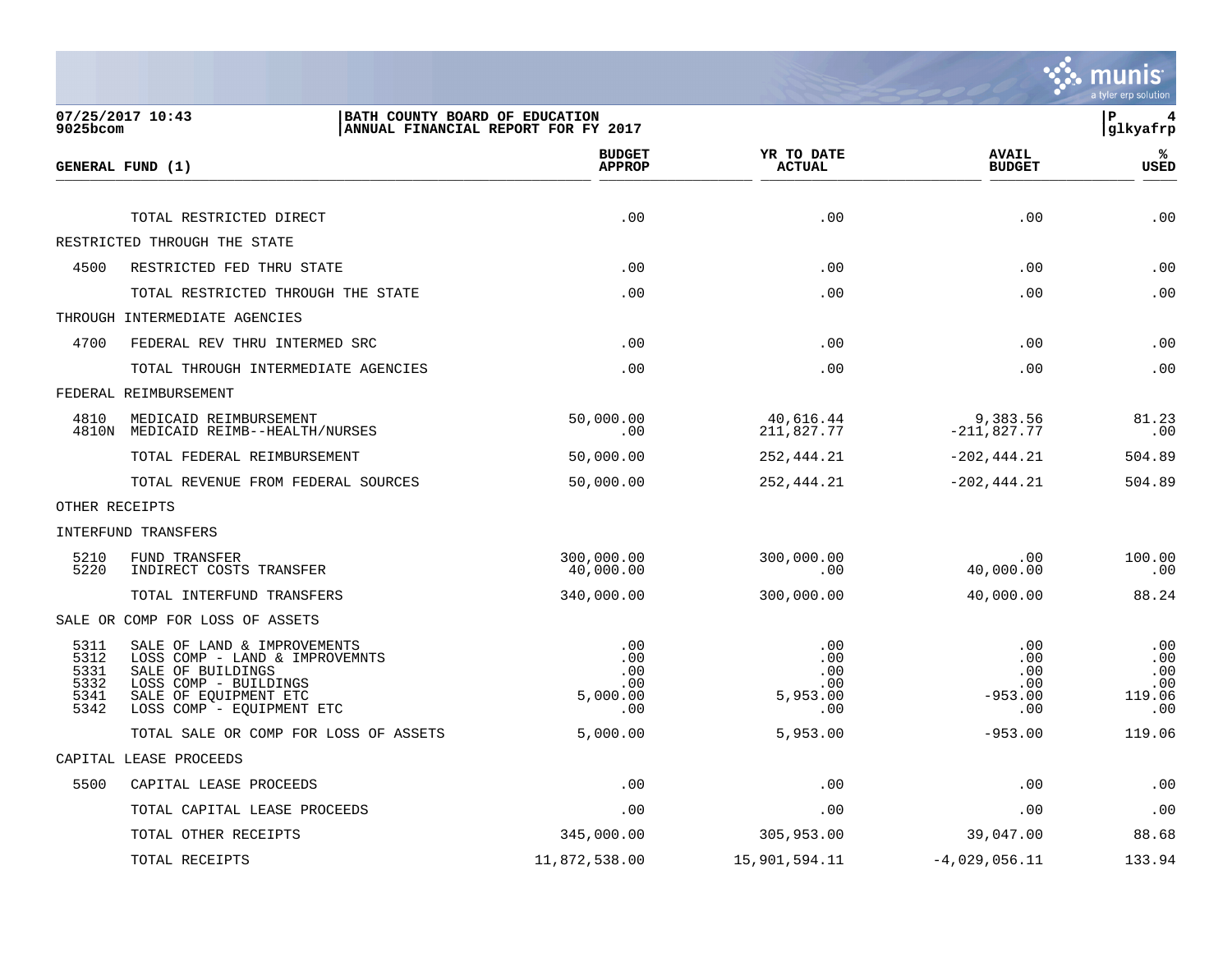

| 9025bcom                                     | 07/25/2017 10:43<br>BATH COUNTY BOARD OF EDUCATION                                                                                                                | ANNUAL FINANCIAL REPORT FOR FY 2017         |                                             |                                              | ΙP<br>glkyafrp                            |
|----------------------------------------------|-------------------------------------------------------------------------------------------------------------------------------------------------------------------|---------------------------------------------|---------------------------------------------|----------------------------------------------|-------------------------------------------|
|                                              | GENERAL FUND (1)                                                                                                                                                  | <b>BUDGET</b><br><b>APPROP</b>              | YR TO DATE<br><b>ACTUAL</b>                 | <b>AVAIL</b><br><b>BUDGET</b>                | ℁<br><b>USED</b>                          |
|                                              | TOTAL RESTRICTED DIRECT                                                                                                                                           | .00                                         | .00                                         | .00                                          | .00                                       |
|                                              | RESTRICTED THROUGH THE STATE                                                                                                                                      |                                             |                                             |                                              |                                           |
| 4500                                         | RESTRICTED FED THRU STATE                                                                                                                                         | .00                                         | .00                                         | .00                                          | .00                                       |
|                                              | TOTAL RESTRICTED THROUGH THE STATE                                                                                                                                | .00                                         | .00                                         | .00                                          | .00                                       |
|                                              | THROUGH INTERMEDIATE AGENCIES                                                                                                                                     |                                             |                                             |                                              |                                           |
| 4700                                         | FEDERAL REV THRU INTERMED SRC                                                                                                                                     | .00                                         | .00                                         | .00                                          | .00                                       |
|                                              | TOTAL THROUGH INTERMEDIATE AGENCIES                                                                                                                               | .00                                         | .00                                         | .00                                          | .00                                       |
|                                              | FEDERAL REIMBURSEMENT                                                                                                                                             |                                             |                                             |                                              |                                           |
| 4810                                         | MEDICAID REIMBURSEMENT<br>4810N MEDICAID REIMB--HEALTH/NURSES                                                                                                     | 50,000.00<br>.00                            | 40,616.44<br>211,827.77                     | 9,383.56<br>$-211,827.77$                    | 81.23<br>.00                              |
|                                              | TOTAL FEDERAL REIMBURSEMENT                                                                                                                                       | 50,000.00                                   | 252,444.21                                  | $-202, 444.21$                               | 504.89                                    |
|                                              | TOTAL REVENUE FROM FEDERAL SOURCES                                                                                                                                | 50,000.00                                   | 252,444.21                                  | $-202, 444.21$                               | 504.89                                    |
| OTHER RECEIPTS                               |                                                                                                                                                                   |                                             |                                             |                                              |                                           |
|                                              | INTERFUND TRANSFERS                                                                                                                                               |                                             |                                             |                                              |                                           |
| 5210<br>5220                                 | <b>FUND TRANSFER</b><br>INDIRECT COSTS TRANSFER                                                                                                                   | 300,000.00<br>40,000.00                     | 300,000.00<br>.00                           | .00<br>40,000.00                             | 100.00<br>.00                             |
|                                              | TOTAL INTERFUND TRANSFERS                                                                                                                                         | 340,000.00                                  | 300,000.00                                  | 40,000.00                                    | 88.24                                     |
|                                              | SALE OR COMP FOR LOSS OF ASSETS                                                                                                                                   |                                             |                                             |                                              |                                           |
| 5311<br>5312<br>5331<br>5332<br>5341<br>5342 | SALE OF LAND & IMPROVEMENTS<br>LOSS COMP - LAND & IMPROVEMNTS<br>SALE OF BUILDINGS<br>LOSS COMP - BUILDINGS<br>SALE OF EQUIPMENT ETC<br>LOSS COMP - EQUIPMENT ETC | .00<br>.00<br>.00<br>.00<br>5,000.00<br>.00 | .00<br>.00<br>.00<br>.00<br>5,953.00<br>.00 | .00<br>.00<br>.00<br>.00<br>$-953.00$<br>.00 | .00<br>.00<br>.00<br>.00<br>119.06<br>.00 |
|                                              | TOTAL SALE OR COMP FOR LOSS OF ASSETS                                                                                                                             | 5,000.00                                    | 5,953.00                                    | $-953.00$                                    | 119.06                                    |
|                                              | CAPITAL LEASE PROCEEDS                                                                                                                                            |                                             |                                             |                                              |                                           |
| 5500                                         | CAPITAL LEASE PROCEEDS                                                                                                                                            | .00                                         | .00                                         | .00                                          | .00                                       |
|                                              | TOTAL CAPITAL LEASE PROCEEDS                                                                                                                                      | .00                                         | .00                                         | .00                                          | .00                                       |
|                                              | TOTAL OTHER RECEIPTS                                                                                                                                              | 345,000.00                                  | 305,953.00                                  | 39,047.00                                    | 88.68                                     |
|                                              | TOTAL RECEIPTS                                                                                                                                                    | 11,872,538.00                               | 15,901,594.11                               | $-4,029,056.11$                              | 133.94                                    |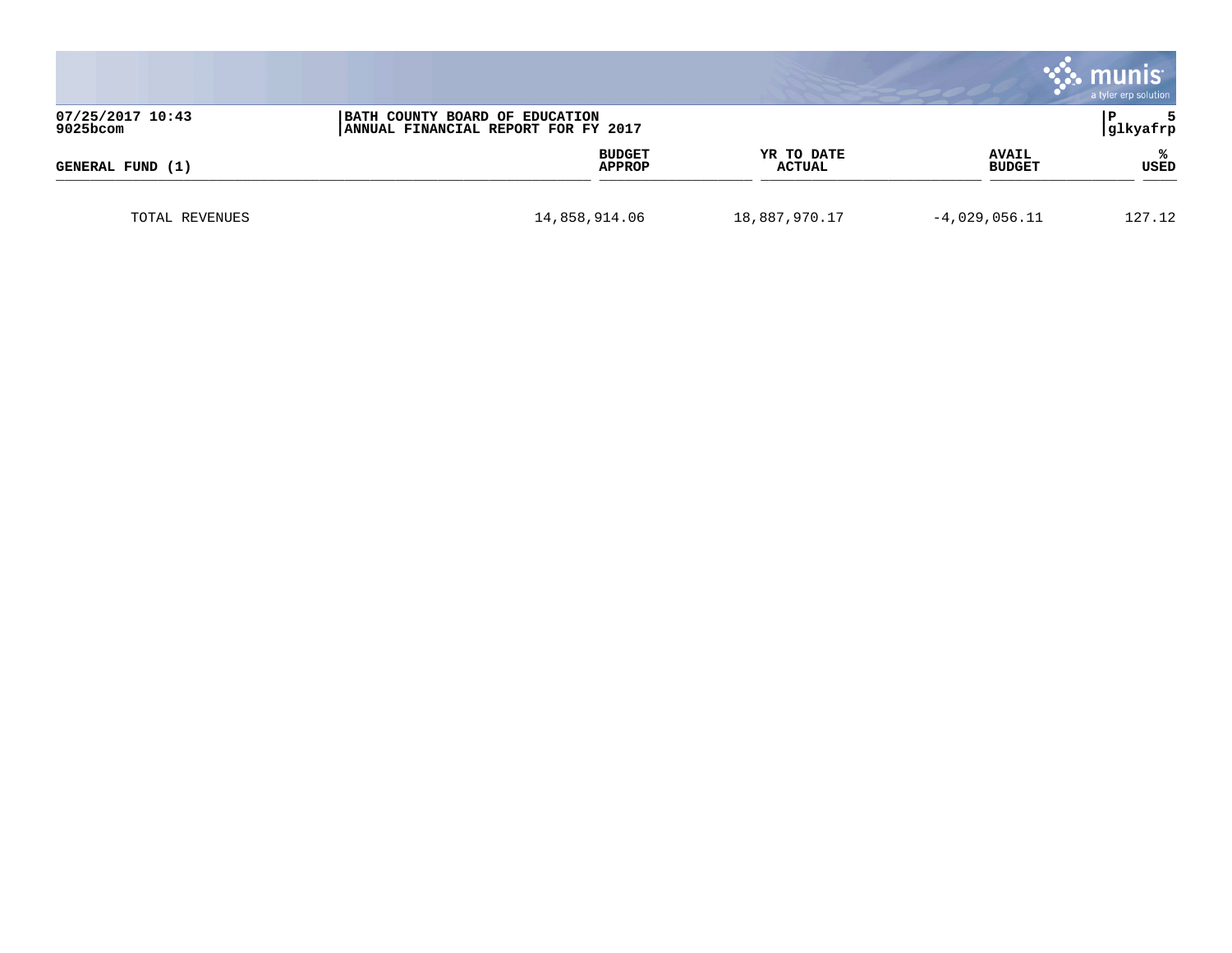|                                                                                                       |               |                         |                             |                               | munis<br>a tyler erp solution |
|-------------------------------------------------------------------------------------------------------|---------------|-------------------------|-----------------------------|-------------------------------|-------------------------------|
| 07/25/2017 10:43<br>BATH COUNTY BOARD OF EDUCATION<br>9025bcom<br>ANNUAL FINANCIAL REPORT FOR FY 2017 |               |                         |                             |                               | glkyafrp                      |
| GENERAL FUND (1)                                                                                      |               | <b>BUDGET</b><br>APPROP | YR TO DATE<br><b>ACTUAL</b> | <b>AVAIL</b><br><b>BUDGET</b> | ℁<br>USED                     |
| TOTAL REVENUES                                                                                        | 14,858,914.06 |                         | 18,887,970.17               | $-4,029,056.11$               | 127.12                        |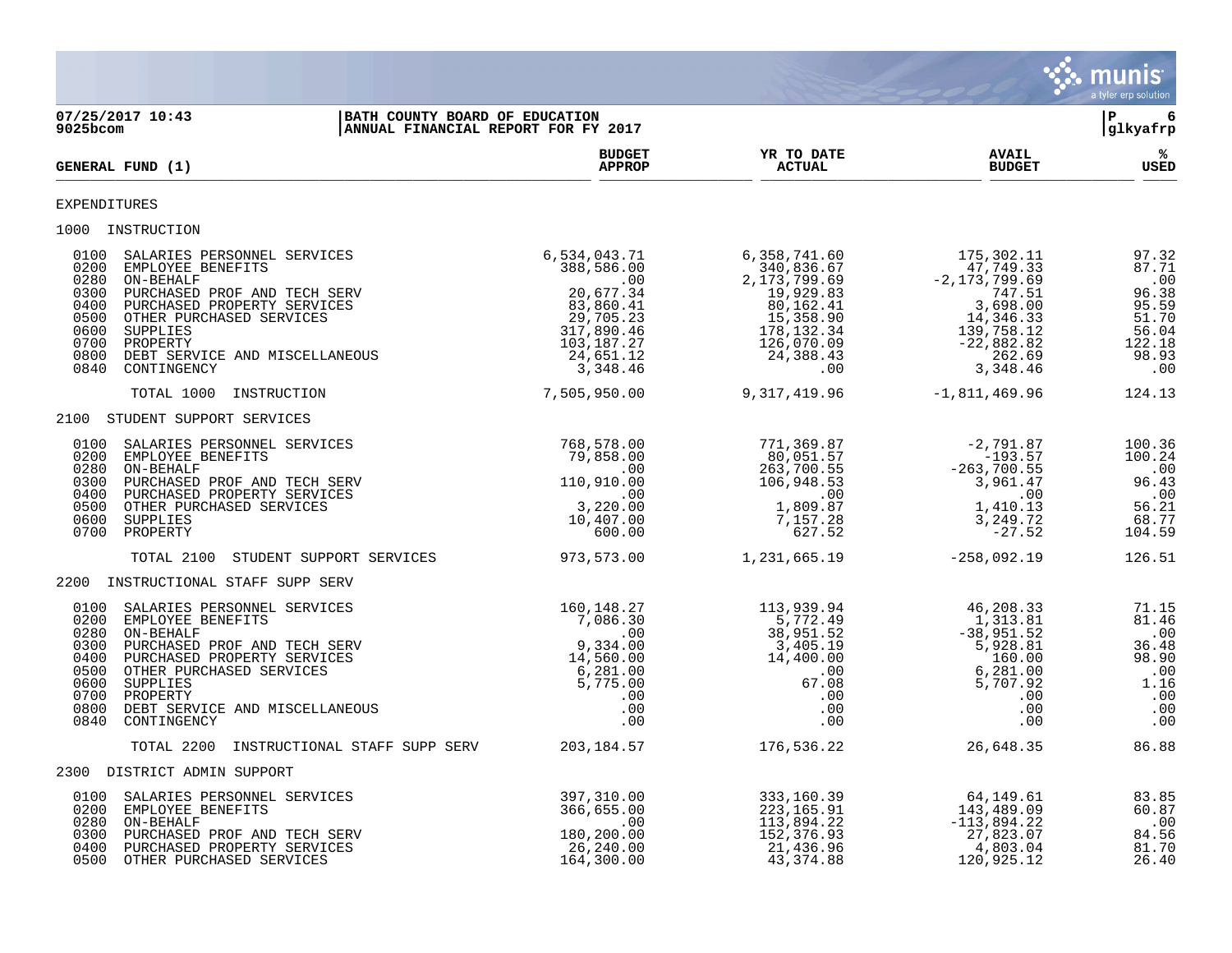

2100 STUDENT SUPPORT SERVICES

 0700 PROPERTY 600.00 627.52 -27.52 104.59 TOTAL 2100 STUDENT SUPPORT SERVICES 973,573.00 1,231,665.19 -258,092.19 126.51 2200 INSTRUCTIONAL STAFF SUPP SERV 0100 SALARIES PERSONNEL SERVICES 160,148.27 113,939.94 46,208.33 71.15 0200 EMPLOYEE BENEFITS 61.46 (1,313.81 81.46 ) 7,086.30 (1,313.81 81.46 ) 5,772.49 (1,313.81 81.46 0280 ON-BEHALF .00 38,951.52 -38,951.52 .00 0300 PURCHASED PROF AND TECH SERV 9,334.00 3,405.19 5,928.81 36.48 0400 PURCHASED PROPERTY SERVICES 68.90 14,560.00 14,400.00 14,400.00 160.00 160.00 98.90 0500 OTHER PURCHASED SERVICES 6 , 281 . 00 6 6 , 281 . 00 6 , 281 . 00 . 00 0600 SUPPLIES 5,775.00 67.08 5,707.92 1.16 0700 PROPERTY .00 .00 .00 .00 0800 DEBT SERVICE AND MISCELLANEOUS .00 .00 .00 .00 0840 CONTINGENCY .00 .00 .00 .00 TOTAL 2200 INSTRUCTIONAL STAFF SUPP SERV 203,184.57 176,536.22 26,648.35 86.88 2300 DISTRICT ADMIN SUPPORT 0100 SALARIES PERSONNEL SERVICES 397,310.00 333,160.39 64,149.61 83.85 0200 EMPLOYEE BENEFITS 366,655.00 223,165.91 143,489.09 60.87 00 . 00 . 113,894.22 . 113,894.22 . 113,894.22 . 00 . 113,894.22 . 113,894.22 . المراجع المسابق المسابق المسابق المسابق المسابق المسابق المسابق المسابق المسابق المسابق المسابق المسابق المسابق المسابق المسابق المسابق المسا

 0300 PURCHASED PROF AND TECH SERV 180,200.00 152,376.93 27,823.07 84.56 0400 PURCHASED PROPERTY SERVICES 26,240.00 21,436.96 4,803.04 81.70 0500 OTHER PURCHASED SERVICES 164,300.00 43,374.88 120,925.12 26.40

### EXPENDITURES

1000 INSTRUCTION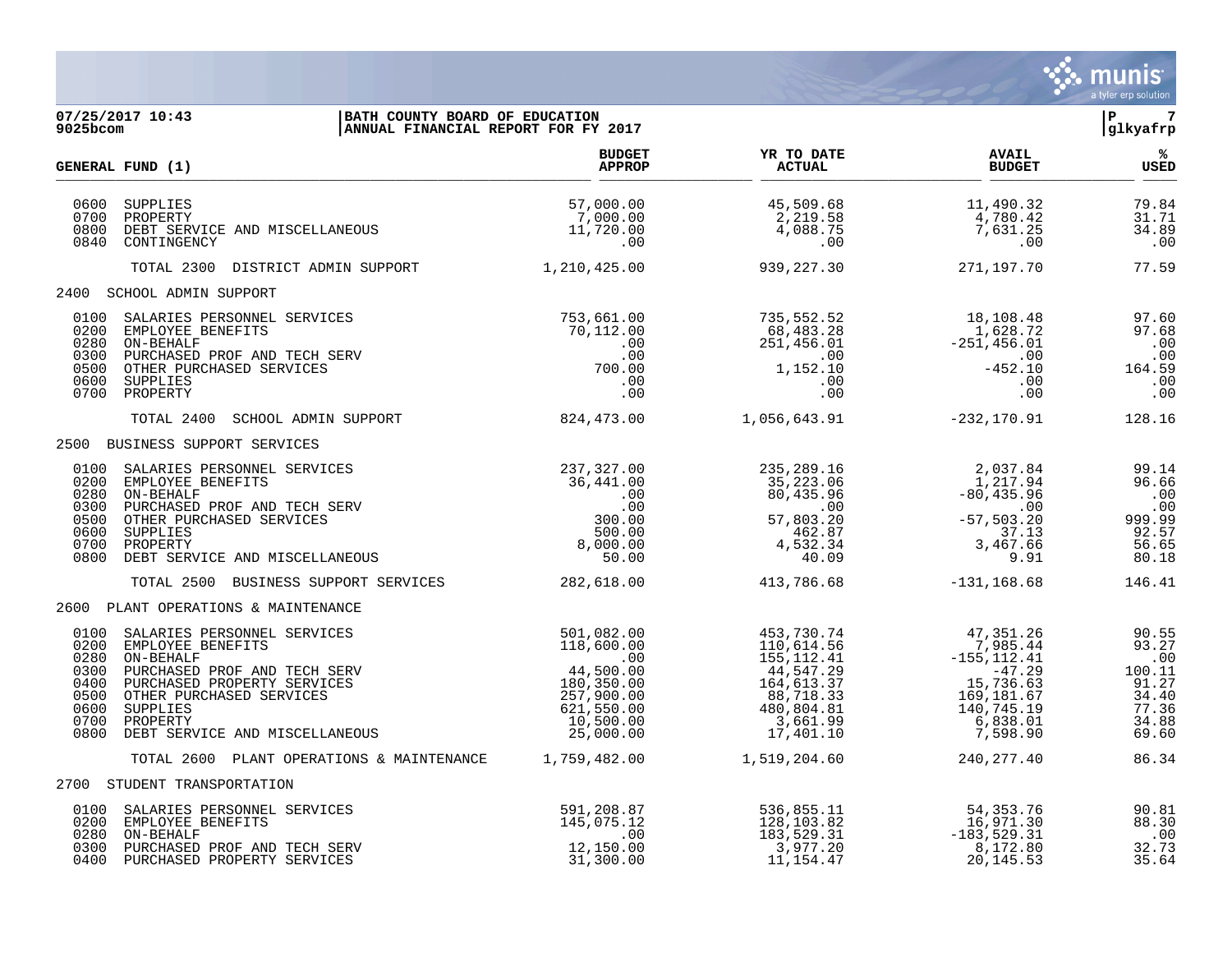

| 07/25/2017 10:43<br>BATH COUNTY BOARD OF EDUCATION<br>ANNUAL FINANCIAL REPORT FOR FY 2017<br>9025bcom                                                                                                                                                                                      |                                                                                                                  |                                                                                                                            |                                                                                                                      | P <br>$\overline{7}$<br>glkyafrp                                              |
|--------------------------------------------------------------------------------------------------------------------------------------------------------------------------------------------------------------------------------------------------------------------------------------------|------------------------------------------------------------------------------------------------------------------|----------------------------------------------------------------------------------------------------------------------------|----------------------------------------------------------------------------------------------------------------------|-------------------------------------------------------------------------------|
| GENERAL FUND (1)                                                                                                                                                                                                                                                                           | <b>BUDGET</b><br><b>APPROP</b>                                                                                   | YR TO DATE<br><b>ACTUAL</b>                                                                                                | <b>AVAIL</b><br><b>BUDGET</b>                                                                                        | ્રષ્ટ<br><b>USED</b>                                                          |
| 0600<br>SUPPLIES<br>0700<br>PROPERTY<br>0800<br>DEBT SERVICE AND MISCELLANEOUS<br>0840<br>CONTINGENCY                                                                                                                                                                                      | 57,000.00<br>7,000.00<br>11,720.00<br>.00                                                                        | 45,509.68<br>2,219.58<br>4,088.75<br>.00                                                                                   | 11,490.32<br>4,780.42<br>$7,631.25$<br>.00                                                                           | 79.84<br>31.71<br>34.89<br>.00                                                |
| TOTAL 2300 DISTRICT ADMIN SUPPORT 1,210,425.00                                                                                                                                                                                                                                             |                                                                                                                  | 939,227.30                                                                                                                 | 271,197.70                                                                                                           | 77.59                                                                         |
| 2400 SCHOOL ADMIN SUPPORT                                                                                                                                                                                                                                                                  |                                                                                                                  |                                                                                                                            |                                                                                                                      |                                                                               |
| 0100<br>SALARIES PERSONNEL SERVICES<br>0200<br>EMPLOYEE BENEFITS<br>0280<br>ON-BEHALF<br>0300<br>PURCHASED PROF AND TECH SERV<br>0500<br>OTHER PURCHASED SERVICES<br>0600<br>SUPPLIES<br>0700 PROPERTY                                                                                     | 753,661.00<br>70,112.00<br>.00<br>$00.00$<br>00.00<br>700.00<br>.00                                              | 735,552.52<br>$735,552.52$<br>$68,483.28$<br>$251,456.01$<br>$0$<br>$1,152.10$<br>$0$<br>$0$<br>.00                        | 18,108.48<br>1,628.72<br>$-251,456.01$<br>-452.10<br>-452.10<br>.00<br>.00                                           | 97.60<br>97.68<br>.00<br>.00<br>164.59<br>.00<br>$\overline{\phantom{0}}$ .00 |
| TOTAL 2400<br>SCHOOL ADMIN SUPPORT                                                                                                                                                                                                                                                         | 824,473.00                                                                                                       | 1,056,643.91                                                                                                               | $-232, 170.91$                                                                                                       | 128.16                                                                        |
| 2500 BUSINESS SUPPORT SERVICES                                                                                                                                                                                                                                                             |                                                                                                                  |                                                                                                                            |                                                                                                                      |                                                                               |
| 0100<br>SALARIES PERSONNEL SERVICES<br>0200<br>EMPLOYEE BENEFITS<br>0280<br>ON-BEHALF<br>0300<br>PURCHASED PROF AND TECH SERV<br>0500<br>OTHER PURCHASED SERVICES<br>0600<br>SUPPLIES<br>0700<br>PROPERTY<br>0800<br>DEBT SERVICE AND MISCELLANEOUS                                        | 237,327.00<br>36,441.00<br>.00<br>.00<br>300.00<br>500.00<br>8,000.00<br>50.00                                   | 235,289.16<br>$235, 289.16$<br>$35, 223.06$<br>$80, 435.96$<br>$.00$<br>$57, 803.20$<br>$462.87$<br>$4, 532.34$<br>$40.09$ | 2,037.84<br>1,217.94<br>$-80, 435.96$<br>$\sim 00$<br>$-57, 503.20$<br>37.13<br>37.13<br>3,467.66<br>9.91            | 99.14<br>96.66<br>.00<br>.00<br>999.99<br>92.57<br>56.65<br>80.18             |
| TOTAL 2500 BUSINESS SUPPORT SERVICES                                                                                                                                                                                                                                                       | 282,618.00                                                                                                       | 413,786.68                                                                                                                 | $-131, 168.68$                                                                                                       | 146.41                                                                        |
| 2600 PLANT OPERATIONS & MAINTENANCE                                                                                                                                                                                                                                                        |                                                                                                                  |                                                                                                                            |                                                                                                                      |                                                                               |
| 0100<br>SALARIES PERSONNEL SERVICES<br>0200<br>EMPLOYEE BENEFITS<br>0280<br>ON-BEHALF<br>0300<br>PURCHASED PROF AND TECH SERV<br>0400<br>PURCHASED PROPERTY SERVICES<br>0500<br>OTHER PURCHASED SERVICES<br>0600<br>SUPPLIES<br>0700<br>PROPERTY<br>0800<br>DEBT SERVICE AND MISCELLANEOUS | 501,082.00<br>118,600.00<br>.00<br>44,500.00<br>180,350.00<br>257,900.00<br>621,550.00<br>10,500.00<br>25,000.00 | 453,730.74<br>110,614.56<br>155, 112. 41<br>44,547.29<br>164,613.37<br>88,718.33<br>480,804.81<br>3,661.99<br>17,401.10    | 47,351.26<br>7,985.44<br>$-155, 112.41$<br>$-47.29$<br>15,736.63<br>169,181.67<br>140,745.19<br>6,838.01<br>7,598.90 | 90.55<br>93.27<br>.00<br>100.11<br>91.27<br>34.40<br>77.36<br>34.88<br>69.60  |
| TOTAL 2600 PLANT OPERATIONS & MAINTENANCE 1,759,482.00                                                                                                                                                                                                                                     |                                                                                                                  | 1,519,204.60                                                                                                               | 240, 277.40                                                                                                          | 86.34                                                                         |
| 2700 STUDENT TRANSPORTATION                                                                                                                                                                                                                                                                |                                                                                                                  |                                                                                                                            |                                                                                                                      |                                                                               |
| 0100 SALARIES PERSONNEL SERVICES<br>0200 EMPLOYEE BENEFITS<br>0280 ON-BEHALF<br>0300<br>PURCHASED PROF AND TECH SERV                                                                                                                                                                       | 591,208.87<br>145,075.12<br>.00<br>12,150.00                                                                     | 536,855.11<br>128,103.82<br>183,529.31<br>3,977.20                                                                         | 54,353.76<br>16,971.30<br>$-183,529.31$<br>8,172.80                                                                  | 90.81<br>88.30<br>.00<br>32.73                                                |

0400 PURCHASED PROPERTY SERVICES 64 (31,300.00 11,154.47 20,145.53 35.64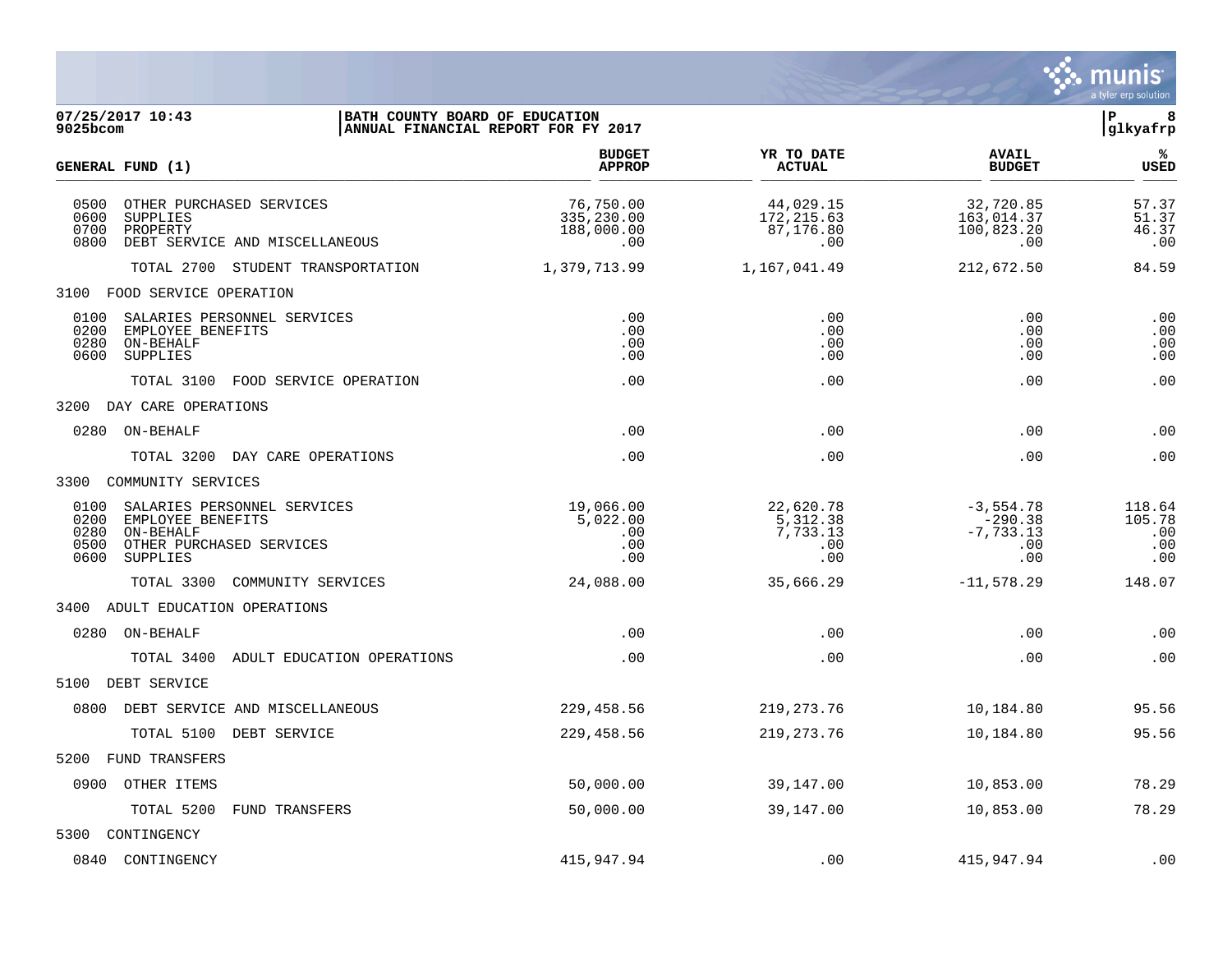

| 07/25/2017 10:43<br>BATH COUNTY BOARD OF EDUCATION<br>9025bcom<br>ANNUAL FINANCIAL REPORT FOR FY 2017                                         |                                              |                                                 |                                                       | P<br>8<br>glkyafrp                    |
|-----------------------------------------------------------------------------------------------------------------------------------------------|----------------------------------------------|-------------------------------------------------|-------------------------------------------------------|---------------------------------------|
| GENERAL FUND (1)                                                                                                                              | <b>BUDGET</b><br><b>APPROP</b>               | YR TO DATE<br><b>ACTUAL</b>                     | <b>AVAIL</b><br><b>BUDGET</b>                         | %ะ<br><b>USED</b>                     |
| 0500<br>OTHER PURCHASED SERVICES<br>0600<br>SUPPLIES<br>0700<br>PROPERTY<br>0800<br>DEBT SERVICE AND MISCELLANEOUS                            | 76,750.00<br>335,230.00<br>188,000.00<br>.00 | 44,029.15<br>172,215.63<br>87,176.80<br>.00     | 32,720.85<br>163,014.37<br>100,823.20<br>.00          | 57.37<br>51.37<br>46.37<br>.00        |
| TOTAL 2700 STUDENT TRANSPORTATION                                                                                                             | 1,379,713.99                                 | 1,167,041.49                                    | 212,672.50                                            | 84.59                                 |
| 3100 FOOD SERVICE OPERATION                                                                                                                   |                                              |                                                 |                                                       |                                       |
| 0100<br>SALARIES PERSONNEL SERVICES<br>0200<br>EMPLOYEE BENEFITS<br>0280<br>ON-BEHALF<br>0600<br>SUPPLIES                                     | .00<br>.00<br>.00<br>.00                     | .00<br>.00<br>.00<br>.00                        | .00<br>.00<br>.00<br>.00                              | .00<br>.00<br>.00<br>.00              |
| TOTAL 3100 FOOD SERVICE OPERATION                                                                                                             | .00                                          | .00                                             | .00                                                   | .00                                   |
| 3200 DAY CARE OPERATIONS                                                                                                                      |                                              |                                                 |                                                       |                                       |
| 0280 ON-BEHALF                                                                                                                                | .00                                          | .00                                             | .00                                                   | .00                                   |
| TOTAL 3200 DAY CARE OPERATIONS                                                                                                                | .00                                          | .00                                             | .00                                                   | .00                                   |
| 3300 COMMUNITY SERVICES                                                                                                                       |                                              |                                                 |                                                       |                                       |
| 0100<br>SALARIES PERSONNEL SERVICES<br>0200<br>EMPLOYEE BENEFITS<br>0280<br>ON-BEHALF<br>OTHER PURCHASED SERVICES<br>0500<br>0600<br>SUPPLIES | 19,066.00<br>5,022.00<br>.00<br>.00<br>.00   | 22,620.78<br>5,312.38<br>7,733.13<br>.00<br>.00 | $-3,554.78$<br>$-290.38$<br>$-7,733.13$<br>.00<br>.00 | 118.64<br>105.78<br>.00<br>.00<br>.00 |
| TOTAL 3300<br>COMMUNITY SERVICES                                                                                                              | 24,088.00                                    | 35,666.29                                       | $-11,578.29$                                          | 148.07                                |
| 3400 ADULT EDUCATION OPERATIONS                                                                                                               |                                              |                                                 |                                                       |                                       |
| 0280 ON-BEHALF                                                                                                                                | .00                                          | .00                                             | .00                                                   | .00                                   |
| TOTAL 3400<br>ADULT EDUCATION OPERATIONS                                                                                                      | .00                                          | .00                                             | .00                                                   | .00                                   |
| 5100 DEBT SERVICE                                                                                                                             |                                              |                                                 |                                                       |                                       |
| 0800 DEBT SERVICE AND MISCELLANEOUS                                                                                                           | 229,458.56                                   | 219, 273. 76                                    | 10,184.80                                             | 95.56                                 |
| TOTAL 5100 DEBT SERVICE                                                                                                                       | 229,458.56                                   | 219, 273. 76                                    | 10,184.80                                             | 95.56                                 |
| FUND TRANSFERS<br>5200                                                                                                                        |                                              |                                                 |                                                       |                                       |
| 0900 OTHER ITEMS                                                                                                                              | 50,000.00                                    | 39,147.00                                       | 10,853.00                                             | 78.29                                 |
| TOTAL 5200<br>FUND TRANSFERS                                                                                                                  | 50,000.00                                    | 39,147.00                                       | 10,853.00                                             | 78.29                                 |
| 5300 CONTINGENCY                                                                                                                              |                                              |                                                 |                                                       |                                       |
| 0840 CONTINGENCY                                                                                                                              | 415,947.94                                   | .00                                             | 415,947.94                                            | .00                                   |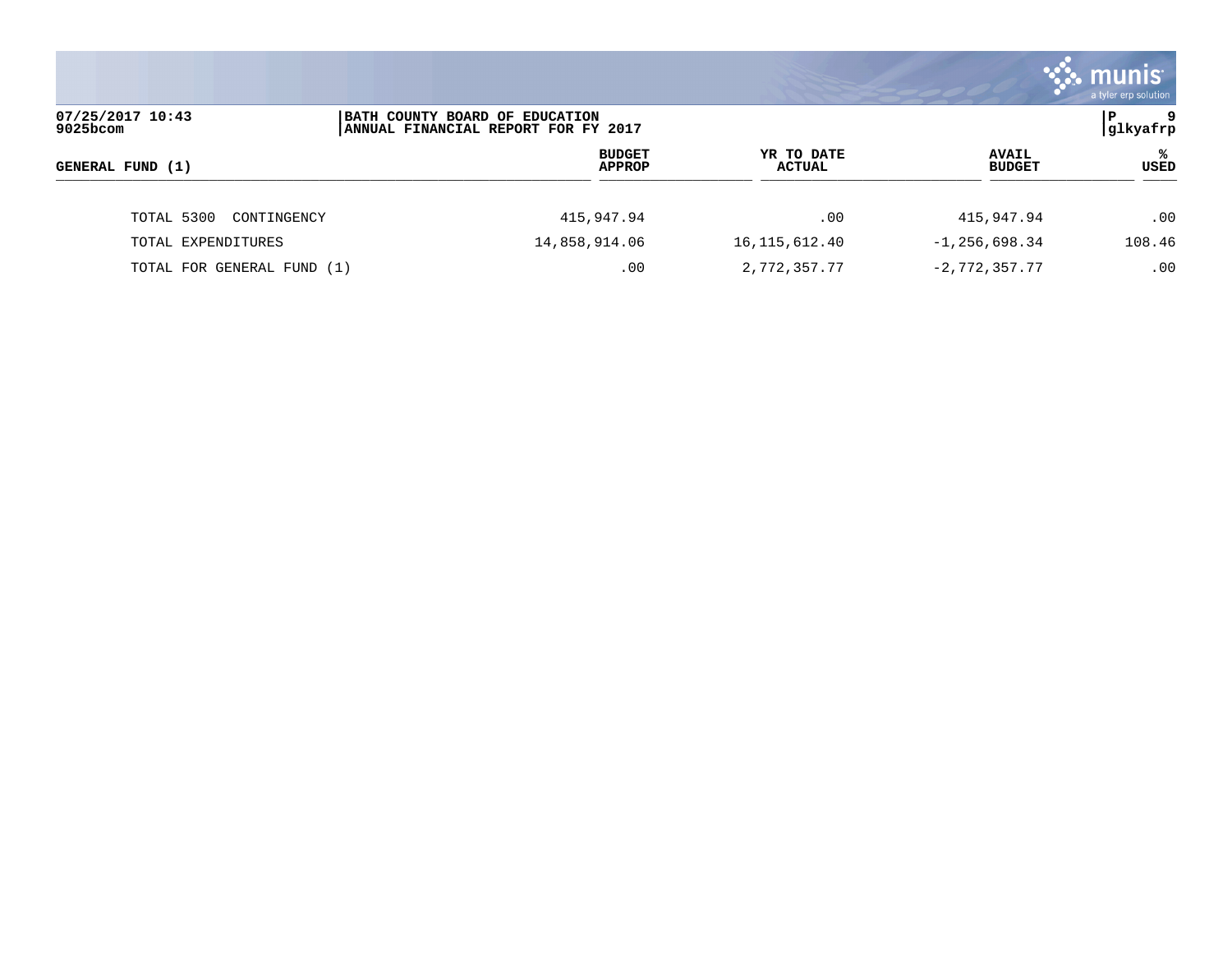|                              |                                                                       |                                |                             |                               | <b>munis</b><br>a tyler erp solution |
|------------------------------|-----------------------------------------------------------------------|--------------------------------|-----------------------------|-------------------------------|--------------------------------------|
| 07/25/2017 10:43<br>9025bcom | BATH COUNTY BOARD OF EDUCATION<br>ANNUAL FINANCIAL REPORT FOR FY 2017 |                                |                             |                               | l P<br>9<br> glkyafrp                |
| GENERAL FUND (1)             |                                                                       | <b>BUDGET</b><br><b>APPROP</b> | YR TO DATE<br><b>ACTUAL</b> | <b>AVAIL</b><br><b>BUDGET</b> | ℁<br>USED                            |
| TOTAL 5300<br>CONTINGENCY    |                                                                       | 415,947.94                     | .00                         | 415,947.94                    | .00                                  |
| TOTAL EXPENDITURES           | 14,858,914.06                                                         |                                | 16, 115, 612.40             | $-1, 256, 698.34$             | 108.46                               |
| TOTAL FOR GENERAL FUND (1)   |                                                                       | .00                            | 2,772,357.77                | $-2,772,357.77$               | .00                                  |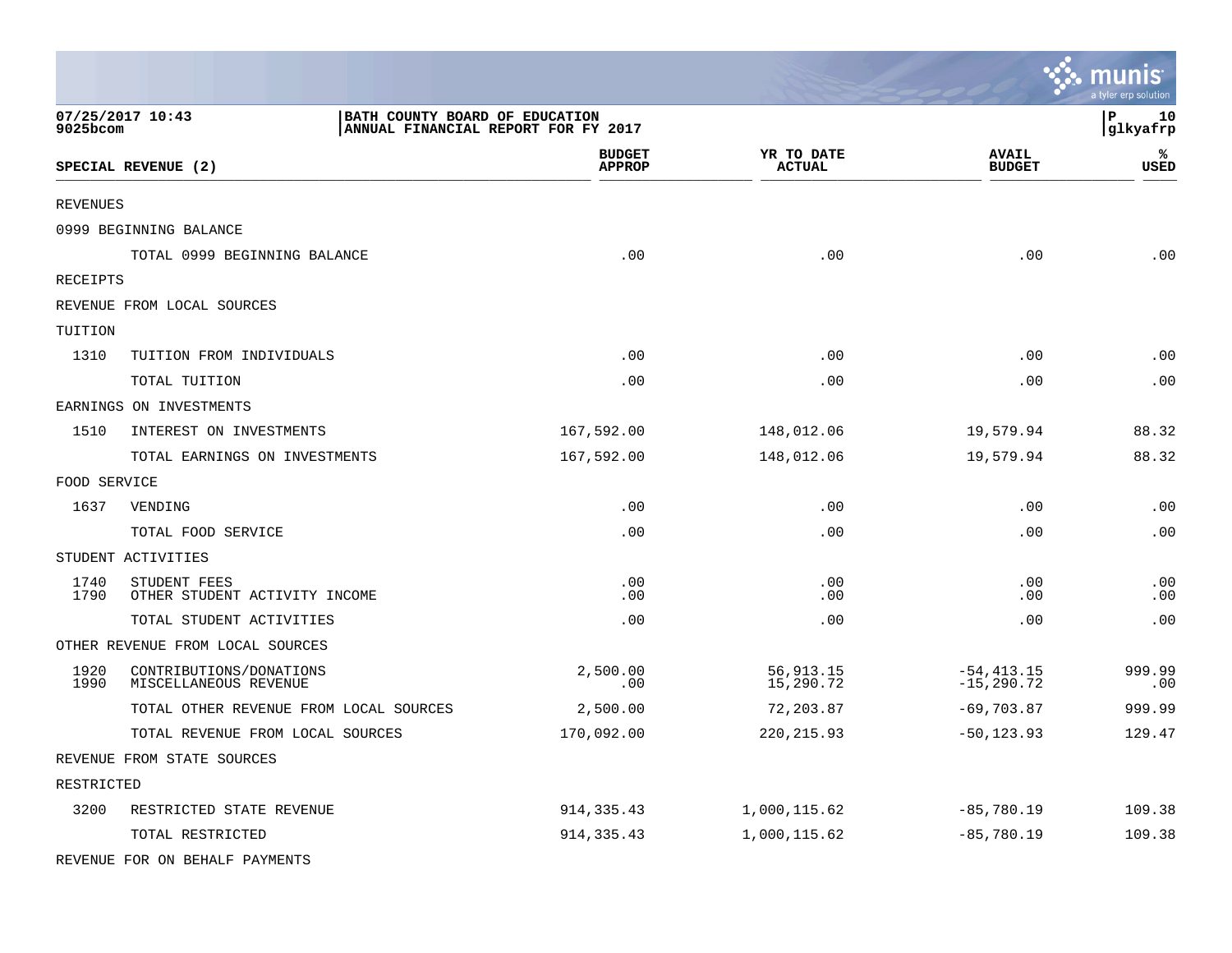|                 |                                                                                           |                                |                             |                                | munis <sup>.</sup><br>a tyler erp solution |
|-----------------|-------------------------------------------------------------------------------------------|--------------------------------|-----------------------------|--------------------------------|--------------------------------------------|
| 9025bcom        | 07/25/2017 10:43<br>BATH COUNTY BOARD OF EDUCATION<br>ANNUAL FINANCIAL REPORT FOR FY 2017 |                                |                             |                                | P<br>10<br>glkyafrp                        |
|                 | SPECIAL REVENUE (2)                                                                       | <b>BUDGET</b><br><b>APPROP</b> | YR TO DATE<br><b>ACTUAL</b> | <b>AVAIL</b><br><b>BUDGET</b>  | ℁<br><b>USED</b>                           |
| <b>REVENUES</b> |                                                                                           |                                |                             |                                |                                            |
|                 | 0999 BEGINNING BALANCE                                                                    |                                |                             |                                |                                            |
|                 | TOTAL 0999 BEGINNING BALANCE                                                              | .00                            | .00                         | .00                            | .00                                        |
| RECEIPTS        |                                                                                           |                                |                             |                                |                                            |
|                 | REVENUE FROM LOCAL SOURCES                                                                |                                |                             |                                |                                            |
| TUITION         |                                                                                           |                                |                             |                                |                                            |
| 1310            | TUITION FROM INDIVIDUALS                                                                  | .00                            | .00                         | .00                            | .00                                        |
|                 | TOTAL TUITION                                                                             | .00                            | .00                         | .00                            | .00                                        |
|                 | EARNINGS ON INVESTMENTS                                                                   |                                |                             |                                |                                            |
| 1510            | INTEREST ON INVESTMENTS                                                                   | 167,592.00                     | 148,012.06                  | 19,579.94                      | 88.32                                      |
|                 | TOTAL EARNINGS ON INVESTMENTS                                                             | 167,592.00                     | 148,012.06                  | 19,579.94                      | 88.32                                      |
| FOOD SERVICE    |                                                                                           |                                |                             |                                |                                            |
| 1637            | VENDING                                                                                   | .00                            | .00                         | .00                            | .00                                        |
|                 | TOTAL FOOD SERVICE                                                                        | .00                            | .00                         | .00                            | .00                                        |
|                 | STUDENT ACTIVITIES                                                                        |                                |                             |                                |                                            |
| 1740<br>1790    | STUDENT FEES<br>OTHER STUDENT ACTIVITY INCOME                                             | .00<br>.00                     | .00<br>.00                  | .00<br>.00                     | .00<br>.00                                 |
|                 | TOTAL STUDENT ACTIVITIES                                                                  | .00                            | .00                         | .00                            | .00                                        |
|                 | OTHER REVENUE FROM LOCAL SOURCES                                                          |                                |                             |                                |                                            |
| 1920<br>1990    | CONTRIBUTIONS/DONATIONS<br>MISCELLANEOUS REVENUE                                          | 2,500.00<br>.00                | 56, 913.15<br>15,290.72     | $-54, 413.15$<br>$-15, 290.72$ | 999.99<br>.00                              |
|                 | TOTAL OTHER REVENUE FROM LOCAL SOURCES                                                    | 2,500.00                       | 72,203.87                   | $-69,703.87$                   | 999.99                                     |
|                 | TOTAL REVENUE FROM LOCAL SOURCES                                                          | 170,092.00                     | 220, 215.93                 | $-50, 123.93$                  | 129.47                                     |
|                 | REVENUE FROM STATE SOURCES                                                                |                                |                             |                                |                                            |
| RESTRICTED      |                                                                                           |                                |                             |                                |                                            |
| 3200            | RESTRICTED STATE REVENUE                                                                  | 914, 335.43                    | 1,000,115.62                | $-85,780.19$                   | 109.38                                     |
|                 | TOTAL RESTRICTED                                                                          | 914, 335.43                    | 1,000,115.62                | $-85,780.19$                   | 109.38                                     |
|                 | REVENUE FOR ON BEHALF PAYMENTS                                                            |                                |                             |                                |                                            |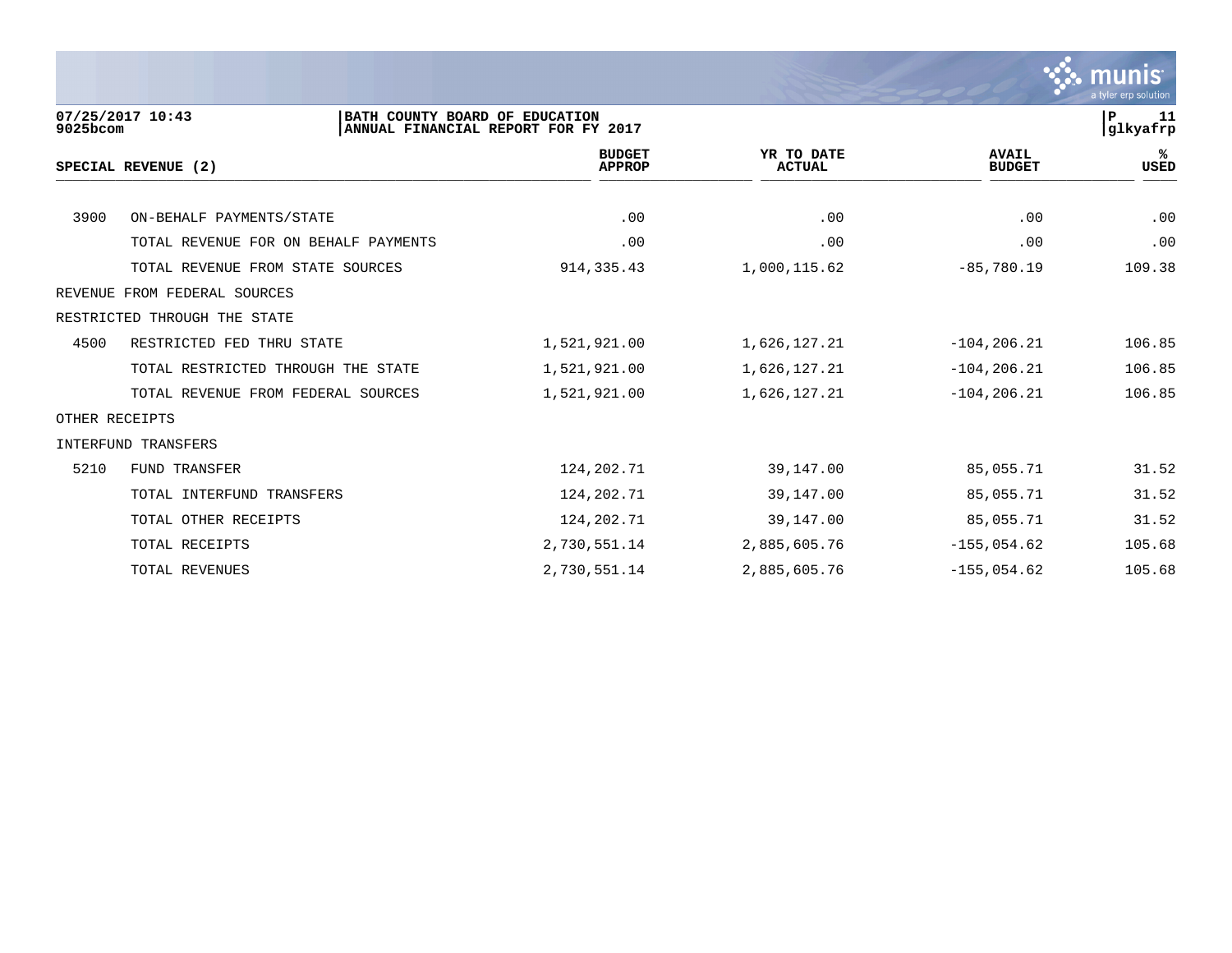

| 9025bcom | 07/25/2017 10:43<br>BATH COUNTY BOARD OF EDUCATION | ANNUAL FINANCIAL REPORT FOR FY 2017 |                             |                               | lР<br>-11<br>glkyafrp |
|----------|----------------------------------------------------|-------------------------------------|-----------------------------|-------------------------------|-----------------------|
|          | SPECIAL REVENUE (2)                                | <b>BUDGET</b><br><b>APPROP</b>      | YR TO DATE<br><b>ACTUAL</b> | <b>AVAIL</b><br><b>BUDGET</b> | ℁<br><b>USED</b>      |
|          |                                                    |                                     |                             |                               |                       |
| 3900     | ON-BEHALF PAYMENTS/STATE                           | .00                                 | .00                         | .00                           | .00                   |
|          | TOTAL REVENUE FOR ON BEHALF PAYMENTS               | .00                                 | .00                         | .00                           | .00                   |
|          | TOTAL REVENUE FROM STATE SOURCES                   | 914, 335.43                         | 1,000,115.62                | $-85,780.19$                  | 109.38                |
| REVENUE  | FROM FEDERAL SOURCES                               |                                     |                             |                               |                       |
|          | RESTRICTED THROUGH THE STATE                       |                                     |                             |                               |                       |
| 4500     | RESTRICTED FED THRU STATE                          | 1,521,921.00                        | 1,626,127.21                | $-104, 206.21$                | 106.85                |
|          | TOTAL RESTRICTED THROUGH THE STATE                 | 1,521,921.00                        | 1,626,127.21                | $-104, 206.21$                | 106.85                |
|          | TOTAL REVENUE FROM FEDERAL SOURCES                 | 1,521,921.00                        | 1,626,127.21                | $-104, 206.21$                | 106.85                |
|          | OTHER RECEIPTS                                     |                                     |                             |                               |                       |
|          | INTERFUND TRANSFERS                                |                                     |                             |                               |                       |
| 5210     | <b>FUND TRANSFER</b>                               | 124,202.71                          | 39,147.00                   | 85,055.71                     | 31.52                 |
|          | TOTAL INTERFUND TRANSFERS                          | 124,202.71                          | 39,147.00                   | 85,055.71                     | 31.52                 |
|          | TOTAL OTHER RECEIPTS                               | 124,202.71                          | 39,147.00                   | 85,055.71                     | 31.52                 |
|          | TOTAL RECEIPTS                                     | 2,730,551.14                        | 2,885,605.76                | $-155,054.62$                 | 105.68                |
|          | TOTAL REVENUES                                     | 2,730,551.14                        | 2,885,605.76                | $-155,054.62$                 | 105.68                |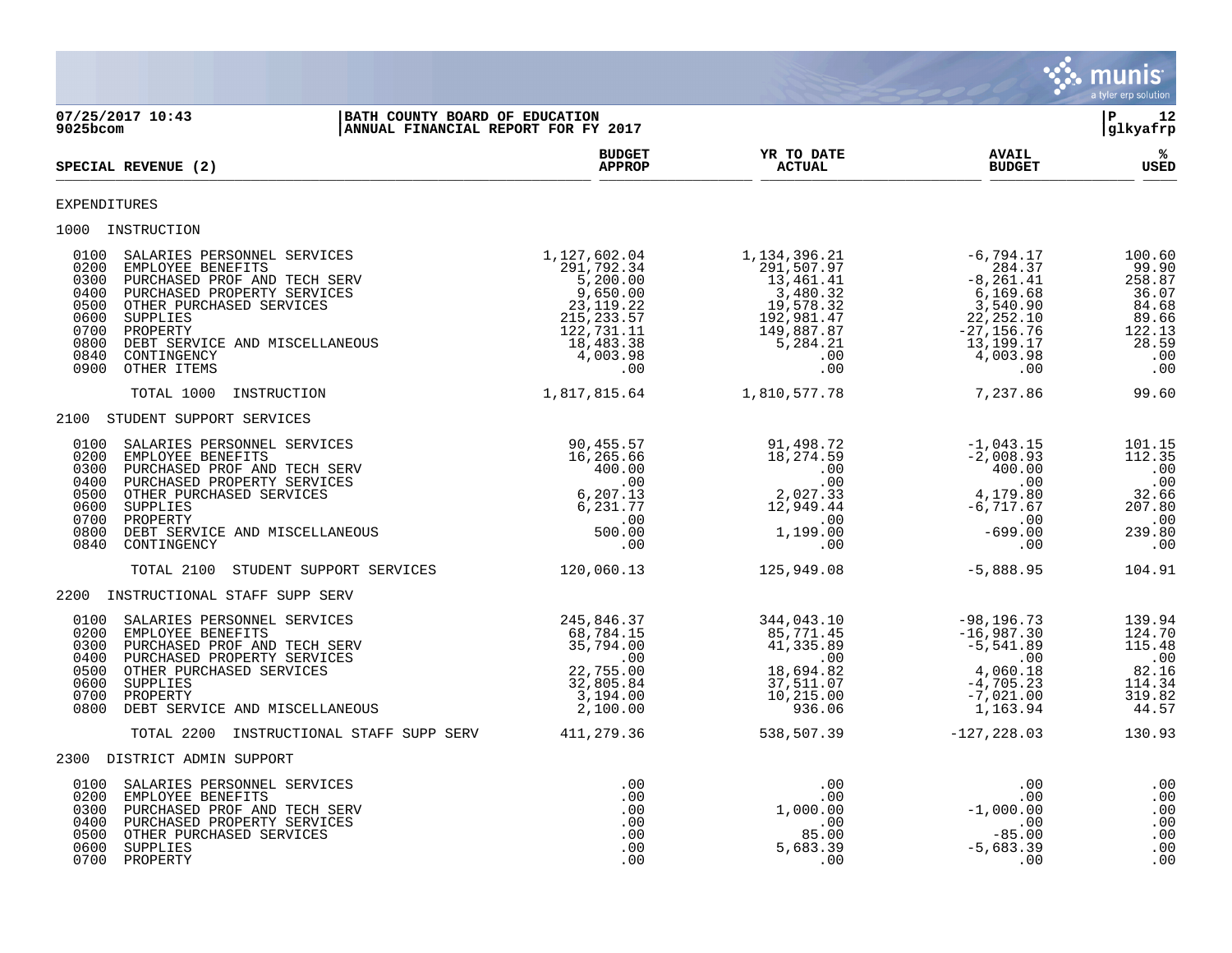

**07/25/2017 10:43 |BATH COUNTY BOARD OF EDUCATION |P 12 ANNUAL FINANCIAL REPORT FOR FY 2017 BUDGET YR TO DATE AVAIL %**  $SPECTAL$  REVENUE (2)  $SPECTAL$   $SPECTAL$   $SUDGET$  $\frac{\text{AFR} + \text{R}}{\text{AFR}}$ EXPENDITURES 1000 INSTRUCTION<br>
0100 SALARIES PERSONNEL SERVICES<br>
0200 EMPLOYEE BENEFITS<br>
0300 PURCHASED PROF AND TECH SERV<br>
0400 PURCHASED PROPERTY SERVICES<br>
0500 OTHER PURCHASED SERVICES 0100 SALARIES PERSONNEL SERVICES 1,127,602.04 1,134,396.21 -6,794.17 100.60 0200 EMPLOYEE BENEFITS 291,792.34 291,507.97 284.37 99.90 0300 PURCHASED PROF AND TECH SERV 6.67 (1991) 5,200.00 13,461.41 - 8,261.41 - 8,261.41 258.87 0400 PURCHASED PROPERTY SERVICES 9,650.00 3,480.32 6,169.68 36.07 0500 OTHER PURCHASED SERVICES 23,119.22 19,578.32 3,540.90 84.68 0600 SUPPLIES 215,233.57 192,981.47 22,252.10 89.66 0700 PROPERTY 122,731.11 149,887.87 -27,156.76 122.13 0800 DEBT SERVICE AND MISCELLANEOUS 18,483.38 5,284.21 13,199.17 28.59 0840 CONTINGENCY 4,003.98 .00 4,003.98 .00 0900 OTHER ITEMS .00 .00 .00 .00 TOTAL 1000 INSTRUCTION 1,817,815.64 1,810,577.78 7,237.86 99.60 2100 STUDENT SUPPORT SERVICES 0100 SALARIES PERSONNEL SERVICES 90,455.57 91,498.72 -1,043.15 101.15 0200 EMPLOYEE BENEFITS 16,265.66 18,274.59 -2,008.93 112.35 0300 PURCHASED PROF AND TECH SERV 400.00 .00 400.00 .00 0400 PURCHASED PROPERTY SERVICES .00 .00 .00 .00 0500 OTHER PURCHASED SERVICES 6,207.13 2,027.33 4,179.80 32.66 0600 SUPPLIES 6 ,231 .77 12 ,949 .44 –6 ,717 .67 207 .80 0700 PROPERTY .00 .00 .00 .00 0800 DEBT SERVICE AND MISCELLANEOUS 500.00 1,199.00 -699.00 239.80 0840 CONTINGENCY .00 .00 .00 .00 TOTAL 2100 STUDENT SUPPORT SERVICES 120,060.13 125,949.08 -5,888.95 104.91 2200 INSTRUCTIONAL STAFF SUPP SERV 0100 SALARIES PERSONNEL SERVICES 6 245,846.37 344,043.10 -98,196.73 139.94 0200 EMPLOYEE BENEFITS 68,784.15 85,771.45 -16,987.30 124.70 0300 PURCHASED PROF AND TECH SERV 81 35,794.00 41,335.89 -5,541.89 -5,541.89 115.48 0400 PURCHASED PROPERTY SERVICES .00 .00 .00 .00 0500 OTHER PURCHASED SERVICES 22,755.00 18,694.82 4,060.18 82.16 0600 SUPPLIES 32,805.84 37,511.07 -4,705.23 114.34 0700 PROPERTY 3,194.00 10,215.00 -7,021.00 319.82 0800 DEBT SERVICE AND MISCELLANEOUS 2,100.00 936.06 1,163.94 44.57 TOTAL 2200 INSTRUCTIONAL STAFF SUPP SERV 411, 279.36 538,507.39 -127, 228.03 130.93 2300 DISTRICT ADMIN SUPPORT 0100 SALARIES PERSONNEL SERVICES .00 .00 .00 .00 0200 EMPLOYEE BENEFITS .00 .00 .00 .00 0300 PURCHASED PROF AND TECH SERV .00 1,000.00 -1,000.00 .00 0400 PURCHASED PROPERTY SERVICES .00 .00 .00 .00 0500 OTHER PURCHASED SERVICES .00 85.00 -85.00 .00 0600 SUPPLIES .00 5,683.39 -5,683.39 .00 0700 PROPERTY .00 .00 .00 .00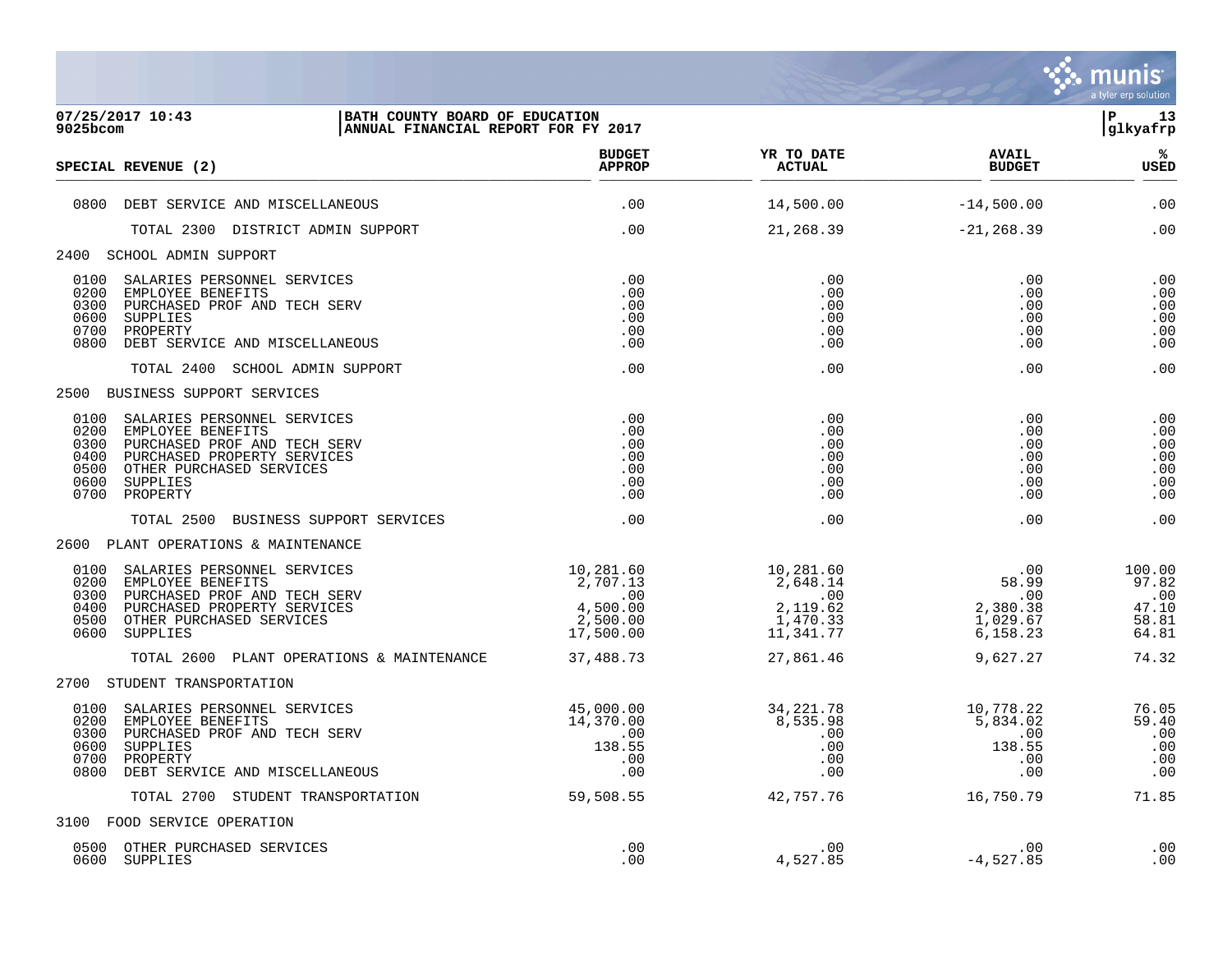

| 07/25/2017 10:43<br><b>BATH COUNTY BOARD OF EDUCATION</b><br>9025bcom<br>ANNUAL FINANCIAL REPORT FOR FY 2017                                                                                                                |                                                                                          |                                                                   |                                                         | l P<br>13<br>glkyafrp                             |
|-----------------------------------------------------------------------------------------------------------------------------------------------------------------------------------------------------------------------------|------------------------------------------------------------------------------------------|-------------------------------------------------------------------|---------------------------------------------------------|---------------------------------------------------|
| SPECIAL REVENUE (2)                                                                                                                                                                                                         | <b>BUDGET</b><br><b>APPROP</b>                                                           | YR TO DATE<br><b>ACTUAL</b>                                       | <b>AVAIL</b><br><b>BUDGET</b>                           | %ะ<br><b>USED</b>                                 |
| 0800 DEBT SERVICE AND MISCELLANEOUS                                                                                                                                                                                         | .00                                                                                      | 14,500.00                                                         | $-14,500.00$                                            | .00                                               |
| TOTAL 2300 DISTRICT ADMIN SUPPORT                                                                                                                                                                                           | .00                                                                                      | 21,268.39                                                         | $-21, 268.39$                                           | .00                                               |
| 2400 SCHOOL ADMIN SUPPORT                                                                                                                                                                                                   |                                                                                          |                                                                   |                                                         |                                                   |
| 0100<br>SALARIES PERSONNEL SERVICES<br>0200<br>EMPLOYEE BENEFITS<br>0300<br>PURCHASED PROF AND TECH SERV<br>0600<br>SUPPLIES<br>0700<br>PROPERTY<br>0800 DEBT SERVICE AND MISCELLANEOUS                                     | .00<br>.00<br>.00<br>.00<br>.00<br>.00                                                   | .00<br>.00<br>.00<br>.00<br>.00<br>.00                            | .00<br>.00<br>.00<br>.00<br>.00<br>.00                  | .00<br>.00<br>.00<br>.00<br>.00<br>.00            |
| TOTAL 2400 SCHOOL ADMIN SUPPORT                                                                                                                                                                                             | .00                                                                                      | .00                                                               | .00                                                     | .00                                               |
| 2500 BUSINESS SUPPORT SERVICES                                                                                                                                                                                              |                                                                                          |                                                                   |                                                         |                                                   |
| 0100<br>SALARIES PERSONNEL SERVICES<br>0200<br>EMPLOYEE BENEFITS<br>0300<br>PURCHASED PROF AND TECH SERV<br>0400<br>PURCHASED PROPERTY SERVICES<br>0500<br>OTHER PURCHASED SERVICES<br>0600<br>SUPPLIES<br>0700<br>PROPERTY | .00<br>.00<br>.00<br>.00<br>.00<br>.00<br>.00                                            | .00<br>.00<br>.00<br>.00<br>.00<br>.00<br>.00                     | .00<br>.00<br>.00<br>.00<br>.00<br>.00<br>.00           | .00<br>.00<br>.00<br>.00<br>.00<br>.00<br>.00     |
| TOTAL 2500 BUSINESS SUPPORT SERVICES                                                                                                                                                                                        | .00                                                                                      | .00                                                               | .00                                                     | .00                                               |
| 2600 PLANT OPERATIONS & MAINTENANCE                                                                                                                                                                                         |                                                                                          |                                                                   |                                                         |                                                   |
| 0100<br>SALARIES PERSONNEL SERVICES<br>0200<br>EMPLOYEE BENEFITS<br>0300<br>PURCHASED PROF AND TECH SERV<br>PURCHASED PROPERTY SERVICES<br>0400<br>OTHER PURCHASED SERVICES<br>0500<br>0600 SUPPLIES                        | 10,281.60<br>2,707.13<br>$2,707.13$<br>00<br>500.00<br>4,500.00<br>2,500.00<br>17,500.00 | 10,281.60<br>2,648.14<br>.00<br>2,119.62<br>1,470.33<br>11,341.77 | .00<br>58.99<br>.00<br>2,380.38<br>1,029.67<br>6,158.23 | 100.00<br>97.82<br>.00<br>47.10<br>58.81<br>64.81 |
| TOTAL 2600 PLANT OPERATIONS & MAINTENANCE                                                                                                                                                                                   | 37,488.73                                                                                | 27,861.46                                                         | 9,627.27                                                | 74.32                                             |
| 2700 STUDENT TRANSPORTATION                                                                                                                                                                                                 |                                                                                          |                                                                   |                                                         |                                                   |
| 0100<br>SALARIES PERSONNEL SERVICES<br>0200<br>EMPLOYEE BENEFITS<br>0300<br>PURCHASED PROF AND TECH SERV<br>0600<br>SUPPLIES<br>0700<br>PROPERTY<br>0800 DEBT SERVICE AND MISCELLANEOUS                                     | 45,000.00<br>14,370.00<br>.00<br>138.55<br>.00<br>.00                                    | 34, 221. 78<br>8,535.98<br>$\overline{00}$<br>.00<br>.00<br>.00   | 10,778.22<br>5,834.02<br>.00<br>138.55<br>.00<br>.00    | 76.05<br>59.40<br>.00<br>.00<br>.00<br>.00        |
| TOTAL 2700 STUDENT TRANSPORTATION                                                                                                                                                                                           | 59,508.55                                                                                | 42,757.76                                                         | 16,750.79                                               | 71.85                                             |
| 3100 FOOD SERVICE OPERATION                                                                                                                                                                                                 |                                                                                          |                                                                   |                                                         |                                                   |
| 0500 OTHER PURCHASED SERVICES<br>0600 SUPPLIES                                                                                                                                                                              | .00<br>.00                                                                               | .00<br>4,527.85                                                   | .00<br>$-4,527.85$                                      | .00<br>.00                                        |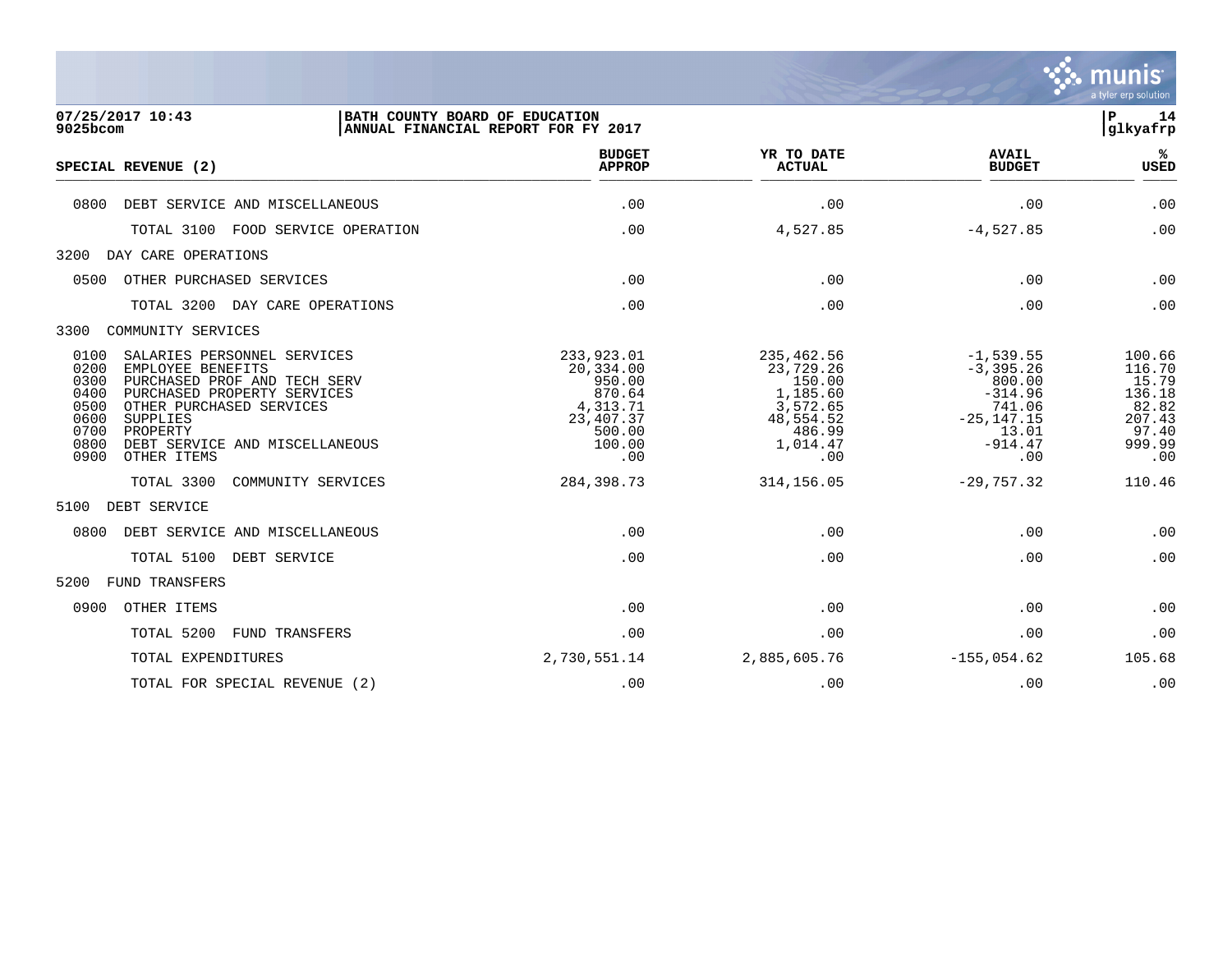

| 07/25/2017 10:43<br>9025bcom                                                                                                     | BATH COUNTY BOARD OF EDUCATION                                                                                                                           | ANNUAL FINANCIAL REPORT FOR FY 2017                                                              |                                                                                                     |                                                                                                            | $\mathbf P$<br>14<br>glkyafrp                                                    |
|----------------------------------------------------------------------------------------------------------------------------------|----------------------------------------------------------------------------------------------------------------------------------------------------------|--------------------------------------------------------------------------------------------------|-----------------------------------------------------------------------------------------------------|------------------------------------------------------------------------------------------------------------|----------------------------------------------------------------------------------|
| SPECIAL REVENUE (2)                                                                                                              |                                                                                                                                                          | <b>BUDGET</b><br><b>APPROP</b>                                                                   | YR TO DATE<br><b>ACTUAL</b>                                                                         | <b>AVAIL</b><br><b>BUDGET</b>                                                                              | ℁<br><b>USED</b>                                                                 |
| 0800                                                                                                                             | DEBT SERVICE AND MISCELLANEOUS                                                                                                                           | .00                                                                                              | .00                                                                                                 | .00                                                                                                        | .00                                                                              |
| TOTAL 3100                                                                                                                       | FOOD SERVICE OPERATION                                                                                                                                   | .00                                                                                              | 4,527.85                                                                                            | $-4,527.85$                                                                                                | .00                                                                              |
| 3200<br>DAY CARE OPERATIONS                                                                                                      |                                                                                                                                                          |                                                                                                  |                                                                                                     |                                                                                                            |                                                                                  |
| 0500                                                                                                                             | OTHER PURCHASED SERVICES                                                                                                                                 | .00                                                                                              | .00                                                                                                 | .00                                                                                                        | .00                                                                              |
| TOTAL 3200                                                                                                                       | DAY CARE OPERATIONS                                                                                                                                      | .00                                                                                              | .00                                                                                                 | .00                                                                                                        | .00                                                                              |
| 3300<br>COMMUNITY SERVICES                                                                                                       |                                                                                                                                                          |                                                                                                  |                                                                                                     |                                                                                                            |                                                                                  |
| 0100<br>0200<br>EMPLOYEE BENEFITS<br>0300<br>0400<br>0500<br>0600<br>SUPPLIES<br>0700<br>PROPERTY<br>0800<br>0900<br>OTHER ITEMS | SALARIES PERSONNEL SERVICES<br>PURCHASED PROF AND TECH SERV<br>PURCHASED PROPERTY SERVICES<br>OTHER PURCHASED SERVICES<br>DEBT SERVICE AND MISCELLANEOUS | 233,923.01<br>20,334.00<br>950.00<br>870.64<br>4,313.71<br>23, 407.37<br>500.00<br>100.00<br>.00 | 235,462.56<br>23,729.26<br>150.00<br>1,185.60<br>3,572.65<br>48,554.52<br>486.99<br>1,014.47<br>.00 | $-1,539.55$<br>$-3, 395.26$<br>800.00<br>$-314.96$<br>741.06<br>$-25, 147.15$<br>13.01<br>$-914.47$<br>.00 | 100.66<br>116.70<br>15.79<br>136.18<br>82.82<br>207.43<br>97.40<br>999.99<br>.00 |
| TOTAL 3300                                                                                                                       | COMMUNITY SERVICES                                                                                                                                       | 284, 398.73                                                                                      | 314, 156.05                                                                                         | $-29,757.32$                                                                                               | 110.46                                                                           |
| 5100<br>DEBT SERVICE                                                                                                             |                                                                                                                                                          |                                                                                                  |                                                                                                     |                                                                                                            |                                                                                  |
| 0800                                                                                                                             | DEBT SERVICE AND MISCELLANEOUS                                                                                                                           | .00                                                                                              | .00                                                                                                 | .00                                                                                                        | .00                                                                              |
| TOTAL 5100                                                                                                                       | DEBT SERVICE                                                                                                                                             | .00                                                                                              | .00                                                                                                 | .00                                                                                                        | .00                                                                              |
| 5200<br>FUND TRANSFERS                                                                                                           |                                                                                                                                                          |                                                                                                  |                                                                                                     |                                                                                                            |                                                                                  |
| 0900<br>OTHER ITEMS                                                                                                              |                                                                                                                                                          | .00                                                                                              | .00                                                                                                 | .00                                                                                                        | .00                                                                              |
| TOTAL 5200                                                                                                                       | <b>FUND TRANSFERS</b>                                                                                                                                    | .00                                                                                              | .00                                                                                                 | .00                                                                                                        | .00                                                                              |
|                                                                                                                                  | TOTAL EXPENDITURES                                                                                                                                       | 2,730,551.14                                                                                     | 2,885,605.76                                                                                        | $-155,054.62$                                                                                              | 105.68                                                                           |

TOTAL FOR SPECIAL REVENUE (2)  $\qquad \qquad .00$  .00 .00 .00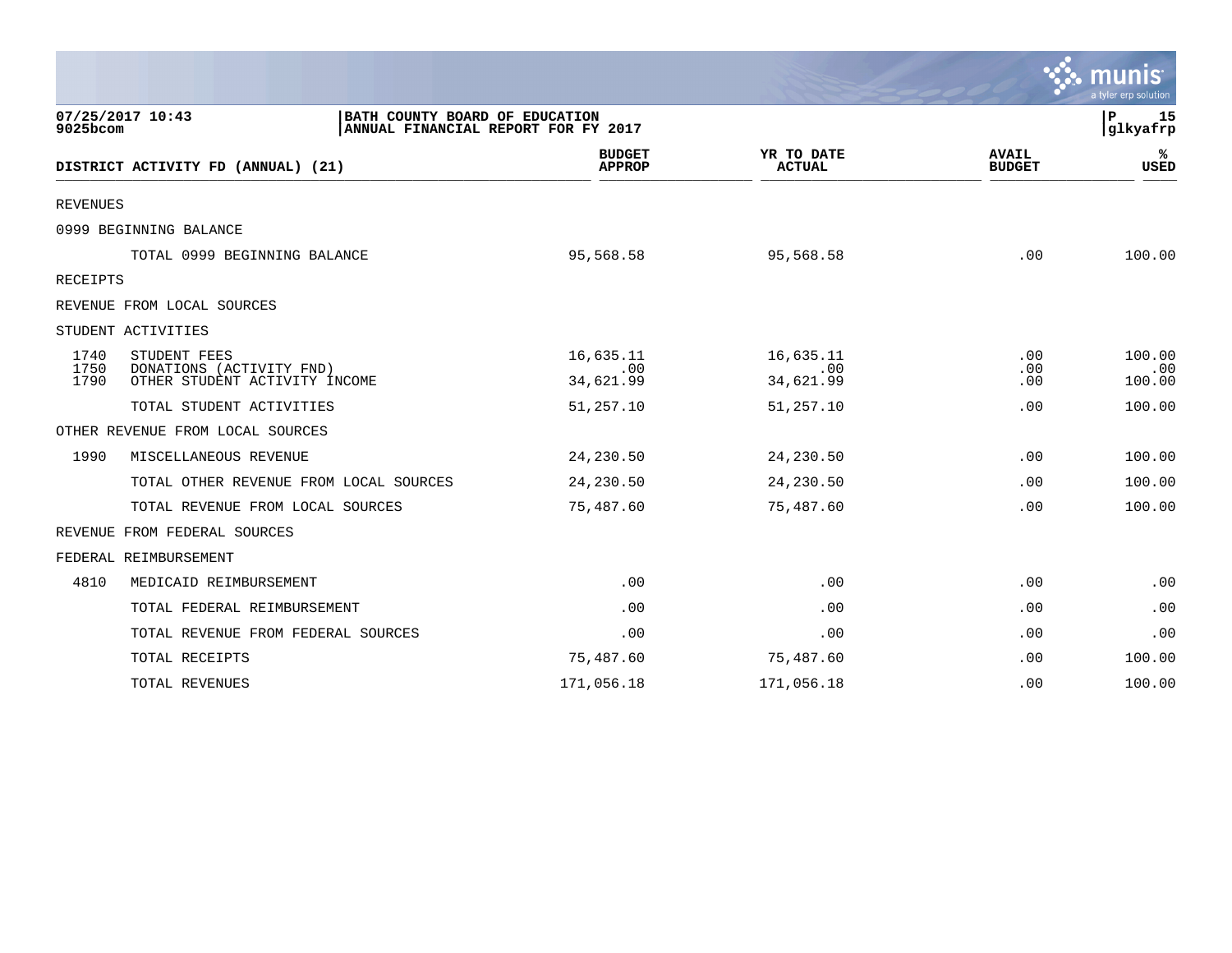|                      |                                                                                           |                                |                               |                               | mun<br>a tyler erp solution |
|----------------------|-------------------------------------------------------------------------------------------|--------------------------------|-------------------------------|-------------------------------|-----------------------------|
| 9025bcom             | 07/25/2017 10:43<br>BATH COUNTY BOARD OF EDUCATION<br>ANNUAL FINANCIAL REPORT FOR FY 2017 |                                |                               |                               | 15<br>Р<br>glkyafrp         |
|                      | DISTRICT ACTIVITY FD (ANNUAL) (21)                                                        | <b>BUDGET</b><br><b>APPROP</b> | YR TO DATE<br><b>ACTUAL</b>   | <b>AVAIL</b><br><b>BUDGET</b> | ℁<br><b>USED</b>            |
| <b>REVENUES</b>      |                                                                                           |                                |                               |                               |                             |
|                      | 0999 BEGINNING BALANCE                                                                    |                                |                               |                               |                             |
|                      | TOTAL 0999 BEGINNING BALANCE                                                              | 95,568.58                      | 95,568.58                     | .00                           | 100.00                      |
| RECEIPTS             |                                                                                           |                                |                               |                               |                             |
|                      | REVENUE FROM LOCAL SOURCES                                                                |                                |                               |                               |                             |
|                      | STUDENT ACTIVITIES                                                                        |                                |                               |                               |                             |
| 1740<br>1750<br>1790 | STUDENT FEES<br>DONATIONS (ACTIVITY FND)<br>OTHER STUDENT ACTIVITY INCOME                 | 16,635.11<br>.00<br>34,621.99  | 16,635.11<br>.00<br>34,621.99 | $.00 \,$<br>.00<br>.00        | 100.00<br>.00<br>100.00     |
|                      | TOTAL STUDENT ACTIVITIES                                                                  | 51,257.10                      | 51,257.10                     | .00                           | 100.00                      |
|                      | OTHER REVENUE FROM LOCAL SOURCES                                                          |                                |                               |                               |                             |
| 1990                 | MISCELLANEOUS REVENUE                                                                     | 24,230.50                      | 24,230.50                     | .00                           | 100.00                      |
|                      | TOTAL OTHER REVENUE FROM LOCAL SOURCES                                                    | 24,230.50                      | 24,230.50                     | .00                           | 100.00                      |
|                      | TOTAL REVENUE FROM LOCAL SOURCES                                                          | 75,487.60                      | 75,487.60                     | .00                           | 100.00                      |
|                      | REVENUE FROM FEDERAL SOURCES                                                              |                                |                               |                               |                             |
|                      | FEDERAL REIMBURSEMENT                                                                     |                                |                               |                               |                             |
| 4810                 | MEDICAID REIMBURSEMENT                                                                    | .00                            | .00                           | .00                           | .00                         |
|                      | TOTAL FEDERAL REIMBURSEMENT                                                               | .00                            | .00                           | .00                           | .00                         |
|                      | TOTAL REVENUE FROM FEDERAL SOURCES                                                        | .00                            | .00                           | .00                           | .00                         |
|                      | TOTAL RECEIPTS                                                                            | 75,487.60                      | 75,487.60                     | .00                           | 100.00                      |
|                      | TOTAL REVENUES                                                                            | 171,056.18                     | 171,056.18                    | .00                           | 100.00                      |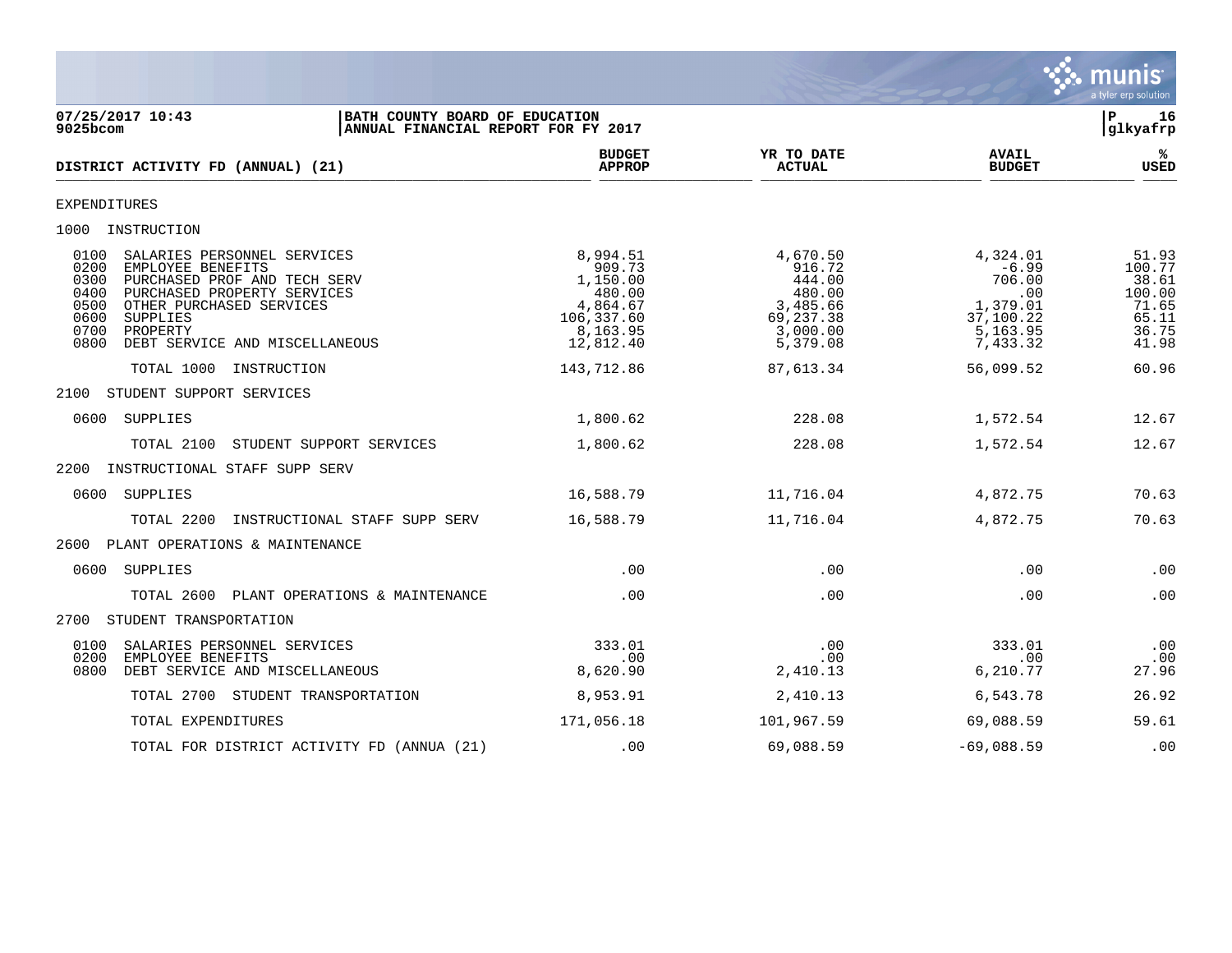

07/25/2017 10:43 **| BATH COUNTY BOARD OF EDUCATION**<br>9025bcom **| ANNUAL FINANCIAL REPORT FOR FY 2017 | ANNUAL FINANCIAL REPORT FOR FY 2017** ANNUAL FINANCIAL REPORT FOR FY 2017 **BUDGET YR TO DATE AVAIL %**  $DISTRICT ACTIVITY FD (ANNUAL) (21)$  $\frac{MFACF}{MFACF}$  . Actival  $\frac{MFACF}{MFACF}$  . Actival  $\frac{MFACF}{MFACF}$  . Actival  $\frac{MFACF}{MFACF}$  . Actival  $\frac{MFACF}{MFACF}$ EXPENDITURES 1000 INSTRUCTION 0100 SALARIES PERSONNEL SERVICES 6,994.51 8,994.51 4,670.50 4,324.01 51.93 0200 EMPLOYEE BENEFITS 909.73 916.72 -6.99 100.77 0300 PURCHASED PROF AND TECH SERV  $1,150.00$   $444.00$   $706.00$   $38.61$   $40.00$   $100.00$ 0400 PURCHASED PROPERTY SERVICES (180.00 190.00 480.00 480.00 480.00 480.00 00 100.00 00 100.00 0500 0500 0500<br>1.65 4,864.67 1.65 4,864.67 4,864.67 3,485.66 1,379.01 71.65 4,864.67 1.65 4,864.67 1.65 4,864.67 0600 5UPPLIES 0500 OTHER PURCHASED SERVICES 4,864.67 3,485.66 1,379.01 71.65 0600 SUPPLIES 106,337.60 69,237.38 37,100.22 65.11 0700 PROPERTY 8,163.95 3,000.00 5,163.95 36.75 0800 DEBT SERVICE AND MISCELLANEOUS 12,812.40 5,379.08 7,433.32 41.98 TOTAL 1000 INSTRUCTION 143,712.86 87,613.34 56,099.52 60.96 2100 STUDENT SUPPORT SERVICES 0600 SUPPLIES 1,800.62 228.08 1,572.54 12.67 TOTAL 2100 STUDENT SUPPORT SERVICES 1,800.62 228.08 1,572.54 12.67 2200 INSTRUCTIONAL STAFF SUPP SERV 0600 SUPPLIES 16,588.79 11,716.04 4,872.75 70.63 TOTAL 2200 INSTRUCTIONAL STAFF SUPP SERV 16,588.79 11,716.04 4,872.75 70.63 2600 PLANT OPERATIONS & MAINTENANCE 0600 SUPPLIES .00 .00 .00 .00 TOTAL 2600 PLANT OPERATIONS & MAINTENANCE .00 .00 .00 .00 2700 STUDENT TRANSPORTATION 0100 SALARIES PERSONNEL SERVICES 333.01 .00 333.01 .00 0200 EMPLOYEE BENEFITS .00 .00 .00 .00 0800 DEBT SERVICE AND MISCELLANEOUS TOTAL 2700 STUDENT TRANSPORTATION 8,953.91 2,410.13 6,543.78 26.92 TOTAL EXPENDITURES 171,056.18 101,967.59 69,088.59 59.61 TOTAL FOR DISTRICT ACTIVITY FD (ANNUA (21) .00 .00 .098.59 -69,088.59 .00 .00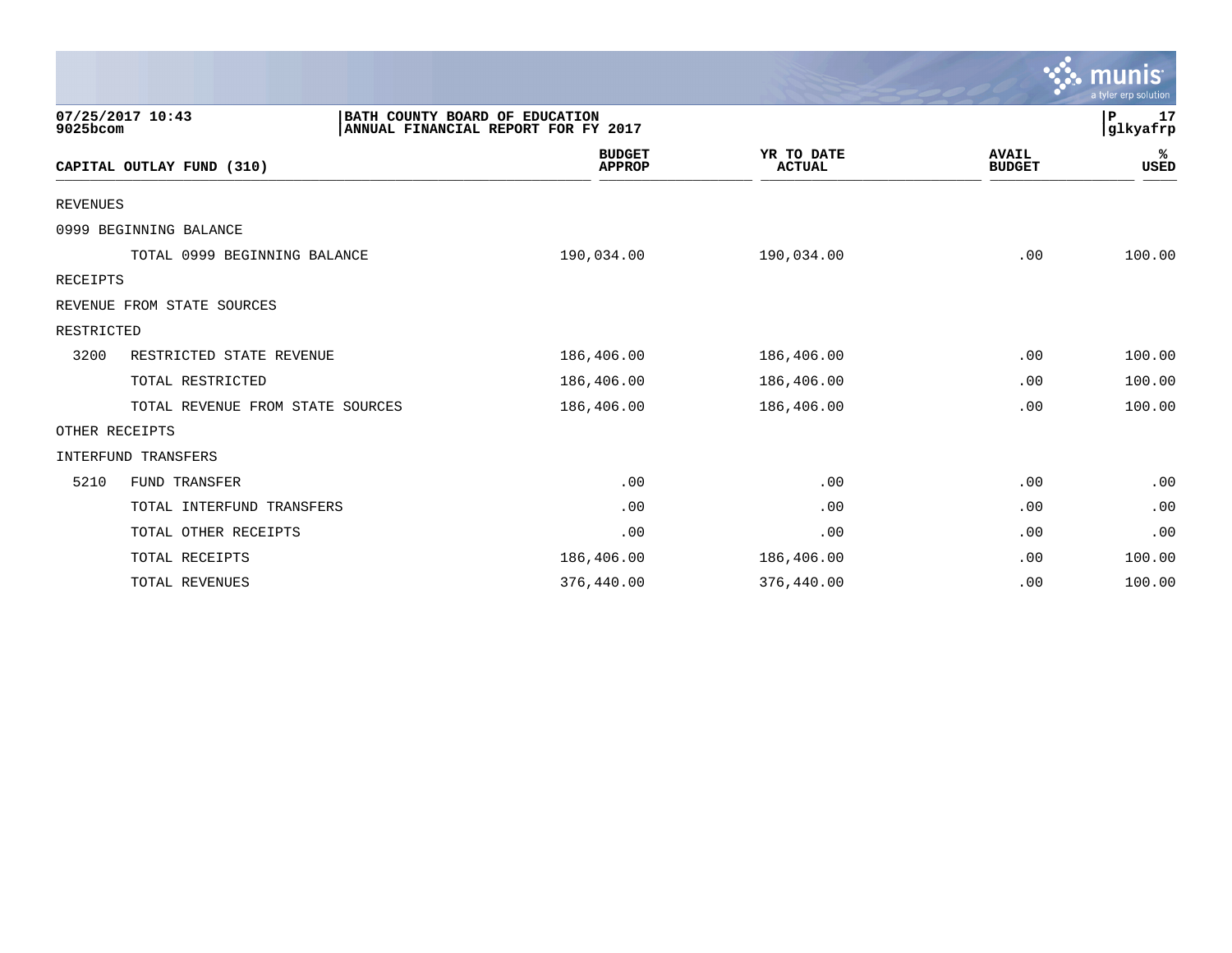|                 |                                                    |                                     |                             |                               | munis<br>a tyler erp solution |
|-----------------|----------------------------------------------------|-------------------------------------|-----------------------------|-------------------------------|-------------------------------|
| 9025bcom        | 07/25/2017 10:43<br>BATH COUNTY BOARD OF EDUCATION | ANNUAL FINANCIAL REPORT FOR FY 2017 |                             |                               | 17<br>P<br>glkyafrp           |
|                 | CAPITAL OUTLAY FUND (310)                          | <b>BUDGET</b><br><b>APPROP</b>      | YR TO DATE<br><b>ACTUAL</b> | <b>AVAIL</b><br><b>BUDGET</b> | %ะ<br><b>USED</b>             |
| <b>REVENUES</b> |                                                    |                                     |                             |                               |                               |
|                 | 0999 BEGINNING BALANCE                             |                                     |                             |                               |                               |
|                 | TOTAL 0999 BEGINNING BALANCE                       | 190,034.00                          | 190,034.00                  | .00                           | 100.00                        |
| <b>RECEIPTS</b> |                                                    |                                     |                             |                               |                               |
|                 | REVENUE FROM STATE SOURCES                         |                                     |                             |                               |                               |
| RESTRICTED      |                                                    |                                     |                             |                               |                               |
| 3200            | RESTRICTED STATE REVENUE                           | 186,406.00                          | 186,406.00                  | .00                           | 100.00                        |
|                 | TOTAL RESTRICTED                                   | 186,406.00                          | 186,406.00                  | .00                           | 100.00                        |
|                 | TOTAL REVENUE FROM STATE SOURCES                   | 186,406.00                          | 186,406.00                  | .00                           | 100.00                        |
|                 | OTHER RECEIPTS                                     |                                     |                             |                               |                               |
|                 | <b>INTERFUND TRANSFERS</b>                         |                                     |                             |                               |                               |
| 5210            | FUND TRANSFER                                      | .00                                 | .00                         | .00                           | .00                           |
|                 | TOTAL INTERFUND TRANSFERS                          | .00                                 | .00                         | .00                           | .00                           |
|                 | TOTAL OTHER RECEIPTS                               | .00                                 | .00                         | .00                           | .00                           |
|                 | TOTAL RECEIPTS                                     | 186,406.00                          | 186,406.00                  | .00                           | 100.00                        |
|                 | TOTAL REVENUES                                     | 376,440.00                          | 376,440.00                  | .00                           | 100.00                        |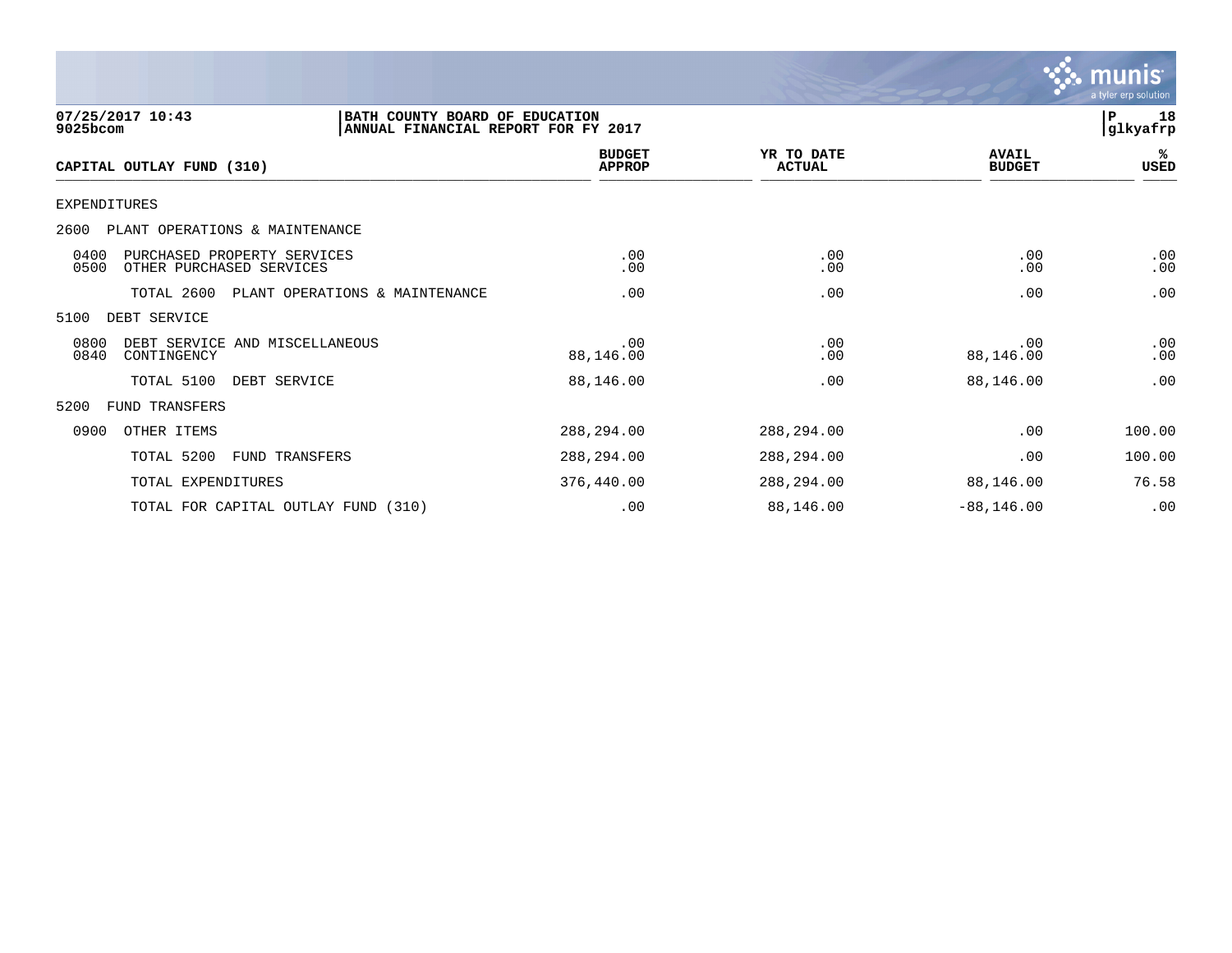

| 07/25/2017 10:43<br>9025bcom                                            | BATH COUNTY BOARD OF EDUCATION<br>ANNUAL FINANCIAL REPORT FOR FY 2017 |                                |                             |                               | 18<br>P<br> glkyafrp |
|-------------------------------------------------------------------------|-----------------------------------------------------------------------|--------------------------------|-----------------------------|-------------------------------|----------------------|
| CAPITAL OUTLAY FUND (310)                                               |                                                                       | <b>BUDGET</b><br><b>APPROP</b> | YR TO DATE<br><b>ACTUAL</b> | <b>AVAIL</b><br><b>BUDGET</b> | %ะ<br>USED           |
| <b>EXPENDITURES</b>                                                     |                                                                       |                                |                             |                               |                      |
| 2600<br>PLANT OPERATIONS & MAINTENANCE                                  |                                                                       |                                |                             |                               |                      |
| 0400<br>PURCHASED PROPERTY SERVICES<br>0500<br>OTHER PURCHASED SERVICES |                                                                       | .00<br>.00                     | .00<br>.00                  | .00<br>.00                    | .00<br>.00           |
| TOTAL 2600                                                              | PLANT OPERATIONS & MAINTENANCE                                        | .00                            | .00                         | .00                           | .00                  |
| 5100<br>DEBT SERVICE                                                    |                                                                       |                                |                             |                               |                      |
| 0800<br>DEBT SERVICE AND MISCELLANEOUS<br>0840<br>CONTINGENCY           |                                                                       | .00<br>88,146.00               | .00<br>.00                  | .00<br>88,146.00              | .00<br>.00           |
| TOTAL 5100                                                              | DEBT SERVICE                                                          | 88,146.00                      | .00                         | 88,146.00                     | .00                  |
| 5200<br><b>FUND TRANSFERS</b>                                           |                                                                       |                                |                             |                               |                      |
| 0900<br>OTHER ITEMS                                                     |                                                                       | 288,294.00                     | 288,294.00                  | .00                           | 100.00               |
| TOTAL 5200                                                              | <b>FUND TRANSFERS</b>                                                 | 288,294.00                     | 288,294.00                  | .00                           | 100.00               |
| TOTAL EXPENDITURES                                                      |                                                                       | 376,440.00                     | 288,294.00                  | 88,146.00                     | 76.58                |
|                                                                         | TOTAL FOR CAPITAL OUTLAY FUND (310)                                   | .00                            | 88,146.00                   | $-88, 146.00$                 | .00                  |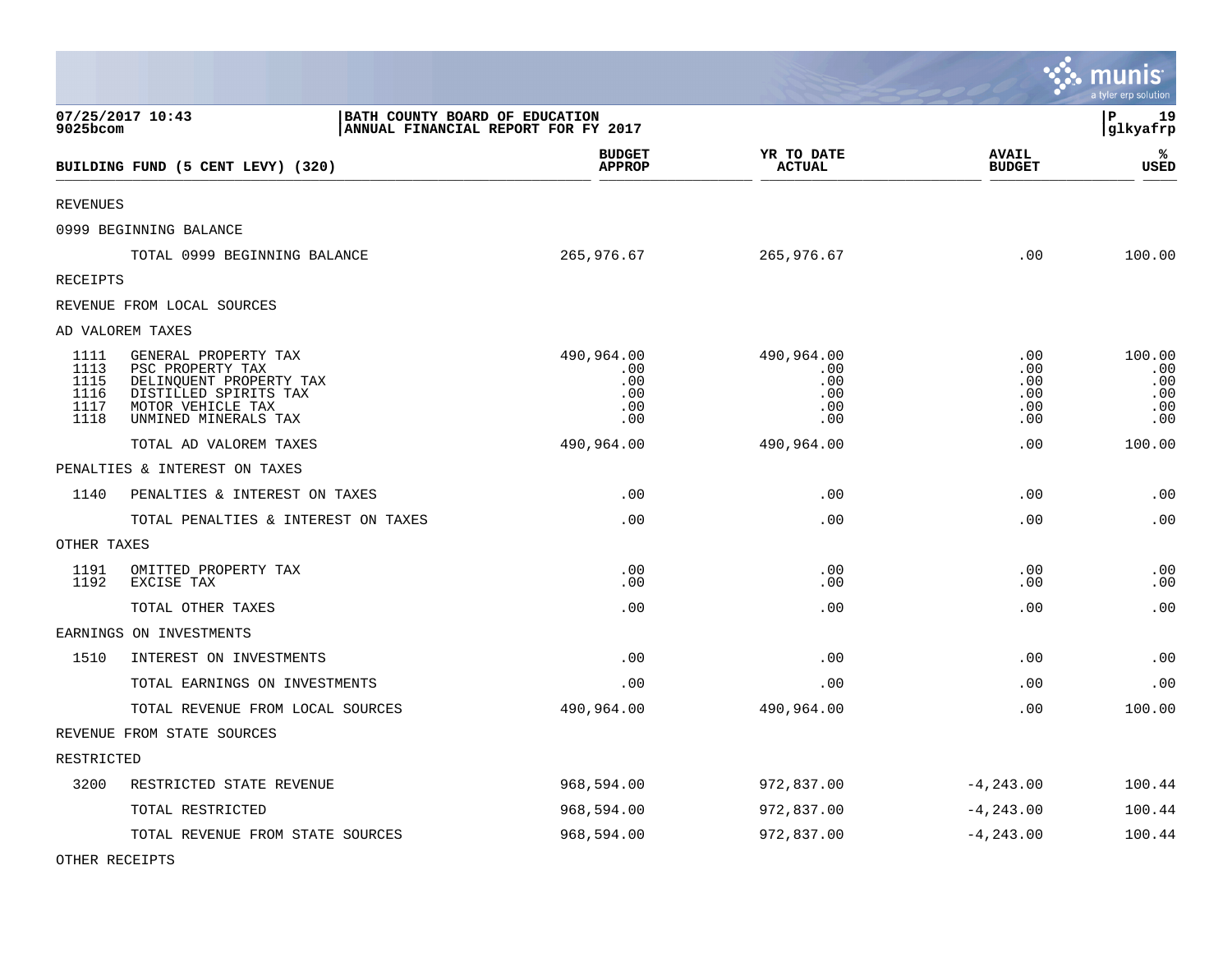|                                              |                                                                                                                                           |                                                                       |                                               |                                        | munis<br>a tyler erp solution             |
|----------------------------------------------|-------------------------------------------------------------------------------------------------------------------------------------------|-----------------------------------------------------------------------|-----------------------------------------------|----------------------------------------|-------------------------------------------|
| 9025bcom                                     | 07/25/2017 10:43                                                                                                                          | BATH COUNTY BOARD OF EDUCATION<br>ANNUAL FINANCIAL REPORT FOR FY 2017 |                                               |                                        | l P<br>19<br> glkyafrp                    |
|                                              | BUILDING FUND (5 CENT LEVY) (320)                                                                                                         | <b>BUDGET</b><br><b>APPROP</b>                                        | YR TO DATE<br><b>ACTUAL</b>                   | <b>AVAIL</b><br><b>BUDGET</b>          | ℁<br><b>USED</b>                          |
| <b>REVENUES</b>                              |                                                                                                                                           |                                                                       |                                               |                                        |                                           |
|                                              | 0999 BEGINNING BALANCE                                                                                                                    |                                                                       |                                               |                                        |                                           |
|                                              | TOTAL 0999 BEGINNING BALANCE                                                                                                              | 265,976.67                                                            | 265,976.67                                    | .00                                    | 100.00                                    |
| RECEIPTS                                     |                                                                                                                                           |                                                                       |                                               |                                        |                                           |
|                                              | REVENUE FROM LOCAL SOURCES                                                                                                                |                                                                       |                                               |                                        |                                           |
|                                              | AD VALOREM TAXES                                                                                                                          |                                                                       |                                               |                                        |                                           |
| 1111<br>1113<br>1115<br>1116<br>1117<br>1118 | GENERAL PROPERTY TAX<br>PSC PROPERTY TAX<br>DELINQUENT PROPERTY TAX<br>DISTILLED SPIRITS TAX<br>MOTOR VEHICLE TAX<br>UNMINED MINERALS TAX | 490,964.00<br>.00<br>.00<br>.00<br>.00<br>.00                         | 490,964.00<br>.00<br>.00<br>.00<br>.00<br>.00 | .00<br>.00<br>.00<br>.00<br>.00<br>.00 | 100.00<br>.00<br>.00<br>.00<br>.00<br>.00 |
|                                              | TOTAL AD VALOREM TAXES                                                                                                                    | 490,964.00                                                            | 490,964.00                                    | .00                                    | 100.00                                    |
|                                              | PENALTIES & INTEREST ON TAXES                                                                                                             |                                                                       |                                               |                                        |                                           |
| 1140                                         | PENALTIES & INTEREST ON TAXES                                                                                                             | .00                                                                   | .00                                           | .00                                    | .00                                       |
|                                              | TOTAL PENALTIES & INTEREST ON TAXES                                                                                                       | .00                                                                   | .00                                           | .00                                    | .00                                       |
| OTHER TAXES                                  |                                                                                                                                           |                                                                       |                                               |                                        |                                           |
| 1191<br>1192                                 | OMITTED PROPERTY TAX<br>EXCISE TAX                                                                                                        | .00<br>.00                                                            | .00<br>.00                                    | .00<br>.00                             | .00<br>.00                                |
|                                              | TOTAL OTHER TAXES                                                                                                                         | .00                                                                   | .00                                           | .00                                    | .00                                       |
|                                              | EARNINGS ON INVESTMENTS                                                                                                                   |                                                                       |                                               |                                        |                                           |
| 1510                                         | INTEREST ON INVESTMENTS                                                                                                                   | .00                                                                   | .00                                           | .00                                    | .00                                       |
|                                              | TOTAL EARNINGS ON INVESTMENTS                                                                                                             | .00                                                                   | .00                                           | .00                                    | .00                                       |
|                                              | TOTAL REVENUE FROM LOCAL SOURCES                                                                                                          | 490,964.00                                                            | 490,964.00                                    | .00                                    | 100.00                                    |
|                                              | REVENUE FROM STATE SOURCES                                                                                                                |                                                                       |                                               |                                        |                                           |
| RESTRICTED                                   |                                                                                                                                           |                                                                       |                                               |                                        |                                           |
| 3200                                         | RESTRICTED STATE REVENUE                                                                                                                  | 968,594.00                                                            | 972,837.00                                    | $-4, 243.00$                           | 100.44                                    |
|                                              | TOTAL RESTRICTED                                                                                                                          | 968,594.00                                                            | 972,837.00                                    | $-4, 243.00$                           | 100.44                                    |
|                                              | TOTAL REVENUE FROM STATE SOURCES                                                                                                          | 968,594.00                                                            | 972,837.00                                    | $-4, 243.00$                           | 100.44                                    |

**Contract Contract Contract Contract** 

OTHER RECEIPTS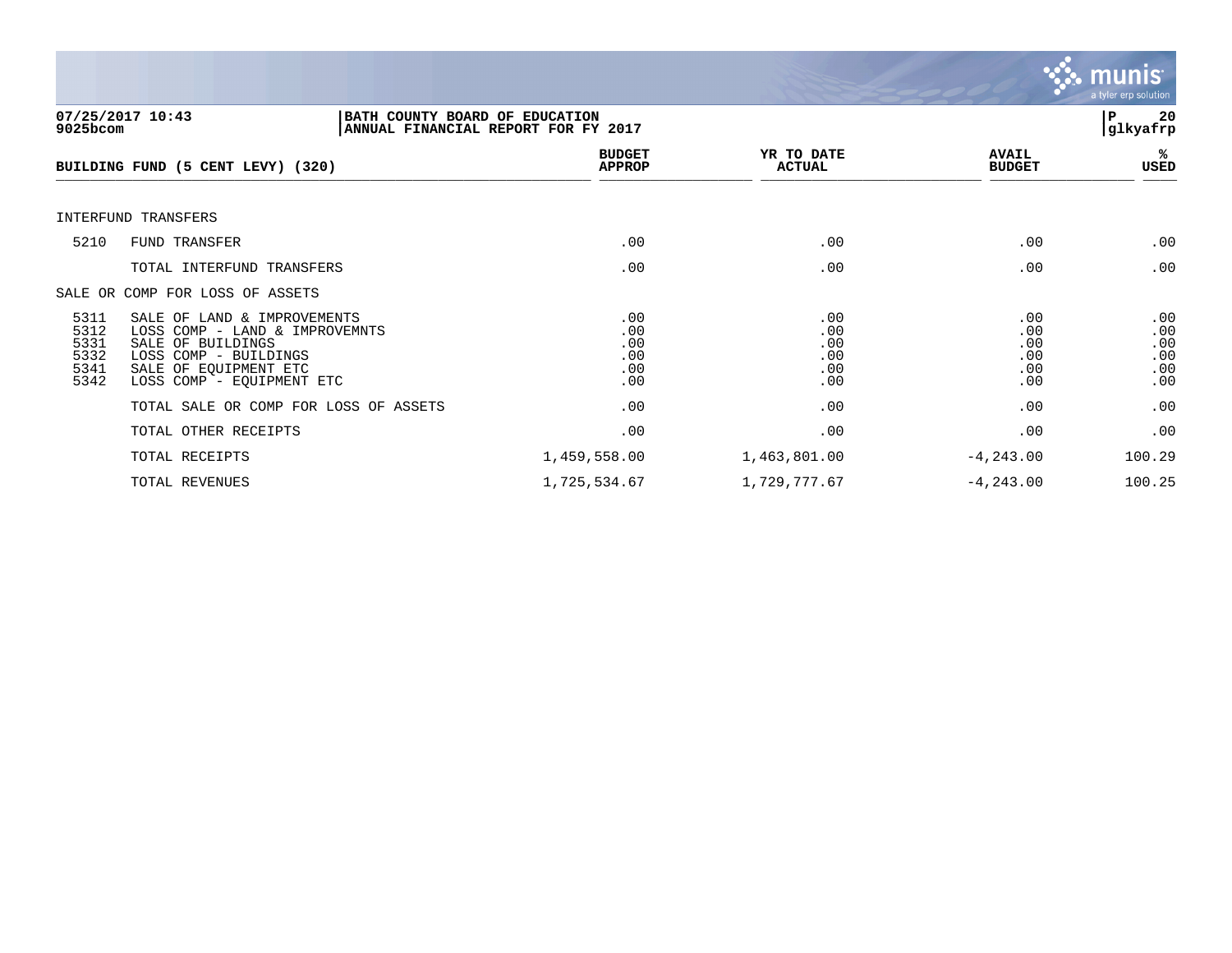

| 9025bcom                                     | 07/25/2017 10:43<br>BATH COUNTY BOARD OF EDUCATION<br>ANNUAL FINANCIAL REPORT FOR FY 2017                                                                         |                                        |                                        |                                        | 20<br>ΙP<br> glkyafrp                  |
|----------------------------------------------|-------------------------------------------------------------------------------------------------------------------------------------------------------------------|----------------------------------------|----------------------------------------|----------------------------------------|----------------------------------------|
|                                              | BUILDING FUND (5 CENT LEVY) (320)                                                                                                                                 | <b>BUDGET</b><br><b>APPROP</b>         | YR TO DATE<br><b>ACTUAL</b>            | <b>AVAIL</b><br><b>BUDGET</b>          | %ร<br>USED                             |
|                                              | INTERFUND TRANSFERS                                                                                                                                               |                                        |                                        |                                        |                                        |
| 5210                                         | FUND TRANSFER                                                                                                                                                     | .00                                    | .00                                    | .00                                    | .00                                    |
|                                              | TOTAL INTERFUND TRANSFERS                                                                                                                                         | .00                                    | .00                                    | .00                                    | .00                                    |
|                                              | SALE OR COMP FOR LOSS OF ASSETS                                                                                                                                   |                                        |                                        |                                        |                                        |
| 5311<br>5312<br>5331<br>5332<br>5341<br>5342 | SALE OF LAND & IMPROVEMENTS<br>LOSS COMP - LAND & IMPROVEMNTS<br>SALE OF BUILDINGS<br>LOSS COMP - BUILDINGS<br>SALE OF EQUIPMENT ETC<br>LOSS COMP - EQUIPMENT ETC | .00<br>.00<br>.00<br>.00<br>.00<br>.00 | .00<br>.00<br>.00<br>.00<br>.00<br>.00 | .00<br>.00<br>.00<br>.00<br>.00<br>.00 | .00<br>.00<br>.00<br>.00<br>.00<br>.00 |
|                                              | TOTAL SALE OR COMP FOR LOSS OF ASSETS                                                                                                                             | .00                                    | .00                                    | .00                                    | .00                                    |
|                                              | TOTAL OTHER RECEIPTS                                                                                                                                              | .00                                    | .00                                    | .00                                    | .00                                    |
|                                              | TOTAL RECEIPTS                                                                                                                                                    | 1,459,558.00                           | 1,463,801.00                           | $-4, 243.00$                           | 100.29                                 |
|                                              | TOTAL REVENUES                                                                                                                                                    | 1,725,534.67                           | 1,729,777.67                           | $-4, 243.00$                           | 100.25                                 |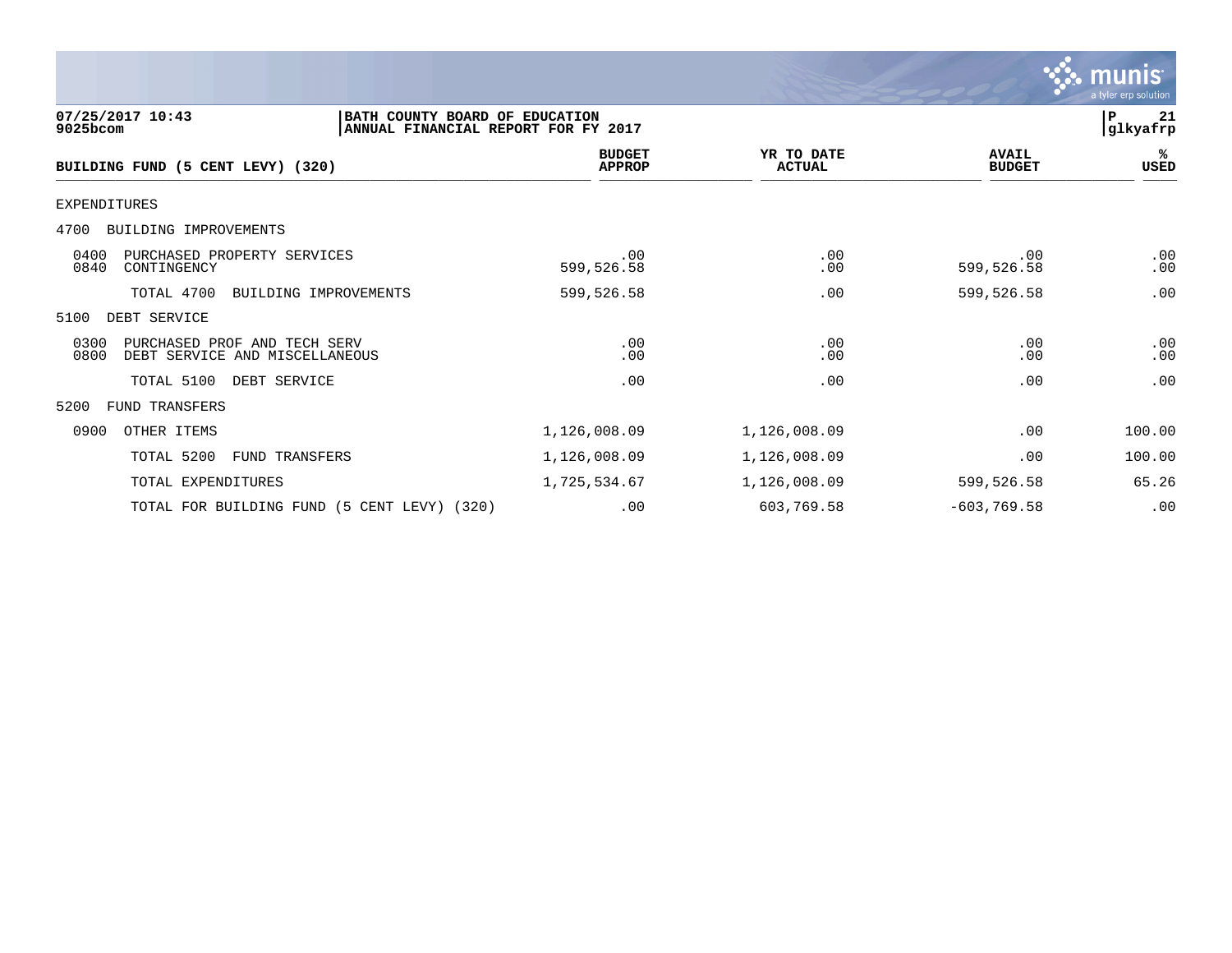|                                                                                                       |                                |                             |                               | a tyler erp solution           |
|-------------------------------------------------------------------------------------------------------|--------------------------------|-----------------------------|-------------------------------|--------------------------------|
| 07/25/2017 10:43<br>BATH COUNTY BOARD OF EDUCATION<br>9025bcom<br>ANNUAL FINANCIAL REPORT FOR FY 2017 |                                |                             |                               | $\mathbf{P}$<br>21<br>glkyafrp |
| BUILDING FUND (5 CENT LEVY) (320)                                                                     | <b>BUDGET</b><br><b>APPROP</b> | YR TO DATE<br><b>ACTUAL</b> | <b>AVAIL</b><br><b>BUDGET</b> | ℁<br><b>USED</b>               |
| <b>EXPENDITURES</b>                                                                                   |                                |                             |                               |                                |
| BUILDING IMPROVEMENTS<br>4700                                                                         |                                |                             |                               |                                |
| 0400<br>PURCHASED PROPERTY SERVICES<br>0840<br>CONTINGENCY                                            | .00<br>599,526.58              | .00<br>.00                  | .00<br>599,526.58             | .00<br>.00                     |
| TOTAL 4700<br>BUILDING IMPROVEMENTS                                                                   | 599,526.58                     | .00                         | 599,526.58                    | .00                            |
| DEBT SERVICE<br>5100                                                                                  |                                |                             |                               |                                |
| 0300<br>PURCHASED PROF AND TECH SERV<br>0800<br>DEBT SERVICE AND MISCELLANEOUS                        | .00<br>.00                     | .00<br>.00                  | .00<br>.00                    | .00<br>.00                     |
| TOTAL 5100<br>DEBT SERVICE                                                                            | .00                            | .00                         | .00                           | .00                            |
| <b>FUND TRANSFERS</b><br>5200                                                                         |                                |                             |                               |                                |
| 0900<br>OTHER ITEMS                                                                                   | 1,126,008.09                   | 1,126,008.09                | .00                           | 100.00                         |
| TOTAL 5200<br>FUND TRANSFERS                                                                          | 1,126,008.09                   | 1,126,008.09                | .00                           | 100.00                         |
| TOTAL EXPENDITURES                                                                                    | 1,725,534.67                   | 1,126,008.09                | 599,526.58                    | 65.26                          |
| TOTAL FOR BUILDING FUND (5 CENT LEVY) (320)                                                           | .00                            | 603,769.58                  | $-603, 769.58$                | .00                            |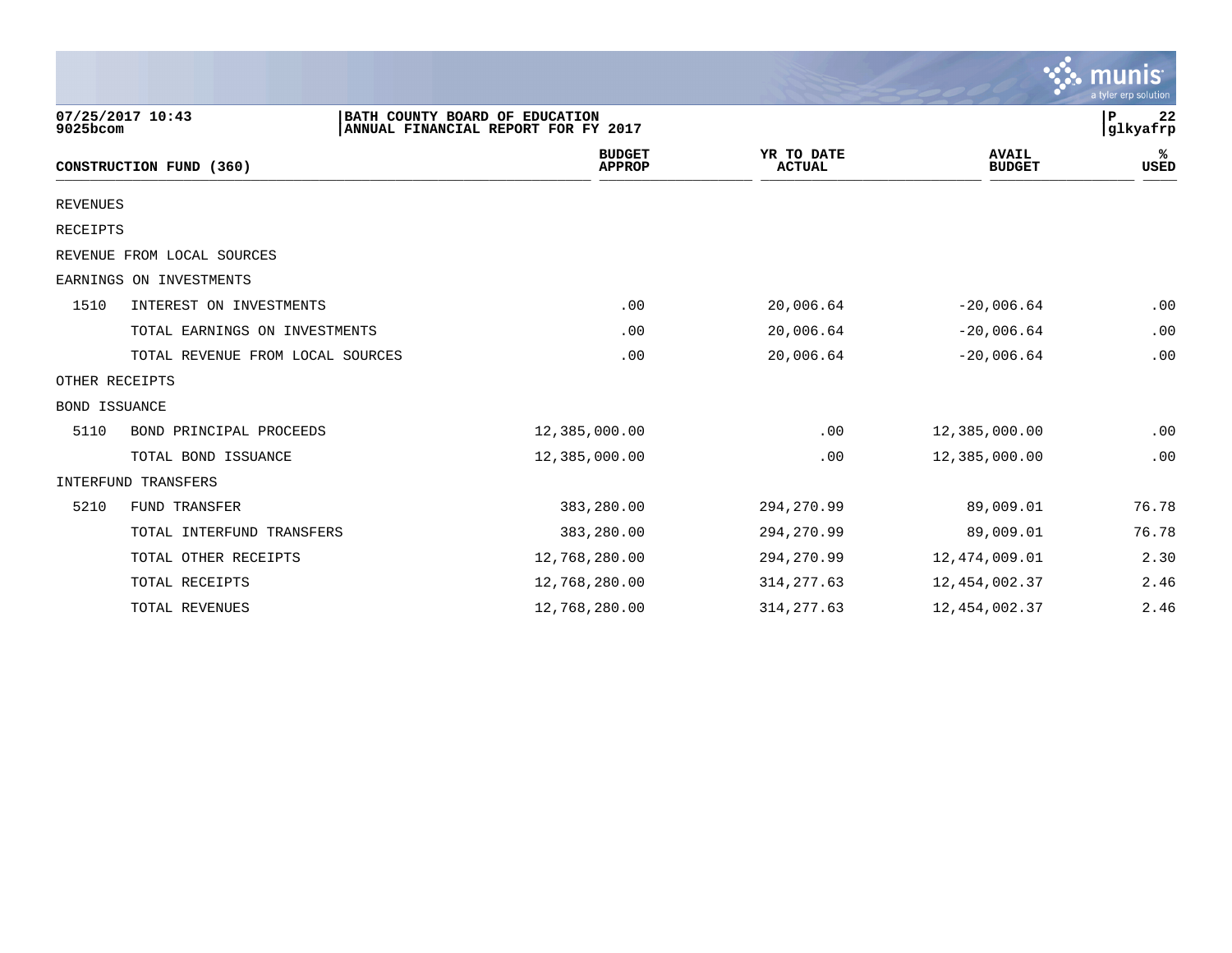|                 |                                  |                                                                       |                             |                               | <b>munis</b><br>a tyler erp solution |
|-----------------|----------------------------------|-----------------------------------------------------------------------|-----------------------------|-------------------------------|--------------------------------------|
| 9025bcom        | 07/25/2017 10:43                 | BATH COUNTY BOARD OF EDUCATION<br>ANNUAL FINANCIAL REPORT FOR FY 2017 |                             |                               | 22<br>P<br>glkyafrp                  |
|                 | CONSTRUCTION FUND (360)          | <b>BUDGET</b><br><b>APPROP</b>                                        | YR TO DATE<br><b>ACTUAL</b> | <b>AVAIL</b><br><b>BUDGET</b> | %ะ<br>USED                           |
| <b>REVENUES</b> |                                  |                                                                       |                             |                               |                                      |
| RECEIPTS        |                                  |                                                                       |                             |                               |                                      |
|                 | REVENUE FROM LOCAL SOURCES       |                                                                       |                             |                               |                                      |
|                 | EARNINGS ON INVESTMENTS          |                                                                       |                             |                               |                                      |
| 1510            | INTEREST ON INVESTMENTS          | .00                                                                   | 20,006.64                   | $-20,006.64$                  | .00                                  |
|                 | TOTAL EARNINGS ON INVESTMENTS    | .00                                                                   | 20,006.64                   | $-20,006.64$                  | .00                                  |
|                 | TOTAL REVENUE FROM LOCAL SOURCES | .00                                                                   | 20,006.64                   | $-20,006.64$                  | .00                                  |
| OTHER RECEIPTS  |                                  |                                                                       |                             |                               |                                      |
| BOND ISSUANCE   |                                  |                                                                       |                             |                               |                                      |
| 5110            | BOND PRINCIPAL PROCEEDS          | 12,385,000.00                                                         | .00                         | 12,385,000.00                 | .00                                  |
|                 | TOTAL BOND ISSUANCE              | 12,385,000.00                                                         | .00                         | 12,385,000.00                 | .00                                  |
|                 | INTERFUND TRANSFERS              |                                                                       |                             |                               |                                      |
| 5210            | FUND TRANSFER                    | 383,280.00                                                            | 294,270.99                  | 89,009.01                     | 76.78                                |
|                 | TOTAL INTERFUND TRANSFERS        | 383,280.00                                                            | 294, 270.99                 | 89,009.01                     | 76.78                                |
|                 | TOTAL OTHER RECEIPTS             | 12,768,280.00                                                         | 294,270.99                  | 12,474,009.01                 | 2.30                                 |
|                 | TOTAL RECEIPTS                   | 12,768,280.00                                                         | 314, 277.63                 | 12,454,002.37                 | 2.46                                 |
|                 | TOTAL REVENUES                   | 12,768,280.00                                                         | 314, 277.63                 | 12,454,002.37                 | 2.46                                 |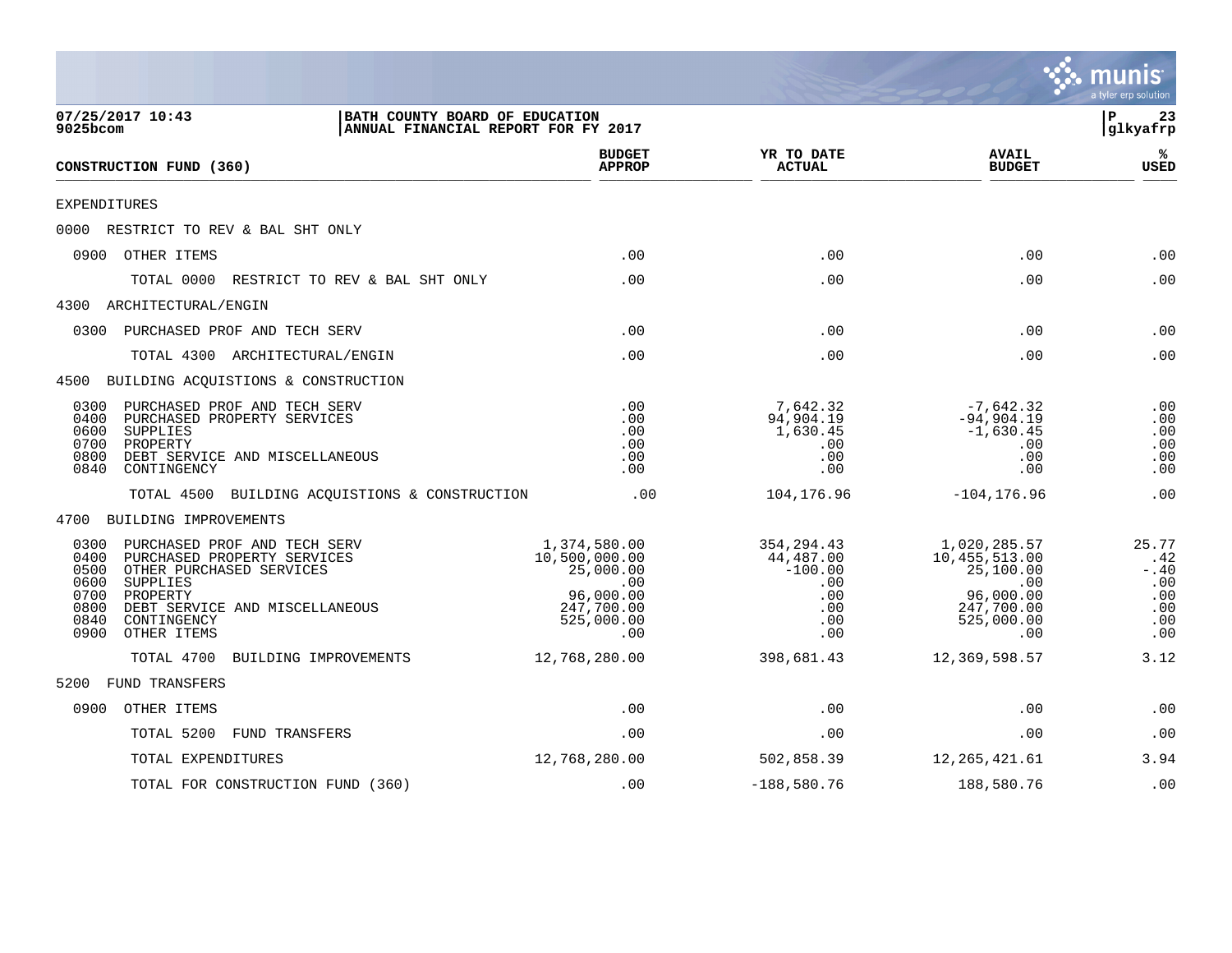|                                                              |                                                                                                                                                                                 |                                                                                                   |                                                                          |                                                                                                     | a tyler erp solution                                       |
|--------------------------------------------------------------|---------------------------------------------------------------------------------------------------------------------------------------------------------------------------------|---------------------------------------------------------------------------------------------------|--------------------------------------------------------------------------|-----------------------------------------------------------------------------------------------------|------------------------------------------------------------|
| 9025bcom                                                     | 07/25/2017 10:43<br>BATH COUNTY BOARD OF EDUCATION<br>ANNUAL FINANCIAL REPORT FOR FY 2017                                                                                       |                                                                                                   |                                                                          |                                                                                                     | ∣P<br>23<br>glkyafrp                                       |
|                                                              | CONSTRUCTION FUND (360)                                                                                                                                                         | <b>BUDGET</b><br><b>APPROP</b>                                                                    | YR TO DATE<br><b>ACTUAL</b>                                              | <b>AVAIL</b><br><b>BUDGET</b>                                                                       | ℁<br><b>USED</b>                                           |
| EXPENDITURES                                                 |                                                                                                                                                                                 |                                                                                                   |                                                                          |                                                                                                     |                                                            |
|                                                              | 0000 RESTRICT TO REV & BAL SHT ONLY                                                                                                                                             |                                                                                                   |                                                                          |                                                                                                     |                                                            |
|                                                              | 0900 OTHER ITEMS                                                                                                                                                                | .00                                                                                               | .00                                                                      | .00                                                                                                 | .00                                                        |
|                                                              | TOTAL 0000<br>RESTRICT TO REV & BAL SHT ONLY                                                                                                                                    | .00                                                                                               | .00                                                                      | .00                                                                                                 | .00                                                        |
|                                                              | 4300 ARCHITECTURAL/ENGIN                                                                                                                                                        |                                                                                                   |                                                                          |                                                                                                     |                                                            |
| 0300                                                         | PURCHASED PROF AND TECH SERV                                                                                                                                                    | .00                                                                                               | .00                                                                      | .00                                                                                                 | .00                                                        |
|                                                              | TOTAL 4300 ARCHITECTURAL/ENGIN                                                                                                                                                  | .00                                                                                               | .00                                                                      | .00                                                                                                 | .00                                                        |
|                                                              | 4500 BUILDING ACQUISTIONS & CONSTRUCTION                                                                                                                                        |                                                                                                   |                                                                          |                                                                                                     |                                                            |
| 0300<br>0400<br>0600<br>0700<br>0800<br>0840                 | PURCHASED PROF AND TECH SERV<br>PURCHASED PROPERTY SERVICES<br>SUPPLIES<br>PROPERTY<br>DEBT SERVICE AND MISCELLANEOUS<br>CONTINGENCY                                            | .00<br>.00<br>.00<br>.00<br>.00<br>.00                                                            | 7,642.32<br>94,904.19<br>1,630.45<br>.00<br>.00<br>.00                   | $-7,642.32$<br>$-94,904.19$<br>$-1,630.45$<br>.00<br>.00<br>.00                                     | .00<br>.00<br>.00<br>.00<br>.00<br>.00                     |
|                                                              | TOTAL 4500 BUILDING ACQUISTIONS & CONSTRUCTION                                                                                                                                  | .00                                                                                               | 104,176.96                                                               | $-104, 176.96$                                                                                      | .00                                                        |
|                                                              | 4700 BUILDING IMPROVEMENTS                                                                                                                                                      |                                                                                                   |                                                                          |                                                                                                     |                                                            |
| 0300<br>0400<br>0500<br>0600<br>0700<br>0800<br>0840<br>0900 | PURCHASED PROF AND TECH SERV<br>PURCHASED PROPERTY SERVICES<br>OTHER PURCHASED SERVICES<br>SUPPLIES<br>PROPERTY<br>DEBT SERVICE AND MISCELLANEOUS<br>CONTINGENCY<br>OTHER ITEMS | 1,374,580.00<br>10,500,000.00<br>25,000.00<br>.00<br>96,000.00<br>247,700.00<br>525,000.00<br>.00 | 354, 294.43<br>44,487.00<br>$-100.00$<br>.00<br>.00<br>.00<br>.00<br>.00 | 1,020,285.57<br>10, 455, 513.00<br>25,100.00<br>.00<br>96,000.00<br>247,700.00<br>525,000.00<br>.00 | 25.77<br>.42<br>$- .40$<br>.00<br>.00<br>.00<br>.00<br>.00 |
|                                                              | TOTAL 4700<br>BUILDING IMPROVEMENTS                                                                                                                                             | 12,768,280.00                                                                                     | 398,681.43                                                               | 12,369,598.57                                                                                       | 3.12                                                       |
| 5200                                                         | FUND TRANSFERS                                                                                                                                                                  |                                                                                                   |                                                                          |                                                                                                     |                                                            |
| 0900                                                         | OTHER ITEMS                                                                                                                                                                     | .00                                                                                               | .00                                                                      | .00                                                                                                 | .00                                                        |
|                                                              | TOTAL 5200<br><b>FUND TRANSFERS</b>                                                                                                                                             | .00                                                                                               | .00                                                                      | .00                                                                                                 | .00                                                        |
|                                                              | TOTAL EXPENDITURES                                                                                                                                                              | 12,768,280.00                                                                                     | 502,858.39                                                               | 12,265,421.61                                                                                       | 3.94                                                       |
|                                                              | TOTAL FOR CONSTRUCTION FUND (360)                                                                                                                                               | .00                                                                                               | $-188,580.76$                                                            | 188,580.76                                                                                          | .00                                                        |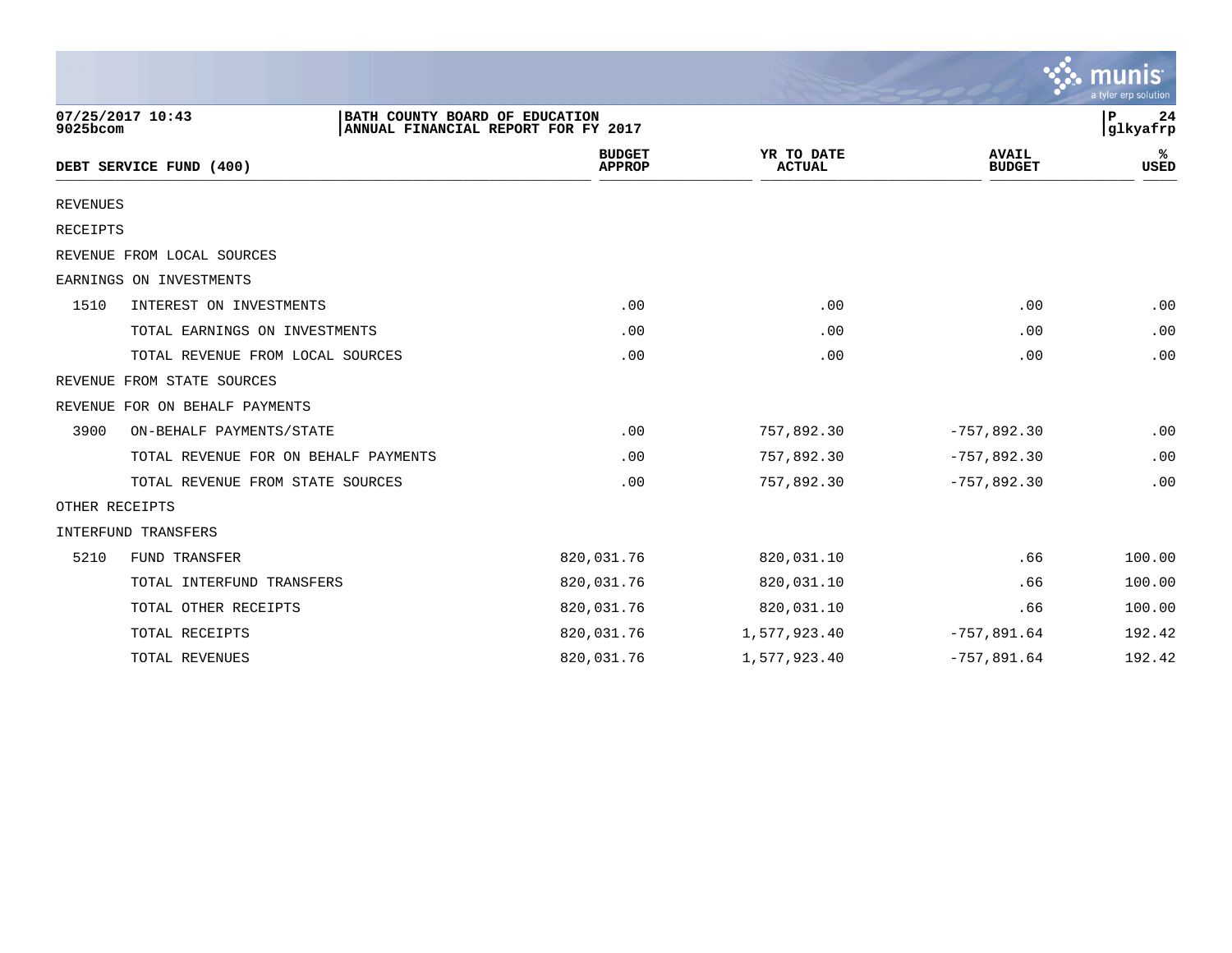|                 |                                                                                           |                                |                             |                               | munis<br>a tyler erp solution |
|-----------------|-------------------------------------------------------------------------------------------|--------------------------------|-----------------------------|-------------------------------|-------------------------------|
| 9025bcom        | 07/25/2017 10:43<br>BATH COUNTY BOARD OF EDUCATION<br>ANNUAL FINANCIAL REPORT FOR FY 2017 |                                |                             |                               | 24<br>P<br>glkyafrp           |
|                 | DEBT SERVICE FUND (400)                                                                   | <b>BUDGET</b><br><b>APPROP</b> | YR TO DATE<br><b>ACTUAL</b> | <b>AVAIL</b><br><b>BUDGET</b> | %ะ<br>USED                    |
| <b>REVENUES</b> |                                                                                           |                                |                             |                               |                               |
| RECEIPTS        |                                                                                           |                                |                             |                               |                               |
|                 | REVENUE FROM LOCAL SOURCES                                                                |                                |                             |                               |                               |
|                 | EARNINGS ON INVESTMENTS                                                                   |                                |                             |                               |                               |
| 1510            | INTEREST ON INVESTMENTS                                                                   | .00                            | .00                         | .00                           | .00                           |
|                 | TOTAL EARNINGS ON INVESTMENTS                                                             | .00                            | .00                         | .00                           | .00                           |
|                 | TOTAL REVENUE FROM LOCAL SOURCES                                                          | .00                            | .00                         | .00                           | .00                           |
|                 | REVENUE FROM STATE SOURCES                                                                |                                |                             |                               |                               |
|                 | REVENUE FOR ON BEHALF PAYMENTS                                                            |                                |                             |                               |                               |
| 3900            | ON-BEHALF PAYMENTS/STATE                                                                  | .00                            | 757,892.30                  | $-757,892.30$                 | .00                           |
|                 | TOTAL REVENUE FOR ON BEHALF PAYMENTS                                                      | .00                            | 757,892.30                  | $-757,892.30$                 | .00                           |
|                 | TOTAL REVENUE FROM STATE SOURCES                                                          | .00                            | 757,892.30                  | $-757,892.30$                 | .00                           |
| OTHER RECEIPTS  |                                                                                           |                                |                             |                               |                               |
|                 | INTERFUND TRANSFERS                                                                       |                                |                             |                               |                               |
| 5210            | <b>FUND TRANSFER</b>                                                                      | 820,031.76                     | 820,031.10                  | .66                           | 100.00                        |
|                 | TOTAL INTERFUND TRANSFERS                                                                 | 820,031.76                     | 820,031.10                  | .66                           | 100.00                        |
|                 | TOTAL OTHER RECEIPTS                                                                      | 820,031.76                     | 820,031.10                  | .66                           | 100.00                        |
|                 | TOTAL RECEIPTS                                                                            | 820,031.76                     | 1,577,923.40                | $-757,891.64$                 | 192.42                        |
|                 | TOTAL REVENUES                                                                            | 820,031.76                     | 1,577,923.40                | $-757,891.64$                 | 192.42                        |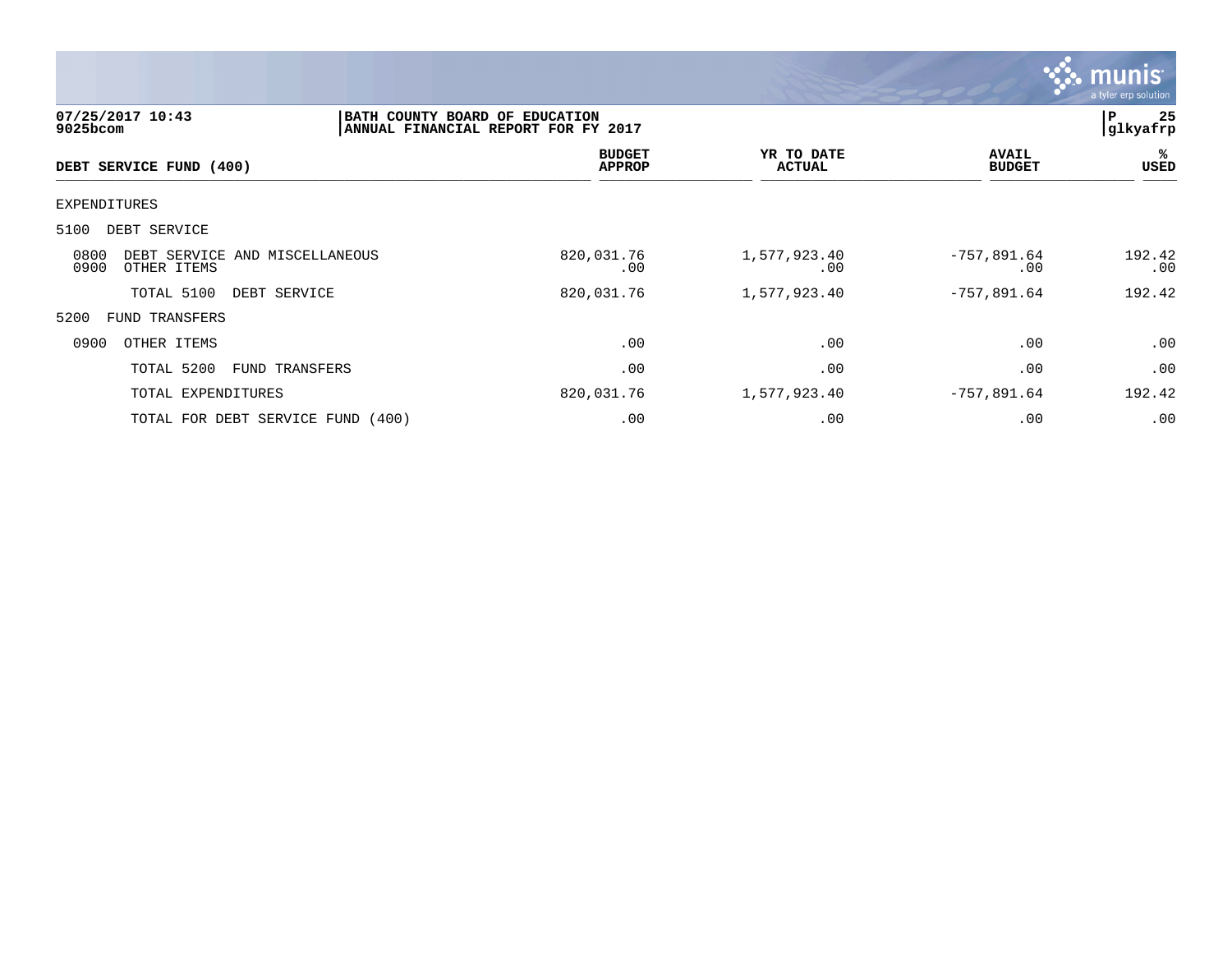

| 07/25/2017 10:43<br>$9025$ bcom                               | BATH COUNTY BOARD OF EDUCATION | ANNUAL FINANCIAL REPORT FOR FY 2017 |                             |                               | 25<br>P<br> glkyafrp |
|---------------------------------------------------------------|--------------------------------|-------------------------------------|-----------------------------|-------------------------------|----------------------|
| DEBT SERVICE FUND (400)                                       |                                | <b>BUDGET</b><br><b>APPROP</b>      | YR TO DATE<br><b>ACTUAL</b> | <b>AVAIL</b><br><b>BUDGET</b> | %<br>USED            |
| <b>EXPENDITURES</b>                                           |                                |                                     |                             |                               |                      |
| 5100<br>DEBT SERVICE                                          |                                |                                     |                             |                               |                      |
| 0800<br>DEBT SERVICE AND MISCELLANEOUS<br>0900<br>OTHER ITEMS |                                | 820,031.76<br>$.00 \ \rm$           | 1,577,923.40<br>.00         | $-757,891.64$<br>.00          | 192.42<br>.00        |
| TOTAL 5100<br>DEBT SERVICE                                    |                                | 820,031.76                          | 1,577,923.40                | $-757,891.64$                 | 192.42               |
| 5200<br><b>FUND TRANSFERS</b>                                 |                                |                                     |                             |                               |                      |
| 0900<br>OTHER ITEMS                                           |                                | .00                                 | .00                         | .00                           | .00                  |
| TOTAL 5200                                                    | FUND TRANSFERS                 | .00                                 | .00                         | .00                           | .00                  |
| TOTAL EXPENDITURES                                            |                                | 820,031.76                          | 1,577,923.40                | $-757,891.64$                 | 192.42               |
| TOTAL FOR DEBT SERVICE FUND (400)                             |                                | .00                                 | .00                         | .00                           | .00                  |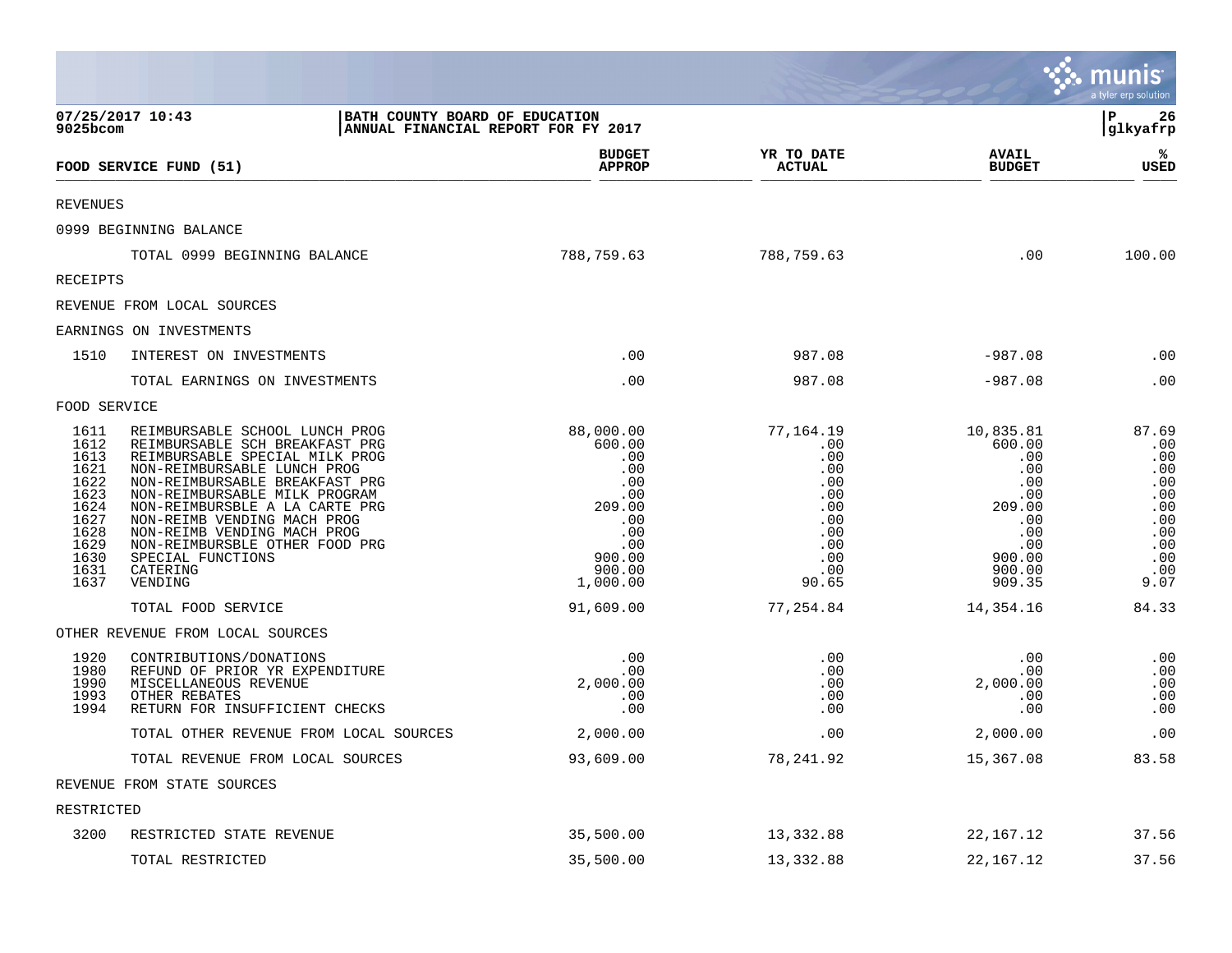|                                                                                                      |                                                                                                                                                                                                                                                                                                                                                                                    |                                                                                                                |                                                                                                 |                                                                                                              | <b>::: munis</b><br>a tyler erp solution                                                   |
|------------------------------------------------------------------------------------------------------|------------------------------------------------------------------------------------------------------------------------------------------------------------------------------------------------------------------------------------------------------------------------------------------------------------------------------------------------------------------------------------|----------------------------------------------------------------------------------------------------------------|-------------------------------------------------------------------------------------------------|--------------------------------------------------------------------------------------------------------------|--------------------------------------------------------------------------------------------|
| 9025bcom                                                                                             | 07/25/2017 10:43<br>BATH COUNTY BOARD OF EDUCATION<br>ANNUAL FINANCIAL REPORT FOR FY 2017                                                                                                                                                                                                                                                                                          |                                                                                                                |                                                                                                 |                                                                                                              | l P<br>26<br> glkyafrp                                                                     |
|                                                                                                      | FOOD SERVICE FUND (51)                                                                                                                                                                                                                                                                                                                                                             | <b>BUDGET</b><br><b>APPROP</b>                                                                                 | YR TO DATE<br><b>ACTUAL</b>                                                                     | <b>AVAIL</b><br><b>BUDGET</b>                                                                                | ℁<br><b>USED</b>                                                                           |
| <b>REVENUES</b>                                                                                      |                                                                                                                                                                                                                                                                                                                                                                                    |                                                                                                                |                                                                                                 |                                                                                                              |                                                                                            |
|                                                                                                      | 0999 BEGINNING BALANCE                                                                                                                                                                                                                                                                                                                                                             |                                                                                                                |                                                                                                 |                                                                                                              |                                                                                            |
|                                                                                                      | TOTAL 0999 BEGINNING BALANCE                                                                                                                                                                                                                                                                                                                                                       | 788,759.63                                                                                                     | 788,759.63                                                                                      | .00                                                                                                          | 100.00                                                                                     |
| RECEIPTS                                                                                             |                                                                                                                                                                                                                                                                                                                                                                                    |                                                                                                                |                                                                                                 |                                                                                                              |                                                                                            |
|                                                                                                      | REVENUE FROM LOCAL SOURCES                                                                                                                                                                                                                                                                                                                                                         |                                                                                                                |                                                                                                 |                                                                                                              |                                                                                            |
|                                                                                                      | EARNINGS ON INVESTMENTS                                                                                                                                                                                                                                                                                                                                                            |                                                                                                                |                                                                                                 |                                                                                                              |                                                                                            |
| 1510                                                                                                 | INTEREST ON INVESTMENTS                                                                                                                                                                                                                                                                                                                                                            | .00                                                                                                            | 987.08                                                                                          | $-987.08$                                                                                                    | .00                                                                                        |
|                                                                                                      | TOTAL EARNINGS ON INVESTMENTS                                                                                                                                                                                                                                                                                                                                                      | .00                                                                                                            | 987.08                                                                                          | $-987.08$                                                                                                    | .00                                                                                        |
| FOOD SERVICE                                                                                         |                                                                                                                                                                                                                                                                                                                                                                                    |                                                                                                                |                                                                                                 |                                                                                                              |                                                                                            |
| 1611<br>1612<br>1613<br>1621<br>1622<br>1623<br>1624<br>1627<br>1628<br>1629<br>1630<br>1631<br>1637 | REIMBURSABLE SCHOOL LUNCH PROG<br>REIMBURSABLE SCH BREAKFAST PRG<br>REIMBURSABLE SPECIAL MILK PROG<br>NON-REIMBURSABLE LUNCH PROG<br>NON-REIMBURSABLE BREAKFAST PRG<br>NON-REIMBURSABLE MILK PROGRAM<br>NON-REIMBURSBLE A LA CARTE PRG<br>NON-REIMB VENDING MACH PROG<br>NON-REIMB VENDING MACH PROG<br>NON-REIMBURSBLE OTHER FOOD PRG<br>SPECIAL FUNCTIONS<br>CATERING<br>VENDING | 88,000.00<br>600.00<br>.00<br>.00<br>.00<br>.00<br>209.00<br>.00<br>.00<br>.00<br>900.00<br>900.00<br>1,000.00 | 77,164.19<br>.00<br>.00<br>.00<br>.00<br>.00<br>.00<br>.00<br>.00<br>.00<br>.00<br>.00<br>90.65 | 10,835.81<br>600.00<br>.00<br>.00<br>.00<br>.00<br>209.00<br>.00<br>.00<br>.00<br>900.00<br>900.00<br>909.35 | 87.69<br>.00<br>.00<br>.00<br>.00<br>.00<br>.00<br>.00<br>.00<br>.00<br>.00<br>.00<br>9.07 |
|                                                                                                      | TOTAL FOOD SERVICE                                                                                                                                                                                                                                                                                                                                                                 | 91,609.00                                                                                                      | 77,254.84                                                                                       | 14,354.16                                                                                                    | 84.33                                                                                      |
|                                                                                                      | OTHER REVENUE FROM LOCAL SOURCES                                                                                                                                                                                                                                                                                                                                                   |                                                                                                                |                                                                                                 |                                                                                                              |                                                                                            |
| 1920<br>1980<br>1990<br>1993<br>1994                                                                 | CONTRIBUTIONS/DONATIONS<br>REFUND OF PRIOR YR EXPENDITURE<br>MISCELLANEOUS REVENUE<br>OTHER REBATES<br>RETURN FOR INSUFFICIENT CHECKS                                                                                                                                                                                                                                              | .00<br>.00<br>2,000.00<br>.00<br>.00                                                                           | .00<br>.00<br>.00<br>.00<br>.00                                                                 | .00<br>.00<br>2,000.00<br>.00<br>.00                                                                         | .00<br>.00<br>.00<br>.00<br>.00                                                            |
|                                                                                                      | TOTAL OTHER REVENUE FROM LOCAL SOURCES                                                                                                                                                                                                                                                                                                                                             | 2,000.00                                                                                                       | .00                                                                                             | 2,000.00                                                                                                     | .00                                                                                        |
|                                                                                                      | TOTAL REVENUE FROM LOCAL SOURCES                                                                                                                                                                                                                                                                                                                                                   | 93,609.00                                                                                                      | 78, 241.92                                                                                      | 15,367.08                                                                                                    | 83.58                                                                                      |
|                                                                                                      | REVENUE FROM STATE SOURCES                                                                                                                                                                                                                                                                                                                                                         |                                                                                                                |                                                                                                 |                                                                                                              |                                                                                            |
| RESTRICTED                                                                                           |                                                                                                                                                                                                                                                                                                                                                                                    |                                                                                                                |                                                                                                 |                                                                                                              |                                                                                            |
| 3200                                                                                                 | RESTRICTED STATE REVENUE                                                                                                                                                                                                                                                                                                                                                           | 35,500.00                                                                                                      | 13,332.88                                                                                       | 22, 167. 12                                                                                                  | 37.56                                                                                      |
|                                                                                                      | TOTAL RESTRICTED                                                                                                                                                                                                                                                                                                                                                                   | 35,500.00                                                                                                      | 13,332.88                                                                                       | 22, 167. 12                                                                                                  | 37.56                                                                                      |

and the contract of the contract of the contract of the contract of the contract of the contract of the contract of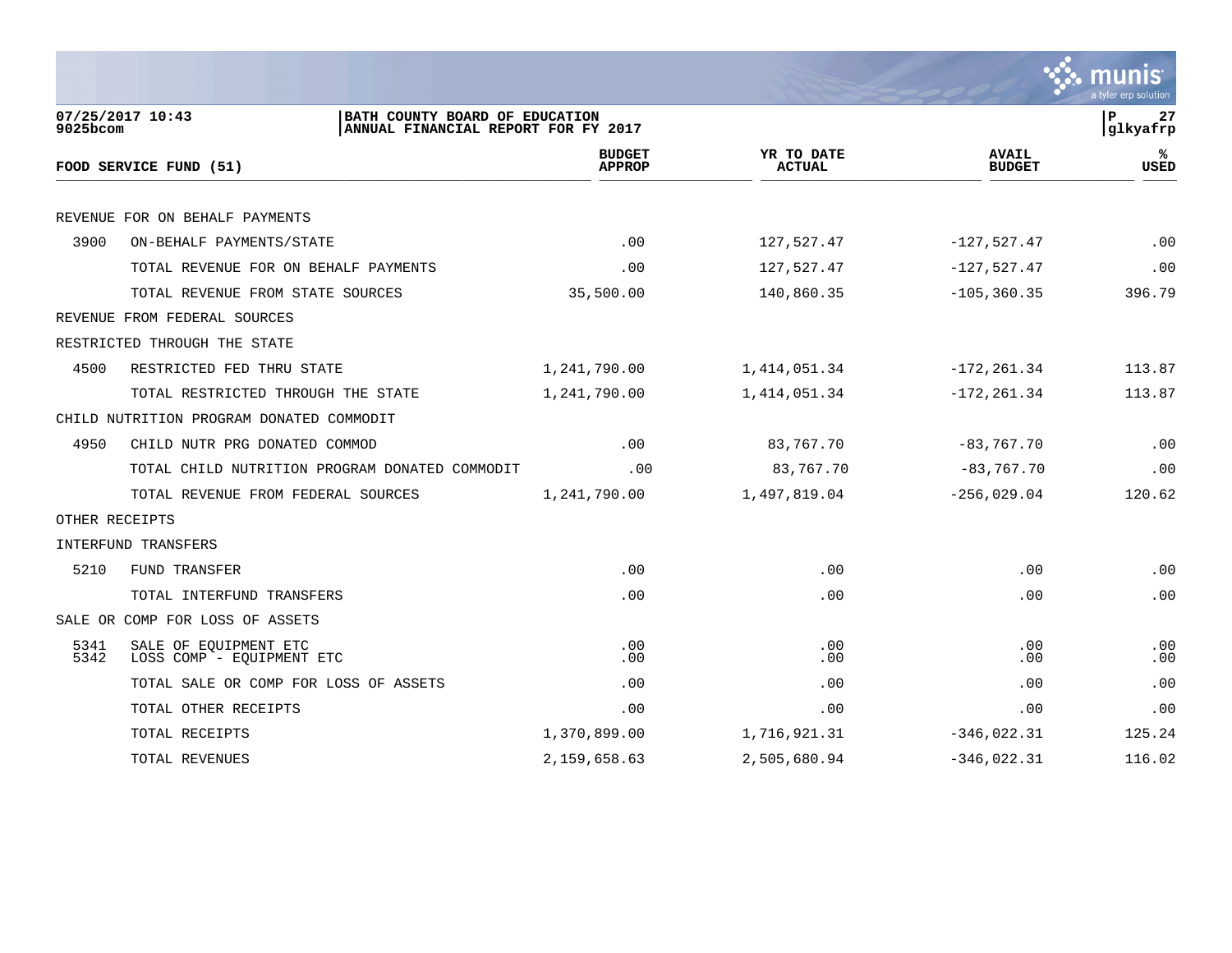|                |                                                                                           |                                |                             |                               | a tyler erp solution          |
|----------------|-------------------------------------------------------------------------------------------|--------------------------------|-----------------------------|-------------------------------|-------------------------------|
| 9025bcom       | 07/25/2017 10:43<br>BATH COUNTY BOARD OF EDUCATION<br>ANNUAL FINANCIAL REPORT FOR FY 2017 |                                |                             |                               | 27<br>$\mathbf P$<br>glkyafrp |
|                | FOOD SERVICE FUND (51)                                                                    | <b>BUDGET</b><br><b>APPROP</b> | YR TO DATE<br><b>ACTUAL</b> | <b>AVAIL</b><br><b>BUDGET</b> | ℁<br><b>USED</b>              |
|                | REVENUE FOR ON BEHALF PAYMENTS                                                            |                                |                             |                               |                               |
| 3900           | ON-BEHALF PAYMENTS/STATE                                                                  | .00                            | 127,527.47                  | $-127,527.47$                 | .00                           |
|                | TOTAL REVENUE FOR ON BEHALF PAYMENTS                                                      | .00                            | 127,527.47                  | $-127,527.47$                 | .00                           |
|                | TOTAL REVENUE FROM STATE SOURCES                                                          | 35,500.00                      | 140,860.35                  | $-105, 360.35$                | 396.79                        |
|                | REVENUE FROM FEDERAL SOURCES                                                              |                                |                             |                               |                               |
|                | RESTRICTED THROUGH THE STATE                                                              |                                |                             |                               |                               |
| 4500           | RESTRICTED FED THRU STATE                                                                 | 1,241,790.00                   | 1, 414, 051.34              | $-172, 261.34$                | 113.87                        |
|                | TOTAL RESTRICTED THROUGH THE STATE                                                        | 1,241,790.00                   | 1, 414, 051.34              | $-172, 261.34$                | 113.87                        |
|                | CHILD NUTRITION PROGRAM DONATED COMMODIT                                                  |                                |                             |                               |                               |
| 4950           | CHILD NUTR PRG DONATED COMMOD                                                             | .00                            | 83,767.70                   | $-83,767.70$                  | .00                           |
|                | TOTAL CHILD NUTRITION PROGRAM DONATED COMMODIT                                            | .00                            | 83,767.70                   | $-83, 767.70$                 | .00                           |
|                | TOTAL REVENUE FROM FEDERAL SOURCES                                                        | 1,241,790.00                   | 1,497,819.04                | $-256,029.04$                 | 120.62                        |
| OTHER RECEIPTS |                                                                                           |                                |                             |                               |                               |
|                | INTERFUND TRANSFERS                                                                       |                                |                             |                               |                               |
| 5210           | <b>FUND TRANSFER</b>                                                                      | .00                            | .00                         | .00                           | .00                           |
|                | TOTAL INTERFUND TRANSFERS                                                                 | .00                            | .00                         | .00                           | .00                           |
|                | SALE OR COMP FOR LOSS OF ASSETS                                                           |                                |                             |                               |                               |
| 5341<br>5342   | SALE OF EQUIPMENT ETC<br>LOSS COMP - EQUIPMENT ETC                                        | .00<br>.00                     | .00<br>.00                  | .00<br>.00                    | .00<br>.00                    |
|                | TOTAL SALE OR COMP FOR LOSS OF ASSETS                                                     | .00                            | .00                         | .00                           | .00                           |
|                | TOTAL OTHER RECEIPTS                                                                      | .00                            | .00                         | .00                           | .00                           |
|                | TOTAL RECEIPTS                                                                            | 1,370,899.00                   | 1,716,921.31                | $-346,022.31$                 | 125.24                        |
|                | TOTAL REVENUES                                                                            | 2,159,658.63                   | 2,505,680.94                | $-346,022.31$                 | 116.02                        |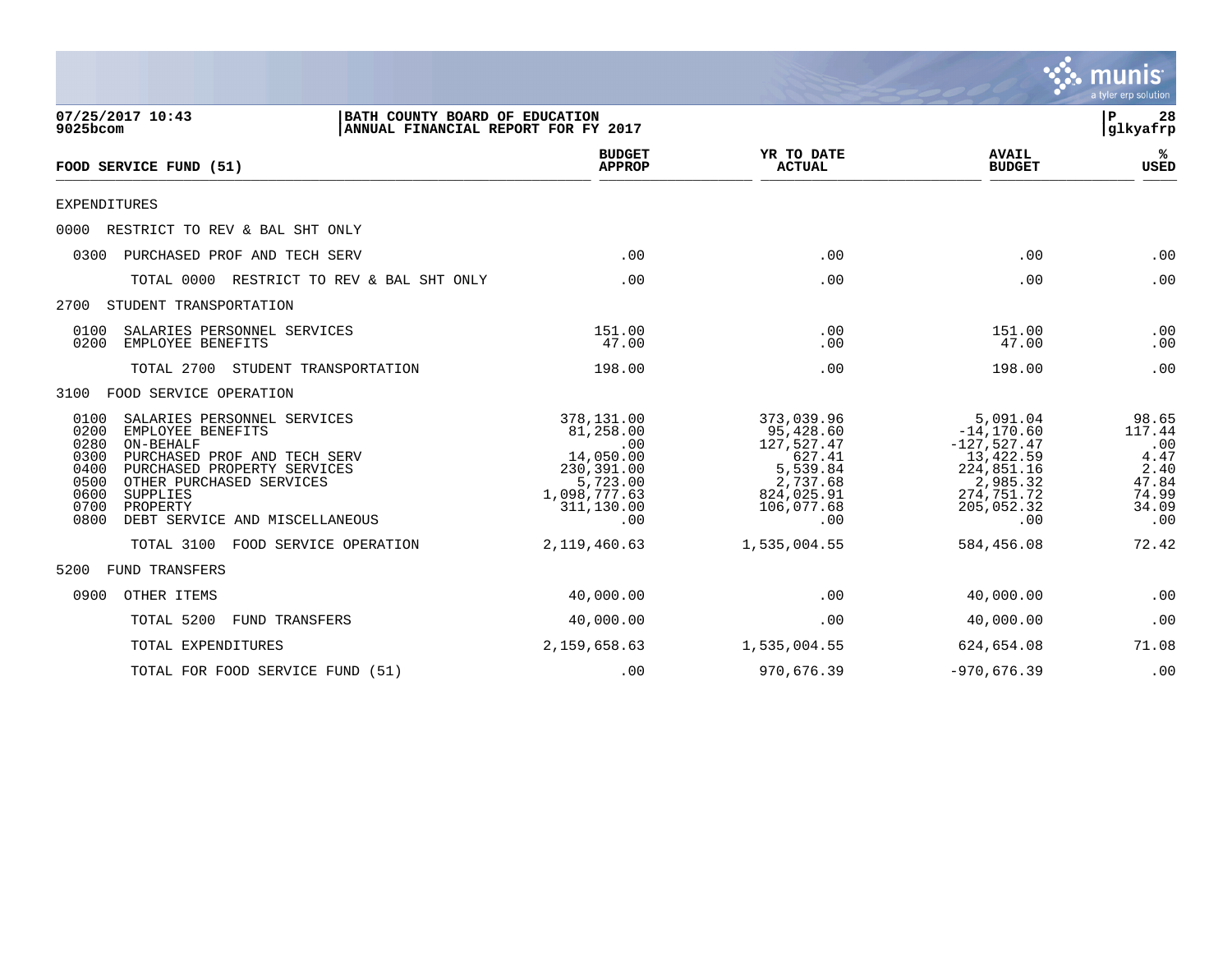

| 07/25/2017 10:43<br>BATH COUNTY BOARD OF EDUCATION<br>ANNUAL FINANCIAL REPORT FOR FY 2017<br>9025bcom                                                                                                                                                                                      |                                                                                                            |                                                                                                            |                                                                                                                       | 28<br>P<br>glkyafrp                                                      |  |
|--------------------------------------------------------------------------------------------------------------------------------------------------------------------------------------------------------------------------------------------------------------------------------------------|------------------------------------------------------------------------------------------------------------|------------------------------------------------------------------------------------------------------------|-----------------------------------------------------------------------------------------------------------------------|--------------------------------------------------------------------------|--|
| FOOD SERVICE FUND (51)                                                                                                                                                                                                                                                                     | <b>BUDGET</b><br><b>APPROP</b>                                                                             | YR TO DATE<br><b>ACTUAL</b>                                                                                | <b>AVAIL</b><br><b>BUDGET</b>                                                                                         | %ะ<br><b>USED</b>                                                        |  |
| <b>EXPENDITURES</b>                                                                                                                                                                                                                                                                        |                                                                                                            |                                                                                                            |                                                                                                                       |                                                                          |  |
| RESTRICT TO REV & BAL SHT ONLY<br>0000                                                                                                                                                                                                                                                     |                                                                                                            |                                                                                                            |                                                                                                                       |                                                                          |  |
| PURCHASED PROF AND TECH SERV<br>0300                                                                                                                                                                                                                                                       | .00                                                                                                        | .00                                                                                                        | .00                                                                                                                   | .00                                                                      |  |
| TOTAL 0000<br>RESTRICT TO REV & BAL SHT ONLY                                                                                                                                                                                                                                               | .00                                                                                                        | .00                                                                                                        | .00                                                                                                                   | .00                                                                      |  |
| 2700<br>STUDENT TRANSPORTATION                                                                                                                                                                                                                                                             |                                                                                                            |                                                                                                            |                                                                                                                       |                                                                          |  |
| 0100<br>SALARIES PERSONNEL SERVICES<br>EMPLOYEE BENEFITS<br>0200                                                                                                                                                                                                                           | 151.00<br>47.00                                                                                            | .00<br>.00                                                                                                 | 151.00<br>47.00                                                                                                       | .00<br>.00                                                               |  |
| TOTAL 2700<br>STUDENT TRANSPORTATION                                                                                                                                                                                                                                                       | 198.00                                                                                                     | .00                                                                                                        | 198.00                                                                                                                | .00                                                                      |  |
| 3100<br>FOOD SERVICE OPERATION                                                                                                                                                                                                                                                             |                                                                                                            |                                                                                                            |                                                                                                                       |                                                                          |  |
| 0100<br>SALARIES PERSONNEL SERVICES<br>0200<br>EMPLOYEE BENEFITS<br>0280<br>ON-BEHALF<br>0300<br>PURCHASED PROF AND TECH SERV<br>0400<br>PURCHASED PROPERTY SERVICES<br>0500<br>OTHER PURCHASED SERVICES<br>0600<br>SUPPLIES<br>0700<br>PROPERTY<br>0800<br>DEBT SERVICE AND MISCELLANEOUS | 378,131.00<br>81,258.00<br>.00<br>14,050.00<br>230,391.00<br>5,723.00<br>1,098,777.63<br>311,130.00<br>.00 | 373,039.96<br>95,428.60<br>127,527.47<br>627.41<br>5,539.84<br>2,737.68<br>824,025.91<br>106,077.68<br>.00 | 5,091.04<br>$-14, 170.60$<br>$-127, 527.47$<br>13,422.59<br>224,851.16<br>2,985.32<br>274,751.72<br>205,052.32<br>.00 | 98.65<br>117.44<br>.00<br>4.47<br>2.40<br>47.84<br>74.99<br>34.09<br>.00 |  |
| TOTAL 3100<br>FOOD SERVICE OPERATION                                                                                                                                                                                                                                                       | 2,119,460.63                                                                                               | 1,535,004.55                                                                                               | 584,456.08                                                                                                            | 72.42                                                                    |  |
| 5200<br>FUND TRANSFERS                                                                                                                                                                                                                                                                     |                                                                                                            |                                                                                                            |                                                                                                                       |                                                                          |  |
| OTHER ITEMS<br>0900                                                                                                                                                                                                                                                                        | 40,000.00                                                                                                  | .00                                                                                                        | 40,000.00                                                                                                             | .00                                                                      |  |
| TOTAL 5200<br>FUND TRANSFERS                                                                                                                                                                                                                                                               | 40,000.00                                                                                                  | .00                                                                                                        | 40,000.00                                                                                                             | .00                                                                      |  |
| TOTAL EXPENDITURES                                                                                                                                                                                                                                                                         | 2,159,658.63                                                                                               | 1,535,004.55                                                                                               | 624,654.08                                                                                                            | 71.08                                                                    |  |
| TOTAL FOR FOOD SERVICE FUND (51)                                                                                                                                                                                                                                                           | .00                                                                                                        | 970,676.39                                                                                                 | $-970,676.39$                                                                                                         | .00                                                                      |  |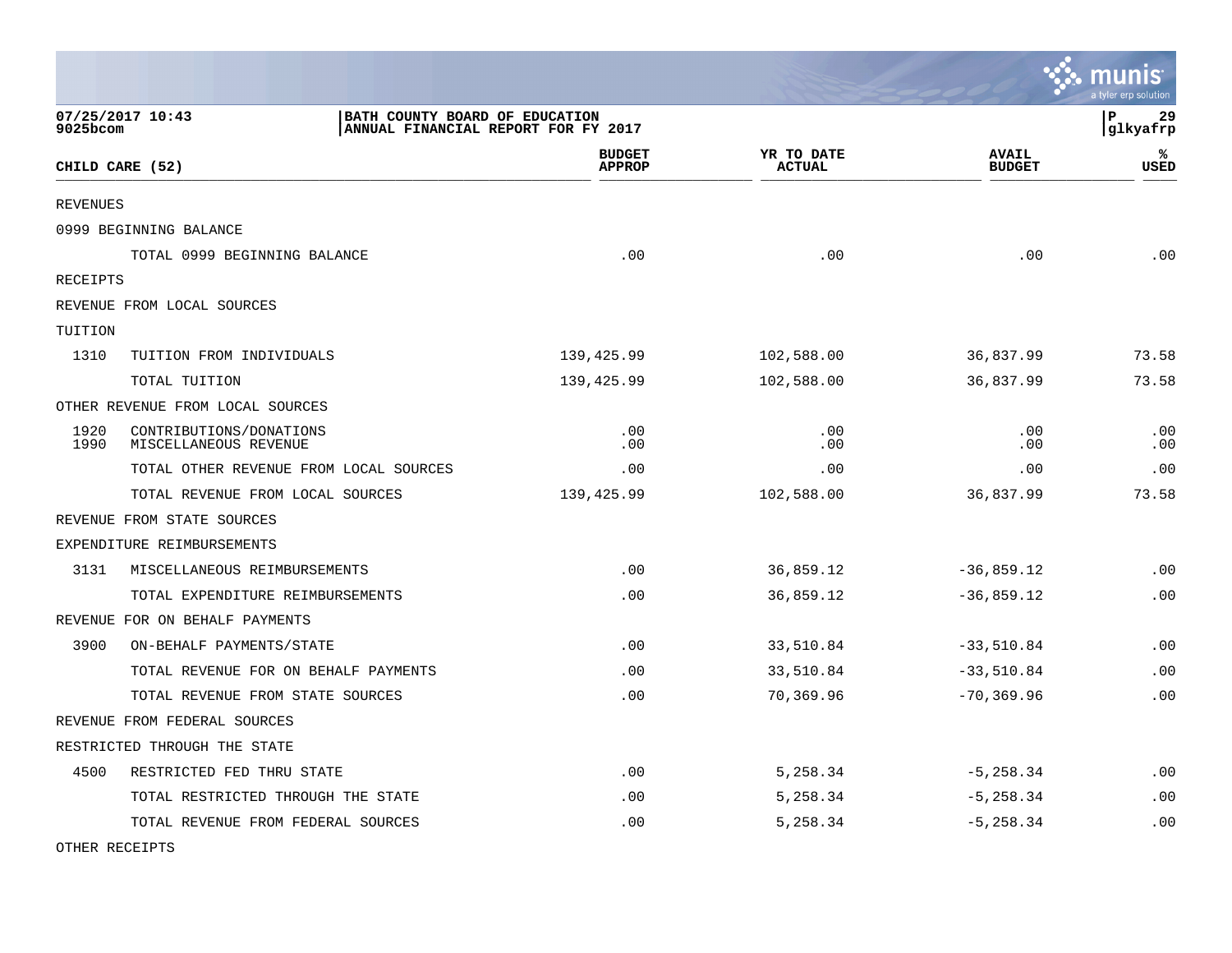|                 |                                                  |                                                                       |            |                             |                               | <b>A.</b> POSTAGE<br>a tyler erp solution |
|-----------------|--------------------------------------------------|-----------------------------------------------------------------------|------------|-----------------------------|-------------------------------|-------------------------------------------|
| 9025bcom        | 07/25/2017 10:43                                 | BATH COUNTY BOARD OF EDUCATION<br>ANNUAL FINANCIAL REPORT FOR FY 2017 |            |                             |                               | lР<br>29<br> glkyafrp                     |
|                 | CHILD CARE (52)                                  | <b>BUDGET</b><br><b>APPROP</b>                                        |            | YR TO DATE<br><b>ACTUAL</b> | <b>AVAIL</b><br><b>BUDGET</b> | ℁<br><b>USED</b>                          |
| <b>REVENUES</b> |                                                  |                                                                       |            |                             |                               |                                           |
|                 | 0999 BEGINNING BALANCE                           |                                                                       |            |                             |                               |                                           |
|                 | TOTAL 0999 BEGINNING BALANCE                     |                                                                       | .00        | .00                         | .00                           | .00                                       |
| RECEIPTS        |                                                  |                                                                       |            |                             |                               |                                           |
|                 | REVENUE FROM LOCAL SOURCES                       |                                                                       |            |                             |                               |                                           |
| TUITION         |                                                  |                                                                       |            |                             |                               |                                           |
| 1310            | TUITION FROM INDIVIDUALS                         | 139,425.99                                                            |            | 102,588.00                  | 36,837.99                     | 73.58                                     |
|                 | TOTAL TUITION                                    | 139,425.99                                                            |            | 102,588.00                  | 36,837.99                     | 73.58                                     |
|                 | OTHER REVENUE FROM LOCAL SOURCES                 |                                                                       |            |                             |                               |                                           |
| 1920<br>1990    | CONTRIBUTIONS/DONATIONS<br>MISCELLANEOUS REVENUE |                                                                       | .00<br>.00 | .00<br>.00                  | .00<br>.00                    | .00<br>.00                                |
|                 | TOTAL OTHER REVENUE FROM LOCAL SOURCES           |                                                                       | .00        | .00                         | .00                           | .00                                       |
|                 | TOTAL REVENUE FROM LOCAL SOURCES                 | 139,425.99                                                            |            | 102,588.00                  | 36,837.99                     | 73.58                                     |
|                 | REVENUE FROM STATE SOURCES                       |                                                                       |            |                             |                               |                                           |
|                 | EXPENDITURE REIMBURSEMENTS                       |                                                                       |            |                             |                               |                                           |
| 3131            | MISCELLANEOUS REIMBURSEMENTS                     |                                                                       | .00        | 36,859.12                   | $-36,859.12$                  | .00                                       |
|                 | TOTAL EXPENDITURE REIMBURSEMENTS                 |                                                                       | .00        | 36,859.12                   | $-36,859.12$                  | .00                                       |
|                 | REVENUE FOR ON BEHALF PAYMENTS                   |                                                                       |            |                             |                               |                                           |
| 3900            | ON-BEHALF PAYMENTS/STATE                         |                                                                       | .00        | 33,510.84                   | $-33,510.84$                  | .00                                       |
|                 | TOTAL REVENUE FOR ON BEHALF PAYMENTS             |                                                                       | .00        | 33,510.84                   | $-33,510.84$                  | .00                                       |
|                 | TOTAL REVENUE FROM STATE SOURCES                 |                                                                       | .00        | 70,369.96                   | $-70, 369.96$                 | .00                                       |
|                 | REVENUE FROM FEDERAL SOURCES                     |                                                                       |            |                             |                               |                                           |
|                 | RESTRICTED THROUGH THE STATE                     |                                                                       |            |                             |                               |                                           |
| 4500            | RESTRICTED FED THRU STATE                        |                                                                       | .00        | 5,258.34                    | $-5, 258.34$                  | $\boldsymbol{\mathsf{.00}}$               |
|                 | TOTAL RESTRICTED THROUGH THE STATE               |                                                                       | .00        | 5,258.34                    | $-5, 258.34$                  | .00                                       |
|                 | TOTAL REVENUE FROM FEDERAL SOURCES               |                                                                       | .00        | 5,258.34                    | $-5, 258.34$                  | .00                                       |

 $\ddot{\cdot}$  munic

OTHER RECEIPTS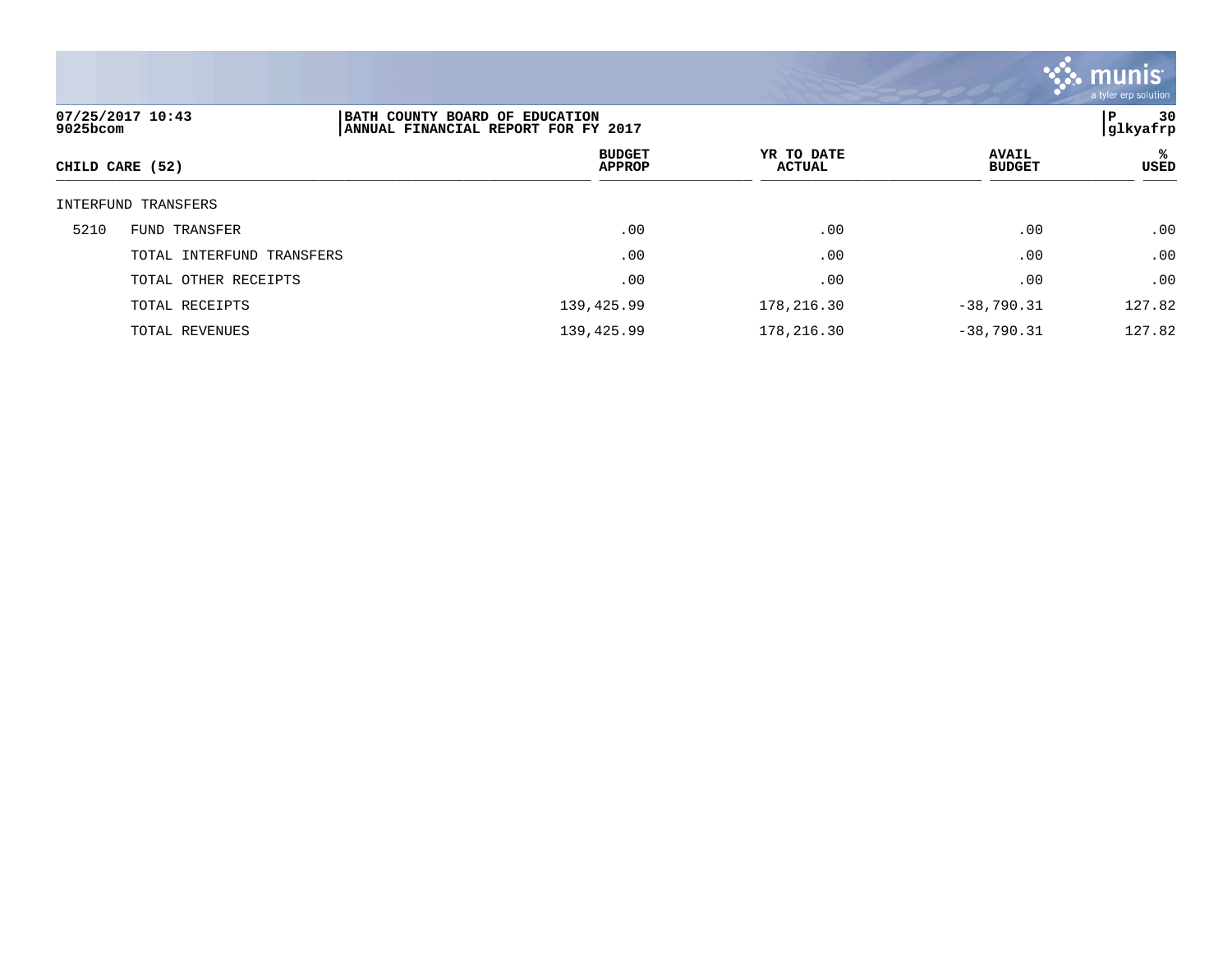

| 07/25/2017 10:43<br>BATH COUNTY BOARD OF EDUCATION<br>$9025$ bcom<br> ANNUAL FINANCIAL REPORT FOR FY 2017 |                           |                                | 30<br>P<br> glkyafrp        |                               |           |
|-----------------------------------------------------------------------------------------------------------|---------------------------|--------------------------------|-----------------------------|-------------------------------|-----------|
| CHILD CARE (52)                                                                                           |                           | <b>BUDGET</b><br><b>APPROP</b> | YR TO DATE<br><b>ACTUAL</b> | <b>AVAIL</b><br><b>BUDGET</b> | ℁<br>USED |
|                                                                                                           | INTERFUND TRANSFERS       |                                |                             |                               |           |
| 5210                                                                                                      | FUND TRANSFER             | .00                            | .00                         | .00                           | .00       |
|                                                                                                           | TOTAL INTERFUND TRANSFERS | .00                            | .00                         | .00                           | .00       |
|                                                                                                           | TOTAL OTHER RECEIPTS      | .00                            | .00                         | .00                           | .00       |
|                                                                                                           | TOTAL RECEIPTS            | 139,425.99                     | 178,216.30                  | $-38,790.31$                  | 127.82    |
|                                                                                                           | TOTAL REVENUES            | 139,425.99                     | 178,216.30                  | $-38,790.31$                  | 127.82    |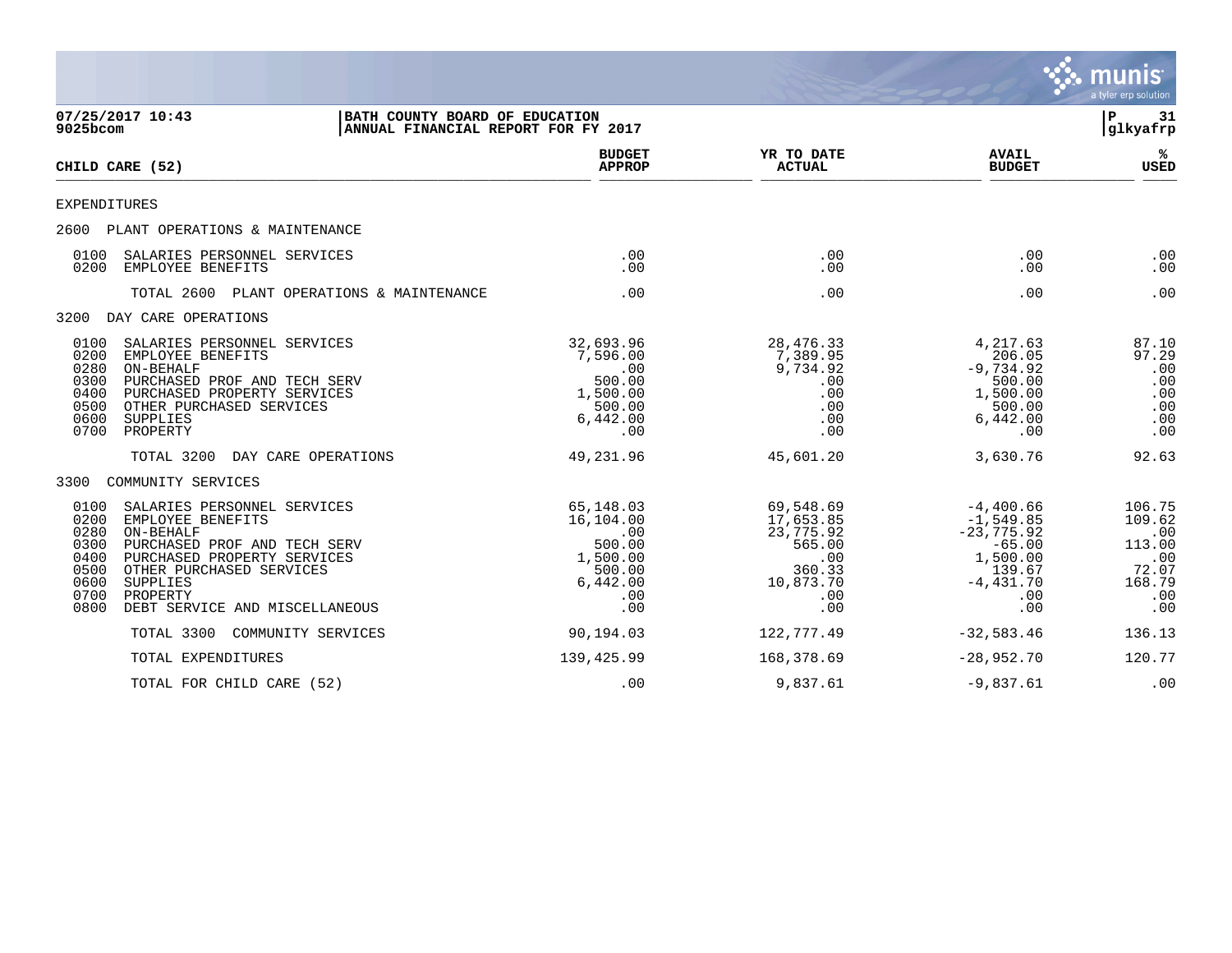|                                                                      |                                                                                                                                                                                                                    |                                                                                         |                                                                                           |                                                                                                           | munis<br>a tyler erp solution                                             |
|----------------------------------------------------------------------|--------------------------------------------------------------------------------------------------------------------------------------------------------------------------------------------------------------------|-----------------------------------------------------------------------------------------|-------------------------------------------------------------------------------------------|-----------------------------------------------------------------------------------------------------------|---------------------------------------------------------------------------|
| 9025bcom                                                             | 07/25/2017 10:43                                                                                                                                                                                                   | BATH COUNTY BOARD OF EDUCATION<br>ANNUAL FINANCIAL REPORT FOR FY 2017                   |                                                                                           |                                                                                                           | l P<br>31<br> glkyafrp                                                    |
|                                                                      | CHILD CARE (52)                                                                                                                                                                                                    | <b>BUDGET</b><br><b>APPROP</b>                                                          | YR TO DATE<br><b>ACTUAL</b>                                                               | <b>AVAIL</b><br><b>BUDGET</b>                                                                             | ℁<br><b>USED</b>                                                          |
| <b>EXPENDITURES</b>                                                  |                                                                                                                                                                                                                    |                                                                                         |                                                                                           |                                                                                                           |                                                                           |
|                                                                      | 2600 PLANT OPERATIONS & MAINTENANCE                                                                                                                                                                                |                                                                                         |                                                                                           |                                                                                                           |                                                                           |
| 0100<br>0200                                                         | SALARIES PERSONNEL SERVICES<br>EMPLOYEE BENEFITS                                                                                                                                                                   | .00<br>.00                                                                              | .00<br>.00                                                                                | .00<br>.00                                                                                                | .00<br>.00                                                                |
|                                                                      | TOTAL 2600 PLANT OPERATIONS & MAINTENANCE                                                                                                                                                                          | .00                                                                                     | .00                                                                                       | .00                                                                                                       | .00                                                                       |
| 3200                                                                 | DAY CARE OPERATIONS                                                                                                                                                                                                |                                                                                         |                                                                                           |                                                                                                           |                                                                           |
| 0100<br>0200<br>0280<br>0300<br>0400<br>0500<br>0600<br>0700         | SALARIES PERSONNEL SERVICES<br>EMPLOYEE BENEFITS<br>ON-BEHALF<br>PURCHASED PROF AND TECH SERV<br>PURCHASED PROPERTY SERVICES<br>OTHER PURCHASED SERVICES<br>SUPPLIES<br>PROPERTY                                   | 32,693.96<br>7,596.00<br>.00<br>500.00<br>1,500.00<br>500.00<br>6,442.00<br>.00         | 28, 476.33<br>7,389.95<br>9,734.92<br>.00<br>.00<br>.00<br>.00<br>.00                     | 4,217.63<br>206.05<br>$-9,734.92$<br>500.00<br>1,500.00<br>500.00<br>6,442.00<br>.00                      | 87.10<br>97.29<br>.00<br>.00<br>.00<br>.00<br>.00<br>.00                  |
|                                                                      | TOTAL 3200<br>DAY CARE OPERATIONS                                                                                                                                                                                  | 49,231.96                                                                               | 45,601.20                                                                                 | 3,630.76                                                                                                  | 92.63                                                                     |
| 3300                                                                 | COMMUNITY SERVICES                                                                                                                                                                                                 |                                                                                         |                                                                                           |                                                                                                           |                                                                           |
| 0100<br>0200<br>0280<br>0300<br>0400<br>0500<br>0600<br>0700<br>0800 | SALARIES PERSONNEL SERVICES<br>EMPLOYEE BENEFITS<br>ON-BEHALF<br>PURCHASED PROF AND TECH SERV<br>PURCHASED PROPERTY SERVICES<br>OTHER PURCHASED SERVICES<br>SUPPLIES<br>PROPERTY<br>DEBT SERVICE AND MISCELLANEOUS | 65,148.03<br>16,104.00<br>.00<br>500.00<br>1,500.00<br>500.00<br>6,442.00<br>.00<br>.00 | 69,548.69<br>17,653.85<br>23,775.92<br>565.00<br>.00<br>360.33<br>10,873.70<br>.00<br>.00 | $-4,400.66$<br>$-1,549.85$<br>$-23,775.92$<br>$-65.00$<br>1,500.00<br>139.67<br>$-4,431.70$<br>.00<br>.00 | 106.75<br>109.62<br>.00<br>113.00<br>.00<br>72.07<br>168.79<br>.00<br>.00 |
|                                                                      | TOTAL 3300<br>COMMUNITY SERVICES                                                                                                                                                                                   | 90,194.03                                                                               | 122,777.49                                                                                | $-32,583.46$                                                                                              | 136.13                                                                    |
|                                                                      | TOTAL EXPENDITURES                                                                                                                                                                                                 | 139,425.99                                                                              | 168,378.69                                                                                | $-28,952.70$                                                                                              | 120.77                                                                    |
|                                                                      | TOTAL FOR CHILD CARE (52)                                                                                                                                                                                          | .00                                                                                     | 9,837.61                                                                                  | $-9,837.61$                                                                                               | .00                                                                       |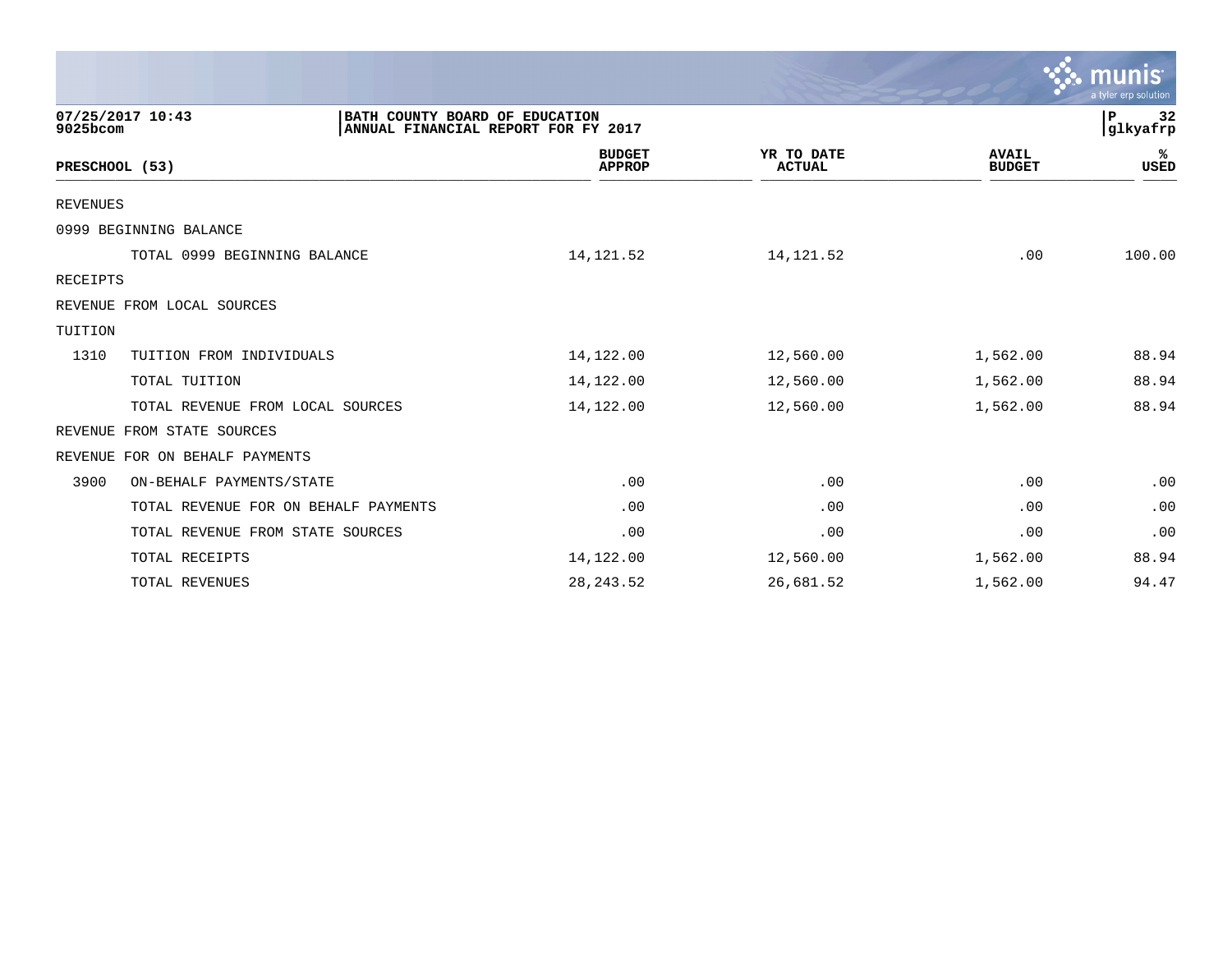|                                      |                                                                       |                             |                               | $\mathbf{\ddot{\cdot}}\mathbf{\ddot{\cdot}}\mathbf{m}$ unis $\mathbf{\ddot{\cdot}}$<br>a tyler erp solution |
|--------------------------------------|-----------------------------------------------------------------------|-----------------------------|-------------------------------|-------------------------------------------------------------------------------------------------------------|
| 07/25/2017 10:43<br>9025bcom         | BATH COUNTY BOARD OF EDUCATION<br>ANNUAL FINANCIAL REPORT FOR FY 2017 |                             |                               | 32<br>P<br>glkyafrp                                                                                         |
| PRESCHOOL (53)                       | <b>BUDGET</b><br><b>APPROP</b>                                        | YR TO DATE<br><b>ACTUAL</b> | <b>AVAIL</b><br><b>BUDGET</b> | ℁<br><b>USED</b>                                                                                            |
| REVENUES                             |                                                                       |                             |                               |                                                                                                             |
| 0999 BEGINNING BALANCE               |                                                                       |                             |                               |                                                                                                             |
| TOTAL 0999 BEGINNING BALANCE         | 14, 121.52                                                            | 14, 121.52                  | .00                           | 100.00                                                                                                      |
| RECEIPTS                             |                                                                       |                             |                               |                                                                                                             |
| REVENUE FROM LOCAL SOURCES           |                                                                       |                             |                               |                                                                                                             |
| TUITION                              |                                                                       |                             |                               |                                                                                                             |
| 1310<br>TUITION FROM INDIVIDUALS     | 14,122.00                                                             | 12,560.00                   | 1,562.00                      | 88.94                                                                                                       |
| TOTAL TUITION                        | 14,122.00                                                             | 12,560.00                   | 1,562.00                      | 88.94                                                                                                       |
| TOTAL REVENUE FROM LOCAL SOURCES     | 14,122.00                                                             | 12,560.00                   | 1,562.00                      | 88.94                                                                                                       |
| FROM STATE SOURCES<br>REVENUE        |                                                                       |                             |                               |                                                                                                             |
| REVENUE FOR ON BEHALF PAYMENTS       |                                                                       |                             |                               |                                                                                                             |
| 3900<br>ON-BEHALF PAYMENTS/STATE     | .00                                                                   | .00                         | .00                           | .00                                                                                                         |
| TOTAL REVENUE FOR ON BEHALF PAYMENTS | .00                                                                   | .00                         | .00                           | .00                                                                                                         |
| TOTAL REVENUE FROM STATE SOURCES     | .00                                                                   | .00                         | .00                           | .00                                                                                                         |
| TOTAL RECEIPTS                       | 14,122.00                                                             | 12,560.00                   | 1,562.00                      | 88.94                                                                                                       |
| TOTAL REVENUES                       | 28, 243.52                                                            | 26,681.52                   | 1,562.00                      | 94.47                                                                                                       |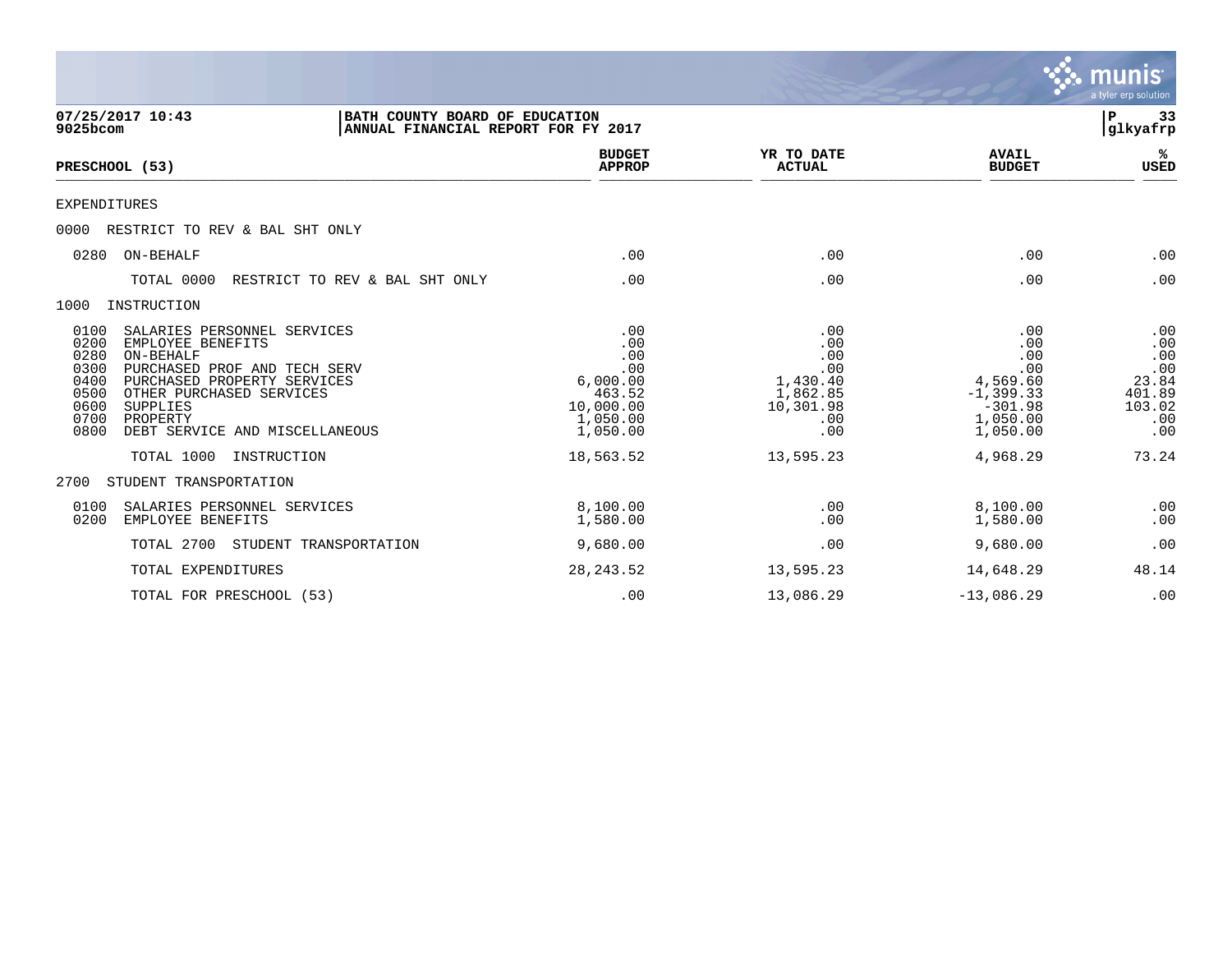|                                                                                                                                                                                                                                                                                                                         |                                                                                                  |                                                                                          |                                                                                                       | munis<br>a tyler erp solution                                                |
|-------------------------------------------------------------------------------------------------------------------------------------------------------------------------------------------------------------------------------------------------------------------------------------------------------------------------|--------------------------------------------------------------------------------------------------|------------------------------------------------------------------------------------------|-------------------------------------------------------------------------------------------------------|------------------------------------------------------------------------------|
| 07/25/2017 10:43<br>BATH COUNTY BOARD OF EDUCATION<br>9025bcom<br>ANNUAL FINANCIAL REPORT FOR FY 2017                                                                                                                                                                                                                   |                                                                                                  |                                                                                          |                                                                                                       | 33<br>P<br>glkyafrp                                                          |
| PRESCHOOL (53)                                                                                                                                                                                                                                                                                                          | <b>BUDGET</b><br><b>APPROP</b>                                                                   | YR TO DATE<br><b>ACTUAL</b>                                                              | <b>AVAIL</b><br><b>BUDGET</b>                                                                         | ℁<br>USED                                                                    |
| <b>EXPENDITURES</b>                                                                                                                                                                                                                                                                                                     |                                                                                                  |                                                                                          |                                                                                                       |                                                                              |
| 0000<br>RESTRICT TO REV & BAL SHT ONLY                                                                                                                                                                                                                                                                                  |                                                                                                  |                                                                                          |                                                                                                       |                                                                              |
| ON-BEHALF<br>0280                                                                                                                                                                                                                                                                                                       | .00                                                                                              | .00                                                                                      | .00                                                                                                   | .00                                                                          |
| TOTAL 0000<br>RESTRICT TO REV & BAL SHT ONLY                                                                                                                                                                                                                                                                            | .00                                                                                              | .00                                                                                      | .00                                                                                                   | .00                                                                          |
| INSTRUCTION<br>1000                                                                                                                                                                                                                                                                                                     |                                                                                                  |                                                                                          |                                                                                                       |                                                                              |
| 0100<br>SALARIES PERSONNEL SERVICES<br>0200<br>EMPLOYEE BENEFITS<br>0280<br>ON-BEHALF<br>0300<br>PURCHASED PROF AND TECH SERV<br>0400<br>PURCHASED PROPERTY SERVICES<br>OTHER PURCHASED SERVICES<br>0500<br>0600<br>SUPPLIES<br>0700<br>PROPERTY<br>0800<br>DEBT SERVICE AND MISCELLANEOUS<br>TOTAL 1000<br>INSTRUCTION | .00<br>.00<br>.00<br>.00<br>6,000.00<br>463.52<br>10,000.00<br>1,050.00<br>1,050.00<br>18,563.52 | .00<br>.00<br>.00<br>.00<br>1,430.40<br>1,862.85<br>10,301.98<br>.00<br>.00<br>13,595.23 | .00<br>.00<br>.00<br>.00<br>4,569.60<br>$-1, 399.33$<br>$-301.98$<br>1,050.00<br>1,050.00<br>4,968.29 | .00<br>.00<br>.00<br>.00<br>23.84<br>401.89<br>103.02<br>.00<br>.00<br>73.24 |
| STUDENT TRANSPORTATION<br>2700                                                                                                                                                                                                                                                                                          |                                                                                                  |                                                                                          |                                                                                                       |                                                                              |
| 0100<br>SALARIES PERSONNEL SERVICES<br>0200<br>EMPLOYEE BENEFITS                                                                                                                                                                                                                                                        | 8,100.00<br>1,580.00                                                                             | .00<br>.00                                                                               | 8,100.00<br>1,580.00                                                                                  | .00<br>.00                                                                   |
| TOTAL 2700<br>STUDENT TRANSPORTATION                                                                                                                                                                                                                                                                                    | 9,680.00                                                                                         | .00                                                                                      | 9,680.00                                                                                              | .00                                                                          |
| TOTAL EXPENDITURES                                                                                                                                                                                                                                                                                                      | 28, 243.52                                                                                       | 13,595.23                                                                                | 14,648.29                                                                                             | 48.14                                                                        |
| TOTAL FOR PRESCHOOL (53)                                                                                                                                                                                                                                                                                                | .00                                                                                              | 13,086.29                                                                                | $-13,086.29$                                                                                          | .00                                                                          |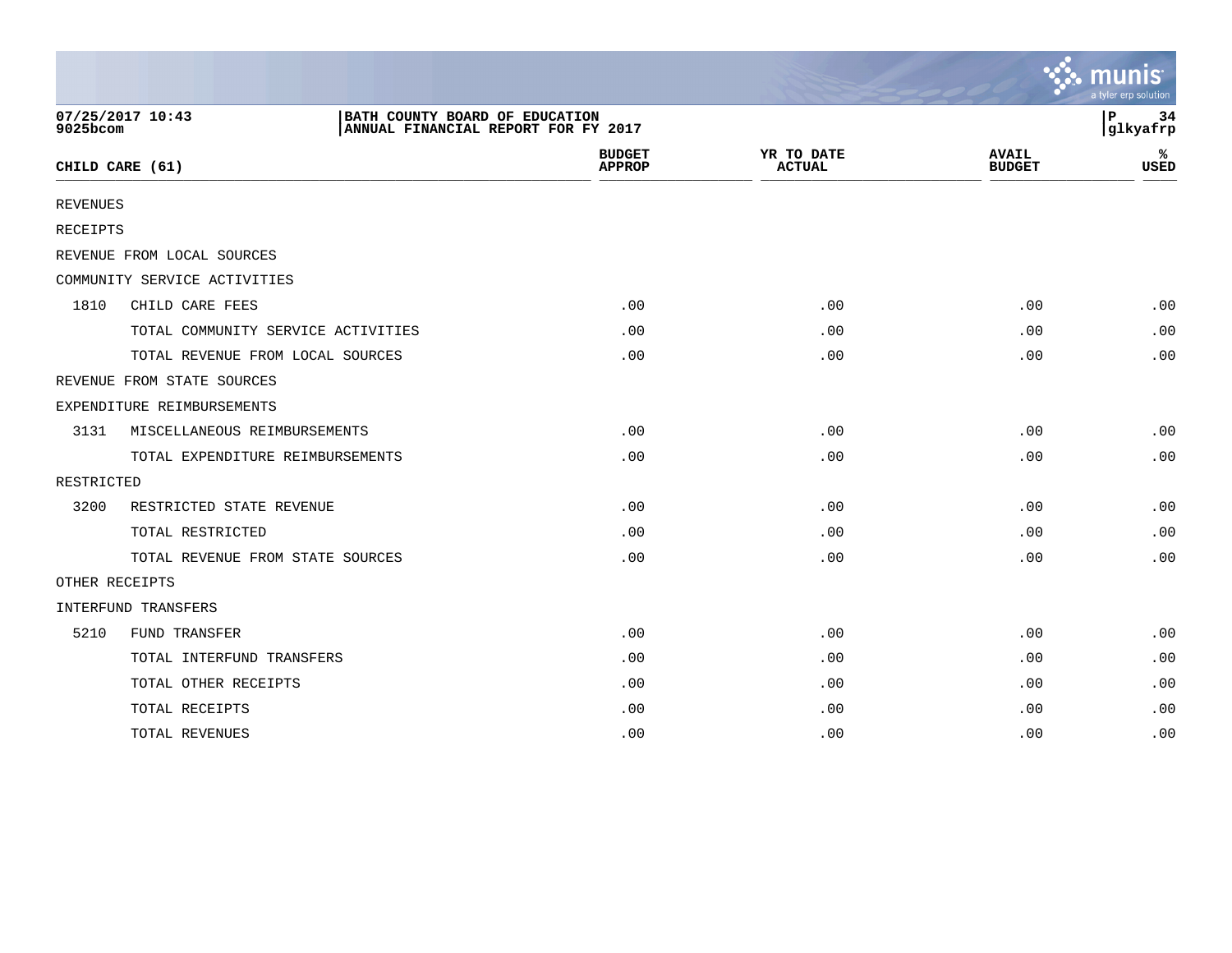|                 |                                                                                           |                                |                             |                               | <u>ः munis</u><br>a tyler erp solution |
|-----------------|-------------------------------------------------------------------------------------------|--------------------------------|-----------------------------|-------------------------------|----------------------------------------|
| 9025bcom        | 07/25/2017 10:43<br>BATH COUNTY BOARD OF EDUCATION<br>ANNUAL FINANCIAL REPORT FOR FY 2017 |                                |                             |                               | P<br>34<br>glkyafrp                    |
|                 | CHILD CARE (61)                                                                           | <b>BUDGET</b><br><b>APPROP</b> | YR TO DATE<br><b>ACTUAL</b> | <b>AVAIL</b><br><b>BUDGET</b> | ℁<br><b>USED</b>                       |
| <b>REVENUES</b> |                                                                                           |                                |                             |                               |                                        |
| RECEIPTS        |                                                                                           |                                |                             |                               |                                        |
|                 | REVENUE FROM LOCAL SOURCES                                                                |                                |                             |                               |                                        |
|                 | COMMUNITY SERVICE ACTIVITIES                                                              |                                |                             |                               |                                        |
| 1810            | CHILD CARE FEES                                                                           | .00                            | .00                         | .00                           | .00                                    |
|                 | TOTAL COMMUNITY SERVICE ACTIVITIES                                                        | .00                            | .00                         | .00                           | .00                                    |
|                 | TOTAL REVENUE FROM LOCAL SOURCES                                                          | .00                            | .00                         | .00                           | .00                                    |
|                 | REVENUE FROM STATE SOURCES                                                                |                                |                             |                               |                                        |
|                 | EXPENDITURE REIMBURSEMENTS                                                                |                                |                             |                               |                                        |
| 3131            | MISCELLANEOUS REIMBURSEMENTS                                                              | .00                            | .00                         | .00                           | .00                                    |
|                 | TOTAL EXPENDITURE REIMBURSEMENTS                                                          | .00                            | .00                         | .00                           | .00                                    |
| RESTRICTED      |                                                                                           |                                |                             |                               |                                        |
| 3200            | RESTRICTED STATE REVENUE                                                                  | .00                            | .00                         | .00                           | .00                                    |
|                 | TOTAL RESTRICTED                                                                          | .00                            | .00                         | .00                           | .00                                    |
|                 | TOTAL REVENUE FROM STATE SOURCES                                                          | .00                            | .00                         | .00                           | .00                                    |
| OTHER RECEIPTS  |                                                                                           |                                |                             |                               |                                        |
|                 | INTERFUND TRANSFERS                                                                       |                                |                             |                               |                                        |
| 5210            | FUND TRANSFER                                                                             | .00                            | .00                         | .00                           | .00                                    |
|                 | TOTAL INTERFUND TRANSFERS                                                                 | .00                            | .00                         | .00                           | .00                                    |
|                 | TOTAL OTHER RECEIPTS                                                                      | .00                            | .00                         | .00                           | .00                                    |
|                 | TOTAL RECEIPTS                                                                            | .00                            | .00                         | .00                           | .00                                    |
|                 | TOTAL REVENUES                                                                            | .00                            | .00                         | .00                           | .00                                    |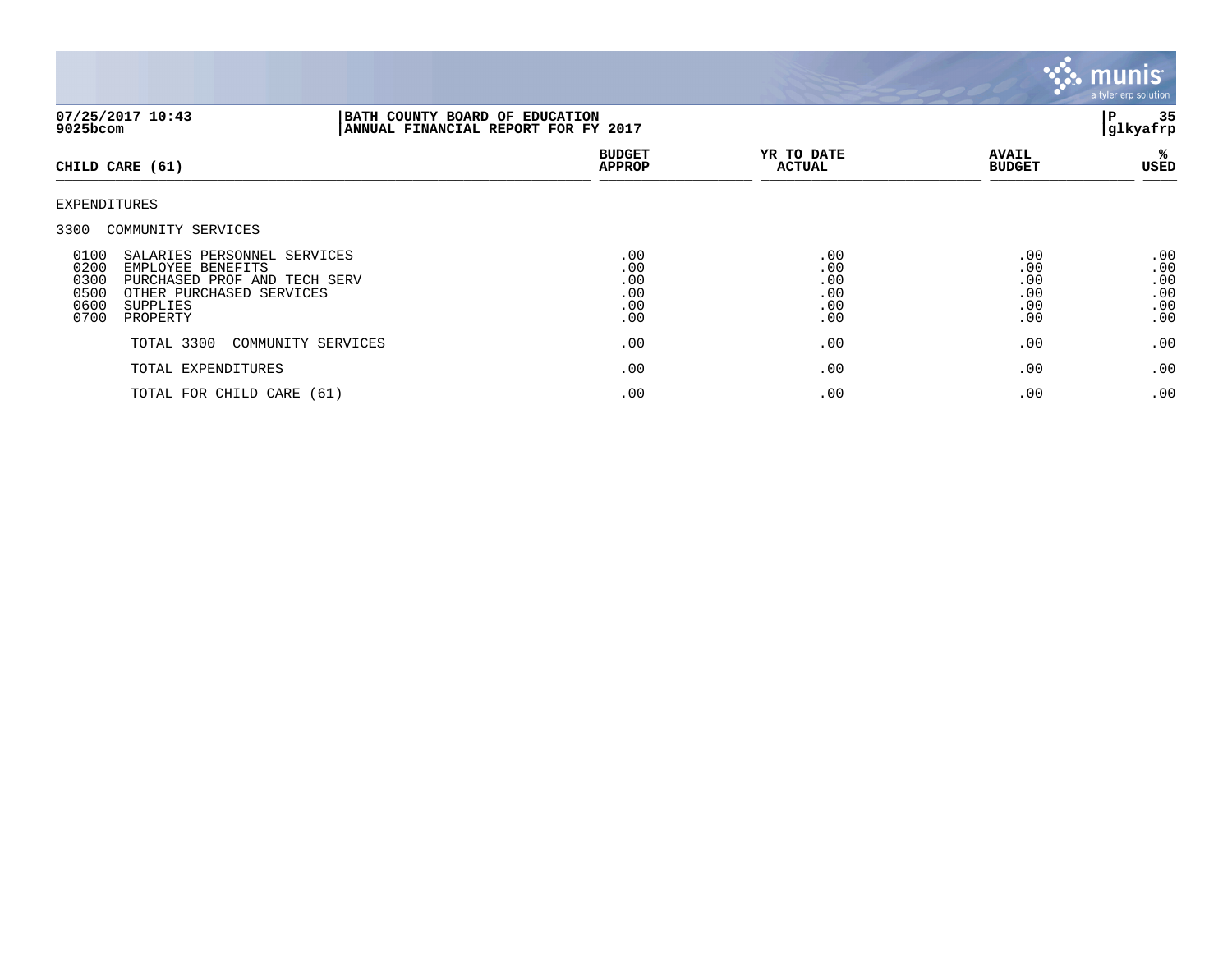

| 07/25/2017 10:43<br>9025bcom                                                                                                                                                                                    |                    | BATH COUNTY BOARD OF EDUCATION<br>ANNUAL FINANCIAL REPORT FOR FY 2017 |                                        |                                        |                                        |
|-----------------------------------------------------------------------------------------------------------------------------------------------------------------------------------------------------------------|--------------------|-----------------------------------------------------------------------|----------------------------------------|----------------------------------------|----------------------------------------|
| CHILD CARE (61)                                                                                                                                                                                                 |                    | <b>BUDGET</b><br><b>APPROP</b>                                        | YR TO DATE<br><b>ACTUAL</b>            | <b>AVAIL</b><br><b>BUDGET</b>          | %ะ<br>USED                             |
| EXPENDITURES                                                                                                                                                                                                    |                    |                                                                       |                                        |                                        |                                        |
| 3300 COMMUNITY SERVICES<br>0100<br>SALARIES PERSONNEL SERVICES<br>0200<br>EMPLOYEE BENEFITS<br>0300<br>PURCHASED PROF AND TECH SERV<br>0500<br>OTHER PURCHASED SERVICES<br>0600<br>SUPPLIES<br>0700<br>PROPERTY |                    | .00<br>.00<br>.00<br>.00<br>.00<br>.00                                | .00<br>.00<br>.00<br>.00<br>.00<br>.00 | .00<br>.00<br>.00<br>.00<br>.00<br>.00 | .00<br>.00<br>.00<br>.00<br>.00<br>.00 |
| TOTAL 3300                                                                                                                                                                                                      | COMMUNITY SERVICES | .00                                                                   | .00                                    | .00                                    | .00                                    |
| TOTAL EXPENDITURES                                                                                                                                                                                              |                    | .00                                                                   | .00                                    | .00                                    | .00                                    |
| TOTAL FOR CHILD CARE (61)                                                                                                                                                                                       |                    | .00                                                                   | .00                                    | .00                                    | .00                                    |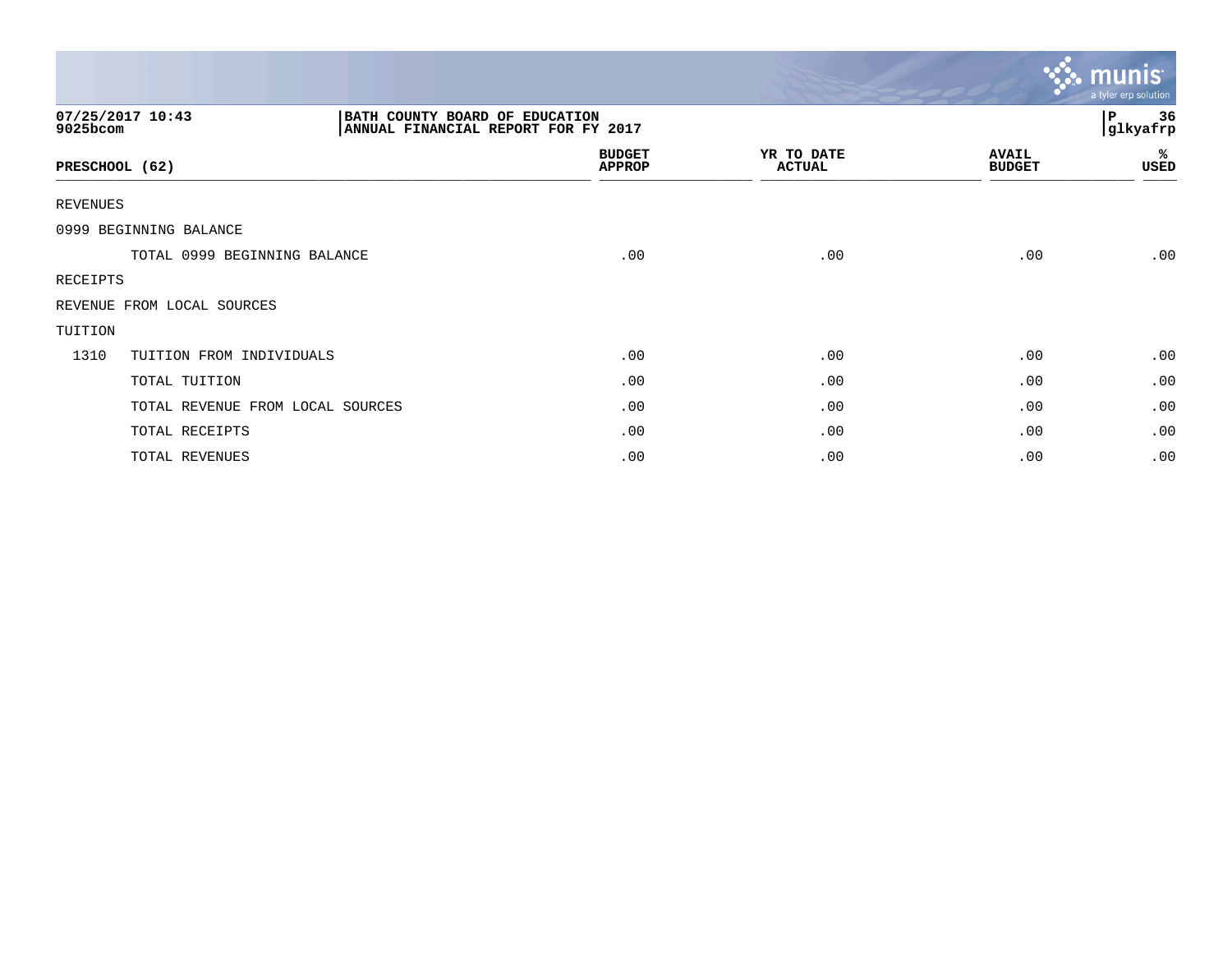|                 |                                                                                           |                                |                             |                               | <b>W. munis</b><br>a tyler erp solution |
|-----------------|-------------------------------------------------------------------------------------------|--------------------------------|-----------------------------|-------------------------------|-----------------------------------------|
| 9025bcom        | 07/25/2017 10:43<br>BATH COUNTY BOARD OF EDUCATION<br>ANNUAL FINANCIAL REPORT FOR FY 2017 |                                |                             |                               | 36<br>P<br>glkyafrp                     |
|                 | PRESCHOOL (62)                                                                            | <b>BUDGET</b><br><b>APPROP</b> | YR TO DATE<br><b>ACTUAL</b> | <b>AVAIL</b><br><b>BUDGET</b> | %<br>USED                               |
| <b>REVENUES</b> |                                                                                           |                                |                             |                               |                                         |
|                 | 0999 BEGINNING BALANCE                                                                    |                                |                             |                               |                                         |
|                 | TOTAL 0999 BEGINNING BALANCE                                                              | .00                            | .00                         | .00                           | .00                                     |
| RECEIPTS        |                                                                                           |                                |                             |                               |                                         |
|                 | REVENUE FROM LOCAL SOURCES                                                                |                                |                             |                               |                                         |
| TUITION         |                                                                                           |                                |                             |                               |                                         |
| 1310            | TUITION FROM INDIVIDUALS                                                                  | .00                            | .00                         | .00                           | .00                                     |
|                 | TOTAL TUITION                                                                             | .00                            | .00                         | .00                           | .00                                     |
|                 | TOTAL REVENUE FROM LOCAL SOURCES                                                          | .00                            | .00                         | .00                           | .00                                     |
|                 | TOTAL RECEIPTS                                                                            | .00                            | .00                         | .00                           | .00                                     |
|                 | TOTAL REVENUES                                                                            | .00                            | .00                         | .00                           | .00                                     |

the contract of the contract of the contract of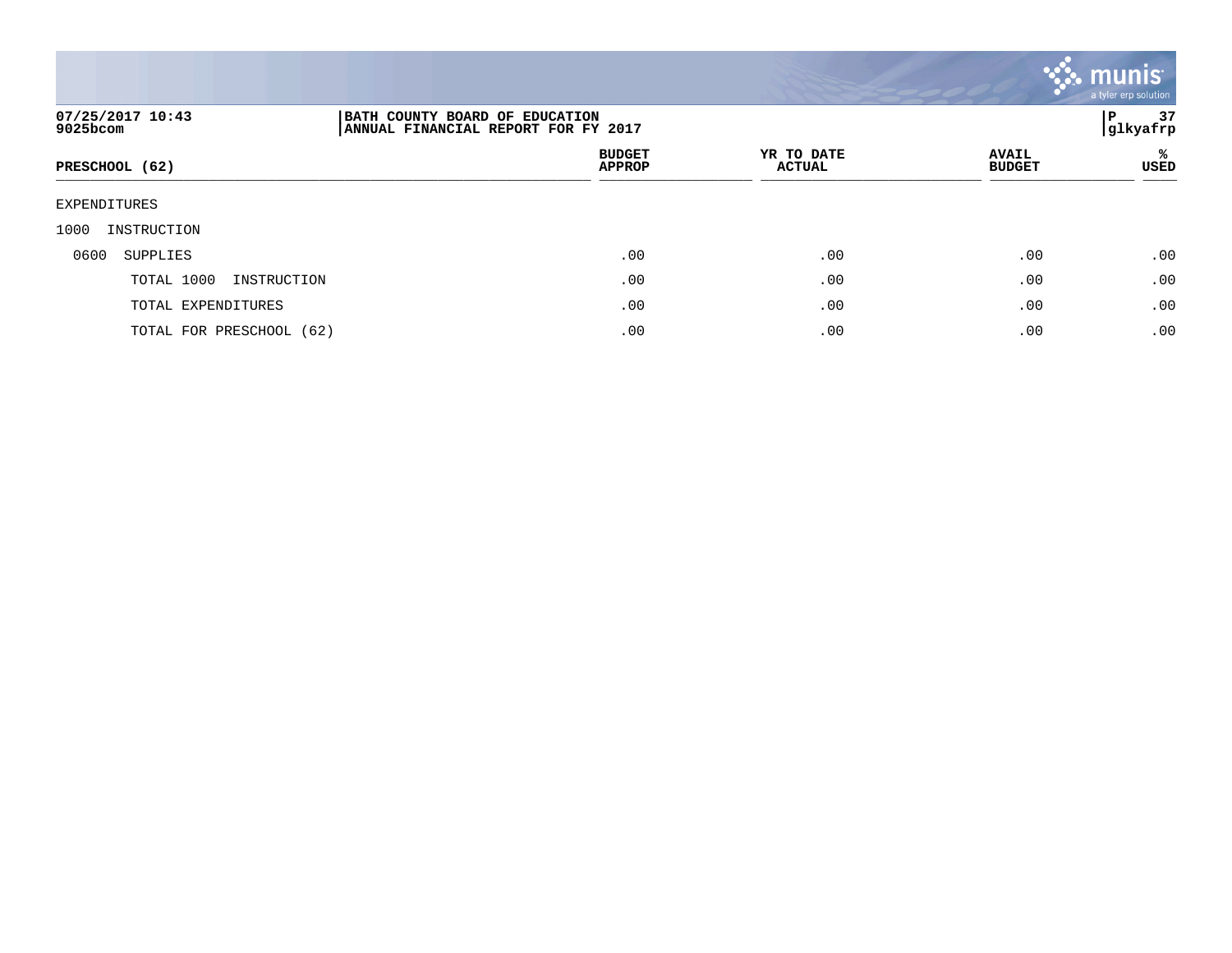

| 07/25/2017 10:43<br>9025bcom | BATH COUNTY BOARD OF EDUCATION<br>ANNUAL FINANCIAL REPORT FOR FY 2017 | P<br> glkyafrp              |                               |                  |  |  |
|------------------------------|-----------------------------------------------------------------------|-----------------------------|-------------------------------|------------------|--|--|
| PRESCHOOL (62)               | <b>BUDGET</b><br><b>APPROP</b>                                        | YR TO DATE<br><b>ACTUAL</b> | <b>AVAIL</b><br><b>BUDGET</b> | %<br><b>USED</b> |  |  |
| <b>EXPENDITURES</b>          |                                                                       |                             |                               |                  |  |  |
| 1000<br>INSTRUCTION          |                                                                       |                             |                               |                  |  |  |
| 0600<br>SUPPLIES             | .00                                                                   | .00                         | .00                           | .00              |  |  |
| TOTAL 1000<br>INSTRUCTION    | .00                                                                   | .00                         | .00                           | .00              |  |  |
| TOTAL EXPENDITURES           | .00                                                                   | .00                         | .00                           | .00              |  |  |
| TOTAL FOR PRESCHOOL (62)     | .00                                                                   | .00                         | .00                           | .00              |  |  |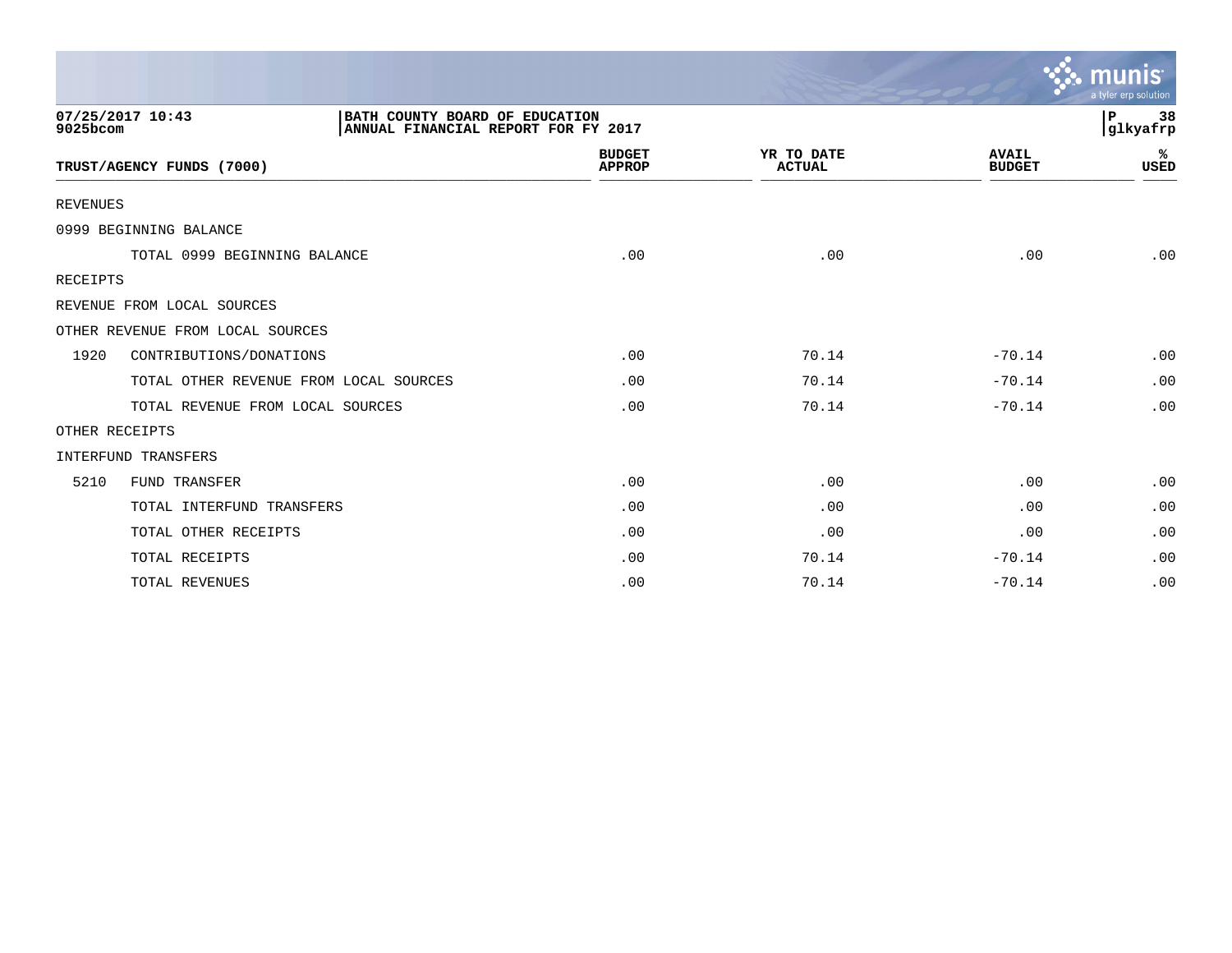|                 |                                                                                           |                                |                             |                               | munis<br>a tyler erp solution  |
|-----------------|-------------------------------------------------------------------------------------------|--------------------------------|-----------------------------|-------------------------------|--------------------------------|
| 9025bcom        | 07/25/2017 10:43<br>BATH COUNTY BOARD OF EDUCATION<br>ANNUAL FINANCIAL REPORT FOR FY 2017 |                                |                             |                               | $\, {\bf P}$<br>38<br>glkyafrp |
|                 | TRUST/AGENCY FUNDS (7000)                                                                 | <b>BUDGET</b><br><b>APPROP</b> | YR TO DATE<br><b>ACTUAL</b> | <b>AVAIL</b><br><b>BUDGET</b> | ℁<br><b>USED</b>               |
| <b>REVENUES</b> |                                                                                           |                                |                             |                               |                                |
|                 | 0999 BEGINNING BALANCE                                                                    |                                |                             |                               |                                |
|                 | TOTAL 0999 BEGINNING BALANCE                                                              | .00                            | .00                         | .00                           | .00                            |
| <b>RECEIPTS</b> |                                                                                           |                                |                             |                               |                                |
|                 | REVENUE FROM LOCAL SOURCES                                                                |                                |                             |                               |                                |
|                 | OTHER REVENUE FROM LOCAL SOURCES                                                          |                                |                             |                               |                                |
| 1920            | CONTRIBUTIONS/DONATIONS                                                                   | .00                            | 70.14                       | $-70.14$                      | .00                            |
|                 | TOTAL OTHER REVENUE FROM LOCAL SOURCES                                                    | .00                            | 70.14                       | $-70.14$                      | .00                            |
|                 | TOTAL REVENUE FROM LOCAL SOURCES                                                          | .00                            | 70.14                       | $-70.14$                      | .00                            |
|                 | OTHER RECEIPTS                                                                            |                                |                             |                               |                                |
|                 | <b>INTERFUND TRANSFERS</b>                                                                |                                |                             |                               |                                |
| 5210            | FUND TRANSFER                                                                             | .00                            | .00                         | .00                           | .00                            |
|                 | TOTAL INTERFUND TRANSFERS                                                                 | .00                            | .00                         | .00                           | .00                            |
|                 | TOTAL OTHER RECEIPTS                                                                      | .00                            | .00                         | .00                           | .00                            |
|                 | TOTAL RECEIPTS                                                                            | .00                            | 70.14                       | $-70.14$                      | .00                            |
|                 | TOTAL REVENUES                                                                            | .00                            | 70.14                       | $-70.14$                      | .00                            |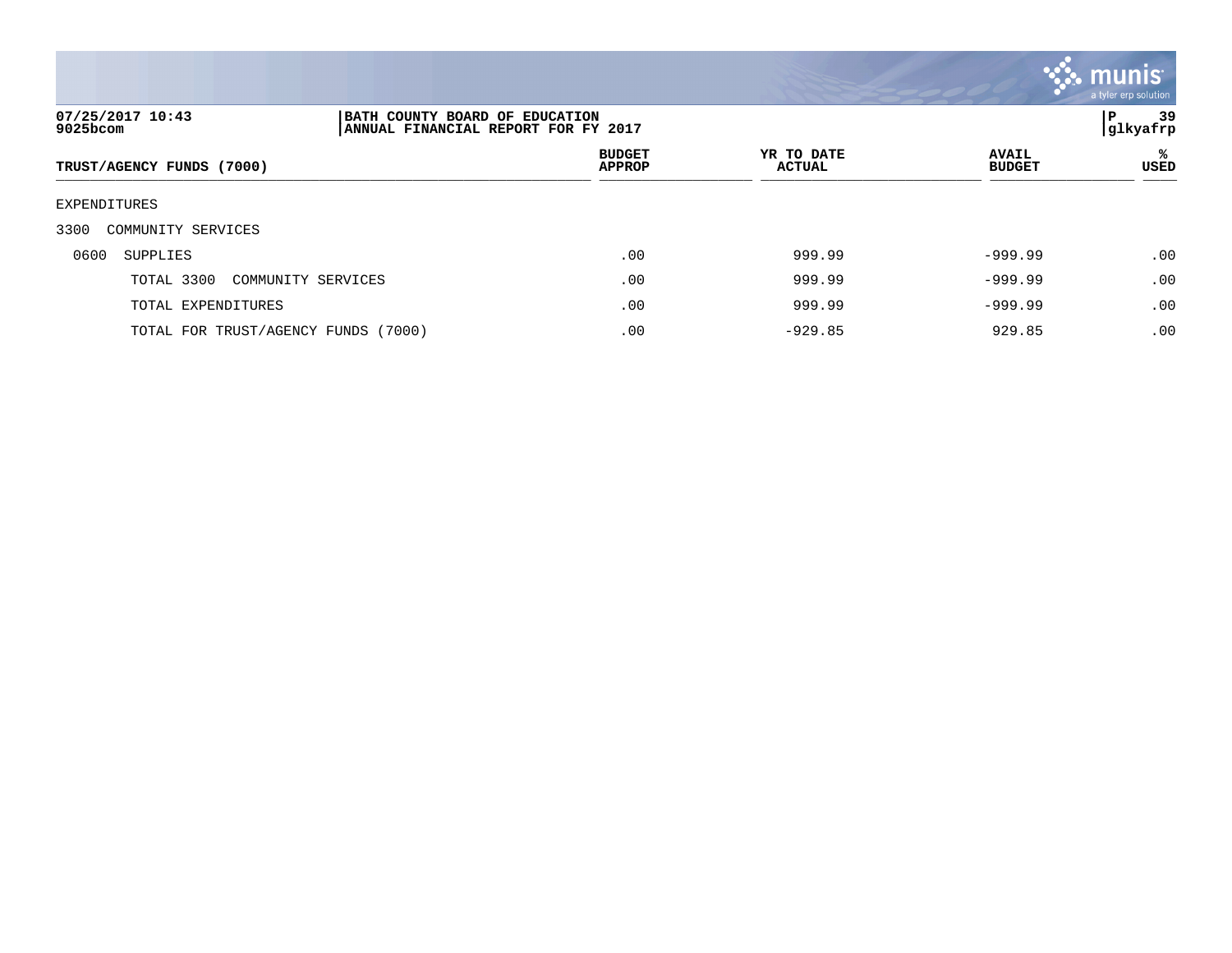

| 07/25/2017 10:43<br>9025bcom        |                    | P<br>BATH COUNTY BOARD OF EDUCATION<br>ANNUAL FINANCIAL REPORT FOR FY 2017<br> glkyafrp |                             |                               |           |  |
|-------------------------------------|--------------------|-----------------------------------------------------------------------------------------|-----------------------------|-------------------------------|-----------|--|
| TRUST/AGENCY FUNDS (7000)           |                    | <b>BUDGET</b><br><b>APPROP</b>                                                          | YR TO DATE<br><b>ACTUAL</b> | <b>AVAIL</b><br><b>BUDGET</b> | ℁<br>USED |  |
| EXPENDITURES                        |                    |                                                                                         |                             |                               |           |  |
| 3300<br>COMMUNITY SERVICES          |                    |                                                                                         |                             |                               |           |  |
| 0600<br>SUPPLIES                    |                    | .00                                                                                     | 999.99                      | $-999.99$                     | .00       |  |
| TOTAL 3300                          | COMMUNITY SERVICES | .00                                                                                     | 999.99                      | $-999.99$                     | .00       |  |
| TOTAL EXPENDITURES                  |                    | .00                                                                                     | 999.99                      | $-999.99$                     | .00       |  |
| TOTAL FOR TRUST/AGENCY FUNDS (7000) |                    | .00                                                                                     | $-929.85$                   | 929.85                        | .00       |  |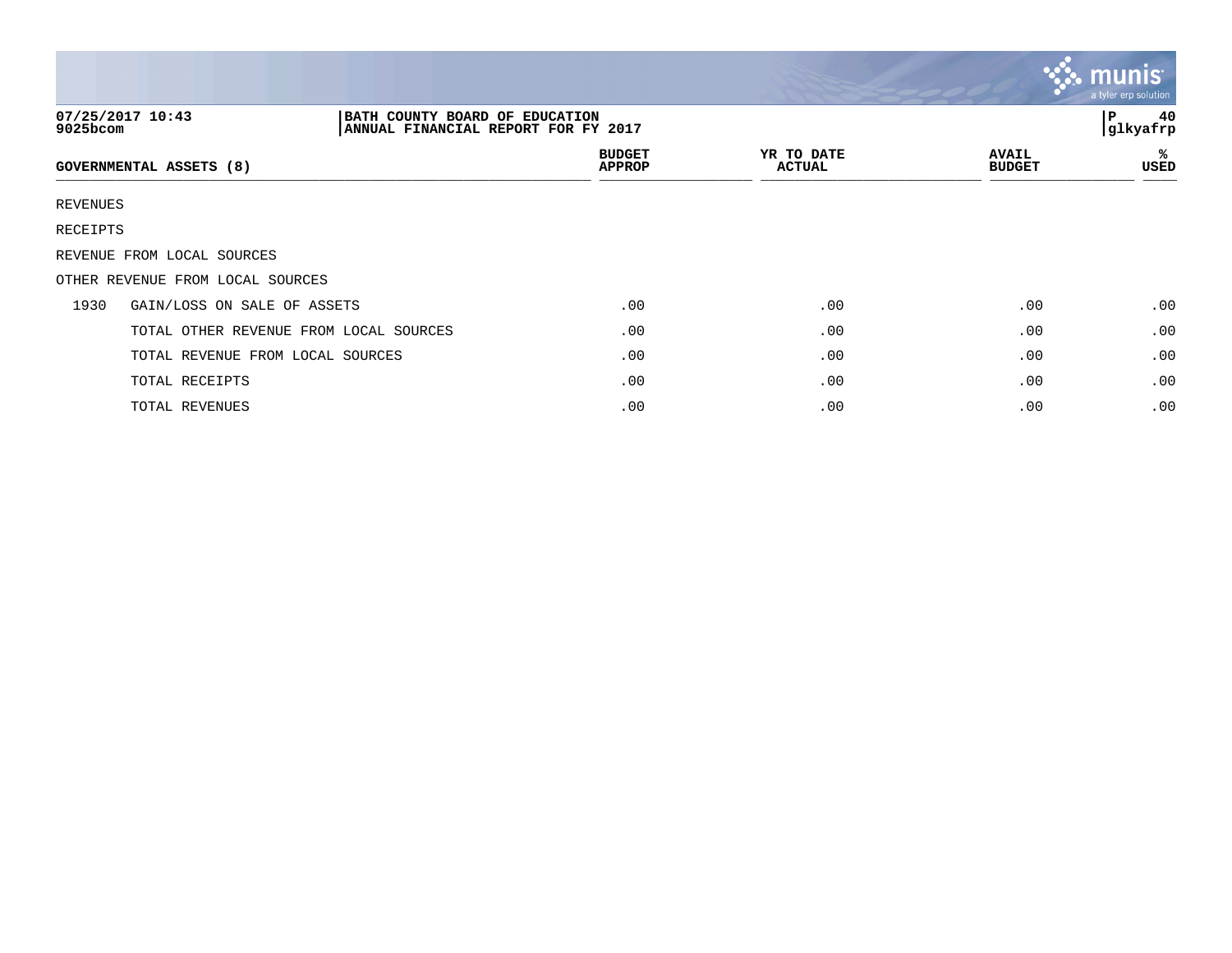|             |                                                                                           |                                |                             |                               | $\mathbf{C}$ munis<br>a tyler erp solution |
|-------------|-------------------------------------------------------------------------------------------|--------------------------------|-----------------------------|-------------------------------|--------------------------------------------|
| $9025$ bcom | 07/25/2017 10:43<br>BATH COUNTY BOARD OF EDUCATION<br>ANNUAL FINANCIAL REPORT FOR FY 2017 |                                |                             |                               | 40<br>l P<br>glkyafrp                      |
|             | <b>GOVERNMENTAL ASSETS (8)</b>                                                            | <b>BUDGET</b><br><b>APPROP</b> | YR TO DATE<br><b>ACTUAL</b> | <b>AVAIL</b><br><b>BUDGET</b> | ℁<br>USED                                  |
| REVENUES    |                                                                                           |                                |                             |                               |                                            |
| RECEIPTS    |                                                                                           |                                |                             |                               |                                            |
|             | REVENUE FROM LOCAL SOURCES                                                                |                                |                             |                               |                                            |
|             | OTHER REVENUE FROM LOCAL SOURCES                                                          |                                |                             |                               |                                            |
| 1930        | GAIN/LOSS ON SALE OF ASSETS                                                               | .00                            | .00                         | .00                           | .00                                        |
|             | TOTAL OTHER REVENUE FROM LOCAL SOURCES                                                    | .00                            | .00                         | .00                           | .00                                        |
|             | TOTAL REVENUE FROM LOCAL SOURCES                                                          | .00                            | .00                         | .00                           | .00                                        |
|             | TOTAL RECEIPTS                                                                            | .00                            | .00                         | .00                           | .00                                        |
|             | TOTAL REVENUES                                                                            | .00                            | .00                         | .00                           | .00                                        |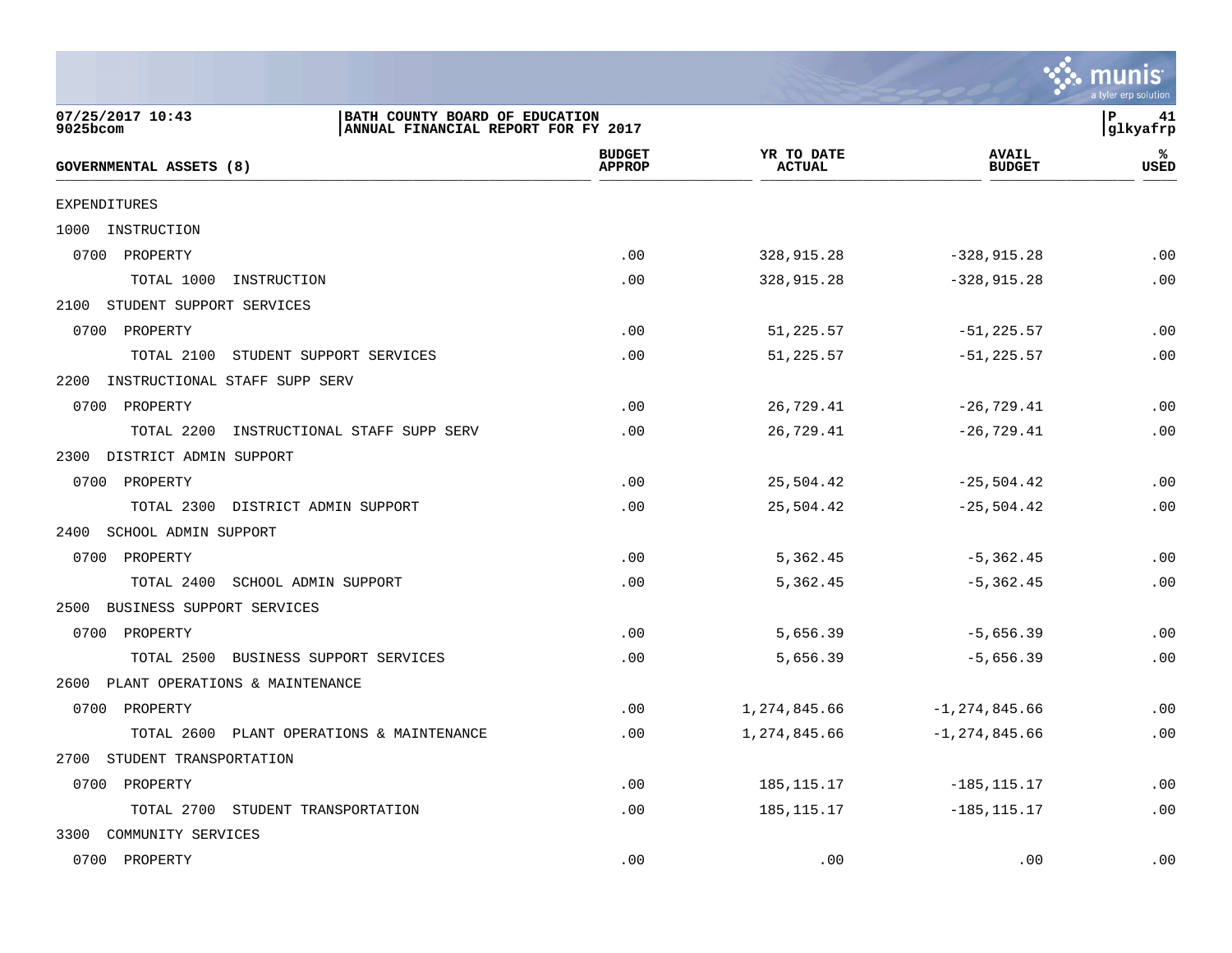|                                                                                                       |                                |                             |                               | a tyler erp solution |
|-------------------------------------------------------------------------------------------------------|--------------------------------|-----------------------------|-------------------------------|----------------------|
| 07/25/2017 10:43<br>BATH COUNTY BOARD OF EDUCATION<br>9025bcom<br>ANNUAL FINANCIAL REPORT FOR FY 2017 |                                |                             |                               | P<br>41<br>glkyafrp  |
| <b>GOVERNMENTAL ASSETS (8)</b>                                                                        | <b>BUDGET</b><br><b>APPROP</b> | YR TO DATE<br><b>ACTUAL</b> | <b>AVAIL</b><br><b>BUDGET</b> | ℁<br>USED            |
| EXPENDITURES                                                                                          |                                |                             |                               |                      |
| INSTRUCTION<br>1000                                                                                   |                                |                             |                               |                      |
| 0700<br>PROPERTY                                                                                      | .00                            | 328,915.28                  | $-328, 915.28$                | .00                  |
| TOTAL 1000<br>INSTRUCTION                                                                             | .00                            | 328,915.28                  | $-328, 915.28$                | .00                  |
| 2100<br>STUDENT SUPPORT SERVICES                                                                      |                                |                             |                               |                      |
| 0700<br>PROPERTY                                                                                      | .00                            | 51,225.57                   | $-51, 225.57$                 | .00                  |
| TOTAL 2100<br>STUDENT SUPPORT SERVICES                                                                | .00                            | 51,225.57                   | $-51, 225.57$                 | .00                  |
| 2200<br>INSTRUCTIONAL STAFF SUPP SERV                                                                 |                                |                             |                               |                      |
| 0700 PROPERTY                                                                                         | .00                            | 26,729.41                   | $-26,729.41$                  | .00                  |
| TOTAL 2200<br>INSTRUCTIONAL STAFF SUPP SERV                                                           | .00                            | 26,729.41                   | $-26,729.41$                  | .00                  |
| 2300<br>DISTRICT ADMIN SUPPORT                                                                        |                                |                             |                               |                      |
| 0700<br>PROPERTY                                                                                      | .00                            | 25,504.42                   | $-25,504.42$                  | .00                  |
| TOTAL 2300<br>DISTRICT ADMIN SUPPORT                                                                  | .00                            | 25,504.42                   | $-25,504.42$                  | .00                  |
| SCHOOL ADMIN SUPPORT<br>2400                                                                          |                                |                             |                               |                      |
| 0700<br>PROPERTY                                                                                      | .00                            | 5,362.45                    | $-5,362.45$                   | .00                  |
| TOTAL 2400<br>SCHOOL ADMIN SUPPORT                                                                    | .00                            | 5,362.45                    | $-5,362.45$                   | .00                  |
| BUSINESS SUPPORT SERVICES<br>2500                                                                     |                                |                             |                               |                      |
| 0700<br>PROPERTY                                                                                      | .00                            | 5,656.39                    | $-5,656.39$                   | .00                  |
| TOTAL 2500<br>BUSINESS SUPPORT SERVICES                                                               | .00                            | 5,656.39                    | $-5,656.39$                   | .00                  |
| PLANT OPERATIONS & MAINTENANCE<br>2600                                                                |                                |                             |                               |                      |
| 0700<br>PROPERTY                                                                                      | .00                            | 1,274,845.66                | $-1, 274, 845.66$             | .00                  |
| TOTAL 2600 PLANT OPERATIONS & MAINTENANCE                                                             | .00                            | 1,274,845.66                | $-1, 274, 845.66$             | .00                  |
| STUDENT TRANSPORTATION<br>2700                                                                        |                                |                             |                               |                      |
| 0700<br>PROPERTY                                                                                      | .00                            | 185, 115. 17                | $-185, 115.17$                | .00                  |
| TOTAL 2700 STUDENT TRANSPORTATION                                                                     | .00                            | 185, 115. 17                | $-185, 115.17$                | .00                  |
| 3300<br>COMMUNITY SERVICES                                                                            |                                |                             |                               |                      |
| 0700 PROPERTY                                                                                         | .00                            | .00                         | .00                           | .00                  |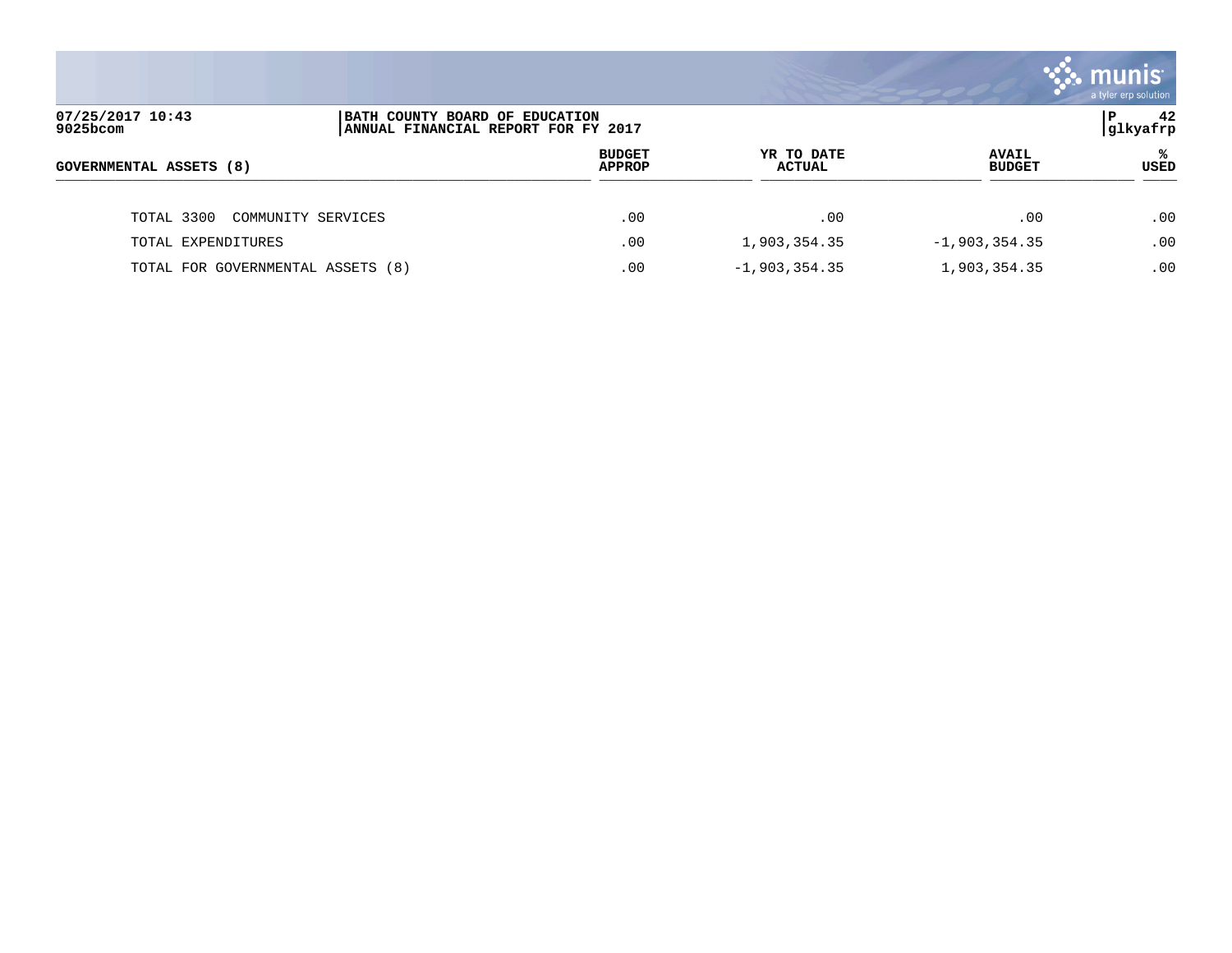|                                   |                                                                       |                                |                             |                               | <b>33. munis</b><br>a tyler erp solution |
|-----------------------------------|-----------------------------------------------------------------------|--------------------------------|-----------------------------|-------------------------------|------------------------------------------|
| 07/25/2017 10:43<br>$9025$ bcom   | BATH COUNTY BOARD OF EDUCATION<br>ANNUAL FINANCIAL REPORT FOR FY 2017 |                                |                             |                               | 42<br> glkyafrp                          |
| GOVERNMENTAL ASSETS (8)           |                                                                       | <b>BUDGET</b><br><b>APPROP</b> | YR TO DATE<br><b>ACTUAL</b> | <b>AVAIL</b><br><b>BUDGET</b> | ℁<br>USED                                |
| TOTAL 3300                        | COMMUNITY SERVICES                                                    | .00                            | .00                         | .00                           | $.00 \,$                                 |
| TOTAL EXPENDITURES                |                                                                       | .00                            | 1,903,354.35                | $-1,903,354.35$               | .00                                      |
| TOTAL FOR GOVERNMENTAL ASSETS (8) |                                                                       | .00                            | $-1,903,354.35$             | 1,903,354.35                  | .00                                      |

the contract of the contract of the contract of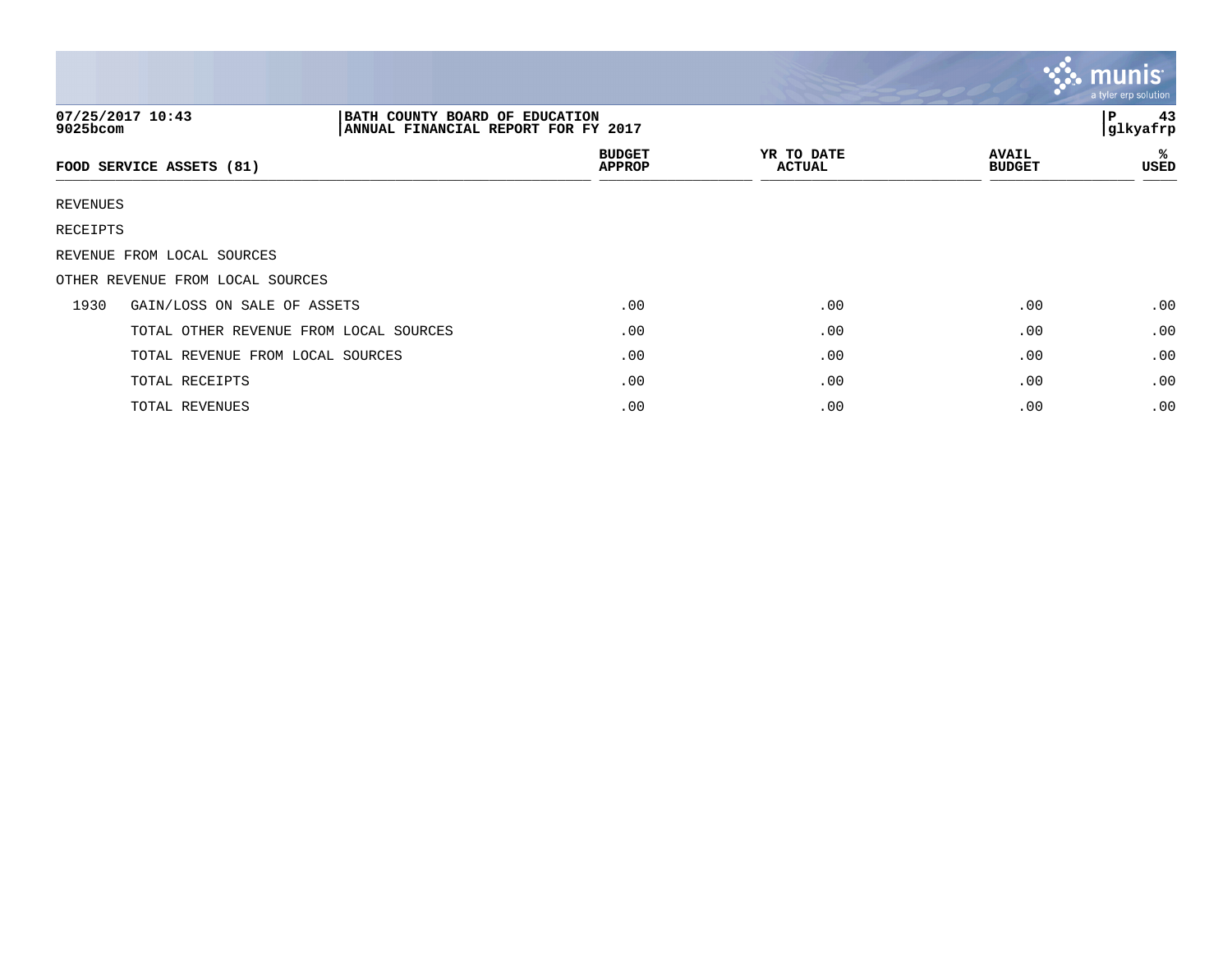|          |                                                                                           |                                |                             |                               | $\mathbf{\ddot{\cdot}}\mathbf{\ddot{\cdot}}$ munis<br>a tyler erp solution |
|----------|-------------------------------------------------------------------------------------------|--------------------------------|-----------------------------|-------------------------------|----------------------------------------------------------------------------|
| 9025bcom | 07/25/2017 10:43<br>BATH COUNTY BOARD OF EDUCATION<br>ANNUAL FINANCIAL REPORT FOR FY 2017 |                                |                             |                               | 43<br>l P<br>glkyafrp                                                      |
|          | FOOD SERVICE ASSETS (81)                                                                  | <b>BUDGET</b><br><b>APPROP</b> | YR TO DATE<br><b>ACTUAL</b> | <b>AVAIL</b><br><b>BUDGET</b> | ℁<br>USED                                                                  |
| REVENUES |                                                                                           |                                |                             |                               |                                                                            |
| RECEIPTS |                                                                                           |                                |                             |                               |                                                                            |
|          | REVENUE FROM LOCAL SOURCES                                                                |                                |                             |                               |                                                                            |
|          | OTHER REVENUE FROM LOCAL SOURCES                                                          |                                |                             |                               |                                                                            |
| 1930     | GAIN/LOSS ON SALE OF ASSETS                                                               | .00                            | .00                         | .00                           | .00                                                                        |
|          | TOTAL OTHER REVENUE FROM LOCAL SOURCES                                                    | .00                            | .00                         | .00                           | .00                                                                        |
|          | TOTAL REVENUE FROM LOCAL SOURCES                                                          | .00                            | .00                         | .00                           | .00                                                                        |
|          | TOTAL RECEIPTS                                                                            | .00                            | .00                         | .00                           | .00                                                                        |
|          | TOTAL REVENUES                                                                            | .00                            | .00                         | .00                           | .00                                                                        |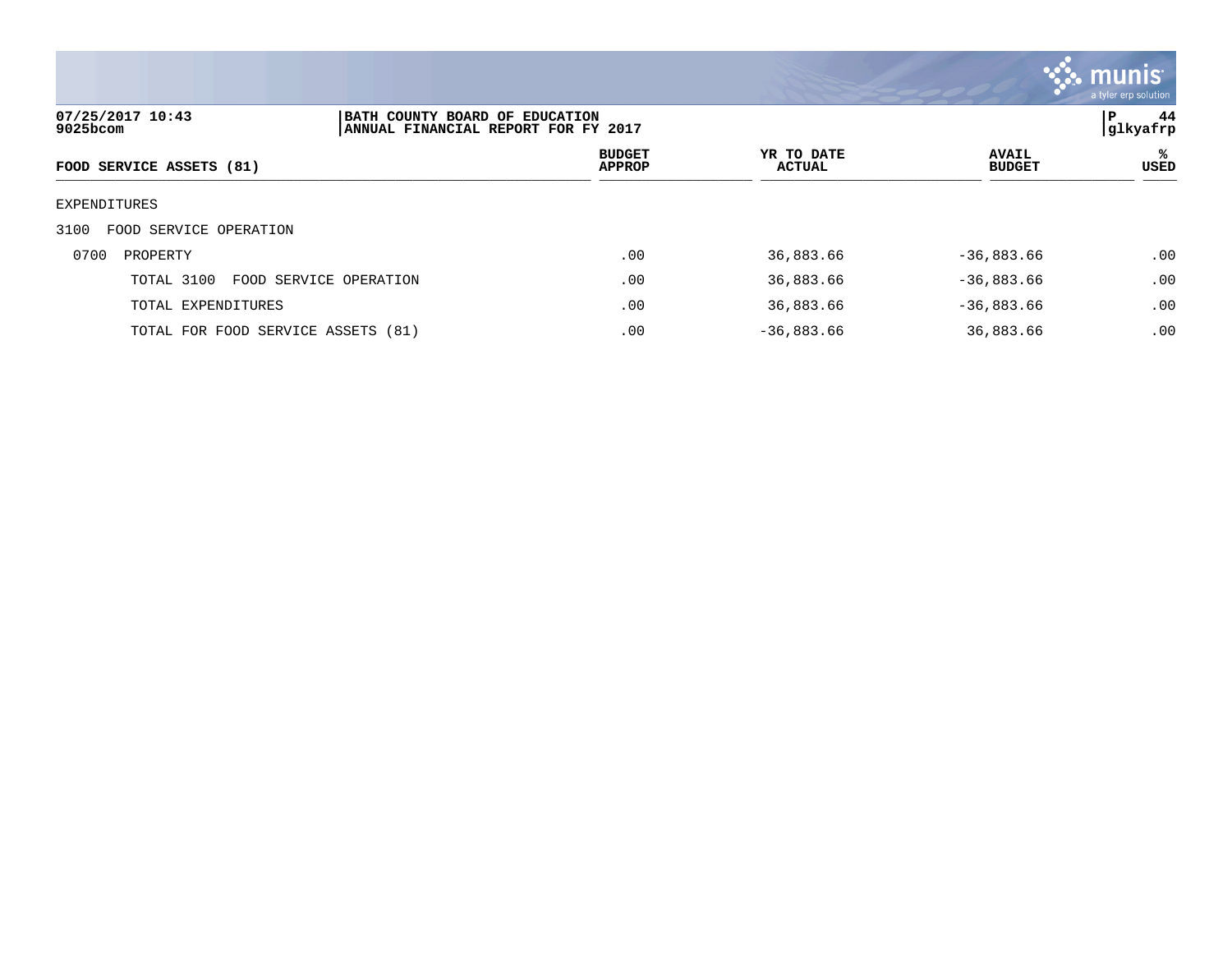

| 07/25/2017 10:43<br>9025bcom         | BATH COUNTY BOARD OF EDUCATION<br>ANNUAL FINANCIAL REPORT FOR FY 2017 |                                |                      |                               | 44<br>l P<br> glkyafrp |
|--------------------------------------|-----------------------------------------------------------------------|--------------------------------|----------------------|-------------------------------|------------------------|
| FOOD SERVICE ASSETS (81)             |                                                                       | <b>BUDGET</b><br><b>APPROP</b> | YR TO DATE<br>ACTUAL | <b>AVAIL</b><br><b>BUDGET</b> | ℁<br>USED              |
| EXPENDITURES                         |                                                                       |                                |                      |                               |                        |
| 3100<br>FOOD SERVICE OPERATION       |                                                                       |                                |                      |                               |                        |
| 0700<br>PROPERTY                     |                                                                       | .00                            | 36,883.66            | $-36,883.66$                  | .00                    |
| TOTAL 3100<br>FOOD SERVICE OPERATION |                                                                       | .00                            | 36,883.66            | $-36,883.66$                  | .00                    |
| TOTAL EXPENDITURES                   |                                                                       | .00                            | 36,883.66            | $-36,883.66$                  | .00                    |
| TOTAL FOR FOOD SERVICE ASSETS (81)   |                                                                       | .00                            | $-36,883.66$         | 36,883.66                     | .00                    |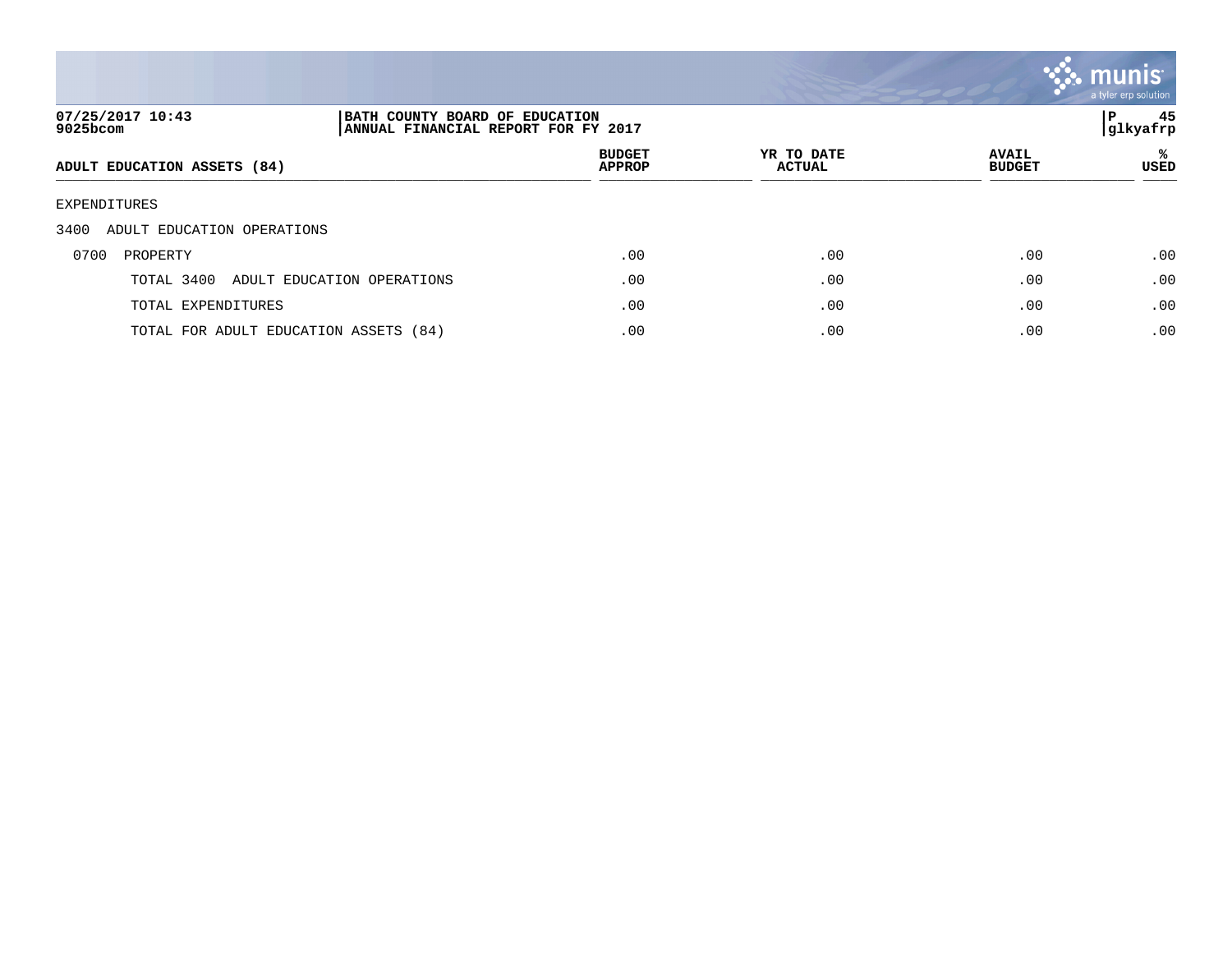

| 07/25/2017 10:43<br>9025bcom          |                            | BATH COUNTY BOARD OF EDUCATION<br>ANNUAL FINANCIAL REPORT FOR FY 2017 |                             |                               |            |
|---------------------------------------|----------------------------|-----------------------------------------------------------------------|-----------------------------|-------------------------------|------------|
| ADULT EDUCATION ASSETS (84)           |                            | <b>BUDGET</b><br><b>APPROP</b>                                        | YR TO DATE<br><b>ACTUAL</b> | <b>AVAIL</b><br><b>BUDGET</b> | %≽<br>USED |
| EXPENDITURES                          |                            |                                                                       |                             |                               |            |
| ADULT EDUCATION OPERATIONS<br>3400    |                            |                                                                       |                             |                               |            |
| 0700<br>PROPERTY                      |                            | .00                                                                   | .00                         | .00                           | .00        |
| TOTAL 3400                            | ADULT EDUCATION OPERATIONS | .00                                                                   | .00                         | .00                           | .00        |
| TOTAL EXPENDITURES                    |                            | .00                                                                   | .00                         | .00                           | .00        |
| TOTAL FOR ADULT EDUCATION ASSETS (84) |                            | .00                                                                   | .00                         | .00                           | .00        |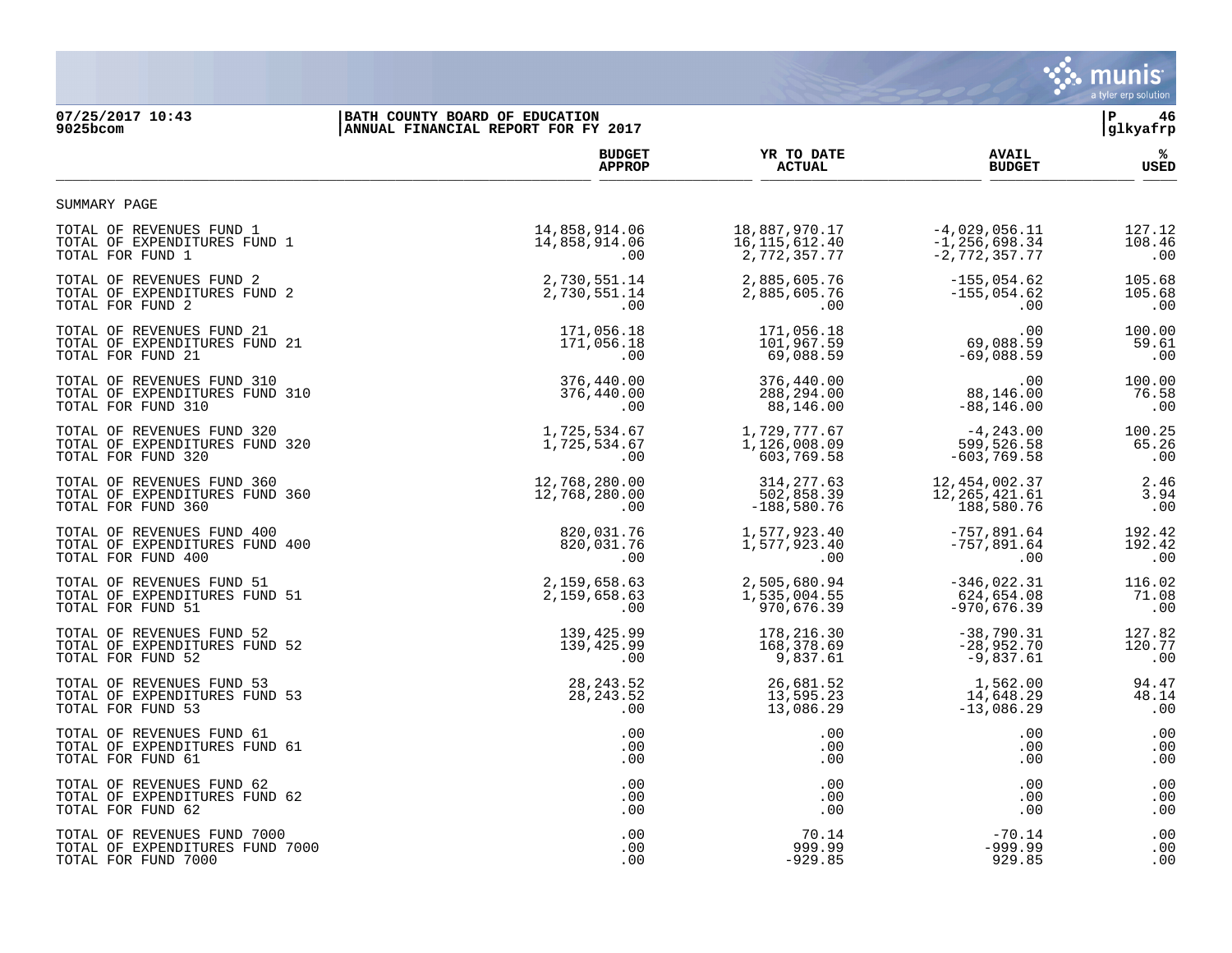

# **07/25/2017 10:43 |BATH COUNTY BOARD OF EDUCATION |P 46**

| 9025bcom                        | ANNUAL FINANCIAL REPORT FOR FY 2017 |                 | glkyafrp          |             |
|---------------------------------|-------------------------------------|-----------------|-------------------|-------------|
|                                 | <b>BUDGET</b>                       | YR TO DATE      | <b>AVAIL</b>      | %ะ          |
|                                 | <b>APPROP</b>                       | <b>ACTUAL</b>   | <b>BUDGET</b>     | <b>USED</b> |
| SUMMARY PAGE                    |                                     |                 |                   |             |
| TOTAL OF REVENUES FUND 1        | 14,858,914.06                       | 18,887,970.17   | $-4,029,056.11$   | 127.12      |
| TOTAL OF EXPENDITURES FUND 1    | 14,858,914.06                       | 16, 115, 612.40 | $-1, 256, 698.34$ | 108.46      |
| TOTAL FOR FUND 1                | .00                                 | 2,772,357.77    | $-2,772,357.77$   | .00         |
| TOTAL OF REVENUES FUND 2        | 2,730,551.14                        | 2,885,605.76    | $-155,054.62$     | 105.68      |
| TOTAL OF EXPENDITURES FUND 2    | 2,730,551.14                        | 2,885,605.76    | $-155,054.62$     | 105.68      |
| TOTAL FOR FUND 2                | .00                                 | .00             | .00               | .00         |
| TOTAL OF REVENUES FUND 21       | 171,056.18                          | 171,056.18      | .00               | 100.00      |
| TOTAL OF EXPENDITURES FUND 21   | 171,056.18                          | 101,967.59      | 69,088.59         | 59.61       |
| TOTAL FOR FUND 21               | .00                                 | 69,088.59       | $-69,088.59$      | .00         |
| TOTAL OF REVENUES FUND 310      | 376,440.00                          | 376,440.00      | .00               | 100.00      |
| TOTAL OF EXPENDITURES FUND 310  | 376,440.00                          | 288,294.00      | 88,146.00         | 76.58       |
| TOTAL FOR FUND 310              | .00                                 | 88,146.00       | $-88, 146.00$     | .00         |
| TOTAL OF REVENUES FUND 320      | 1,725,534.67                        | 1,729,777.67    | $-4, 243.00$      | 100.25      |
| TOTAL OF EXPENDITURES FUND 320  | 1,725,534.67                        | 1,126,008.09    | 599,526.58        | 65.26       |
| TOTAL FOR FUND 320              | .00                                 | 603,769.58      | $-603, 769.58$    | .00         |
| TOTAL OF REVENUES FUND 360      | 12,768,280.00                       | 314, 277.63     | 12, 454, 002.37   | 2.46        |
| TOTAL OF EXPENDITURES FUND 360  | 12,768,280.00                       | 502,858.39      | 12, 265, 421.61   | 3.94        |
| TOTAL FOR FUND 360              | .00                                 | $-188,580.76$   | 188,580.76        | .00         |
| TOTAL OF REVENUES FUND 400      | 820,031.76                          | 1,577,923.40    | $-757,891.64$     | 192.42      |
| TOTAL OF EXPENDITURES FUND 400  | 820,031.76                          | 1,577,923.40    | $-757,891.64$     | 192.42      |
| TOTAL FOR FUND 400              | .00                                 | .00             | .00               | .00         |
| TOTAL OF REVENUES FUND 51       | 2,159,658.63                        | 2,505,680.94    | $-346,022.31$     | 116.02      |
| TOTAL OF EXPENDITURES FUND 51   | 2,159,658.63                        | 1,535,004.55    | 624,654.08        | 71.08       |
| TOTAL FOR FUND 51               | .00                                 | 970,676.39      | $-970,676.39$     | .00         |
| TOTAL OF REVENUES FUND 52       | 139,425.99                          | 178,216.30      | $-38,790.31$      | 127.82      |
| TOTAL OF EXPENDITURES FUND 52   | 139,425.99                          | 168,378.69      | $-28,952.70$      | 120.77      |
| TOTAL FOR FUND 52               | .00                                 | 9,837.61        | $-9,837.61$       | .00         |
| TOTAL OF REVENUES FUND 53       | 28, 243.52                          | 26,681.52       | 1,562.00          | 94.47       |
| TOTAL OF EXPENDITURES FUND 53   | 28, 243.52                          | 13,595.23       | 14,648.29         | 48.14       |
| TOTAL FOR FUND 53               | .00                                 | 13,086.29       | $-13,086.29$      | .00         |
| TOTAL OF REVENUES FUND 61       | .00                                 | .00             | .00               | .00         |
| TOTAL OF EXPENDITURES FUND 61   | .00                                 | .00             | .00               | .00         |
| TOTAL FOR FUND 61               | .00                                 | .00             | .00               | .00         |
| TOTAL OF REVENUES FUND 62       | .00                                 | .00             | .00               | .00         |
| TOTAL OF EXPENDITURES FUND 62   | .00                                 | $.00 \,$        | .00               | .00         |
| TOTAL FOR FUND 62               | .00                                 | .00             | .00               | .00         |
| TOTAL OF REVENUES FUND 7000     | .00                                 | 70.14           | $-70.14$          | .00         |
| TOTAL OF EXPENDITURES FUND 7000 | .00                                 | 999.99          | $-999.99$         | .00         |
| TOTAL FOR FUND 7000             | .00                                 | $-929.85$       | 929.85            | .00         |